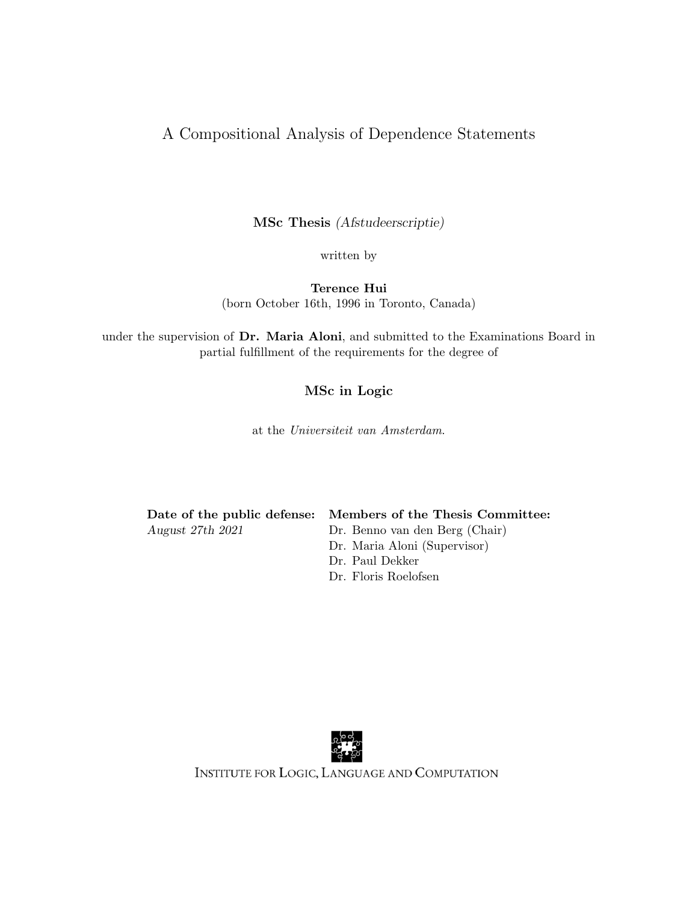#### A Compositional Analysis of Dependence Statements

MSc Thesis (Afstudeerscriptie)

written by

Terence Hui (born October 16th, 1996 in Toronto, Canada)

under the supervision of Dr. Maria Aloni, and submitted to the Examinations Board in partial fulfillment of the requirements for the degree of

#### MSc in Logic

at the Universiteit van Amsterdam.

|                  | Date of the public defense: Members of the Thesis Committee: |
|------------------|--------------------------------------------------------------|
| August 27th 2021 | Dr. Benno van den Berg (Chair)                               |
|                  | Dr. Maria Aloni (Supervisor)                                 |
|                  | Dr. Paul Dekker                                              |

Dr. Floris Roelofsen



INSTITUTE FOR LOGIC, LANGUAGE AND COMPUTATION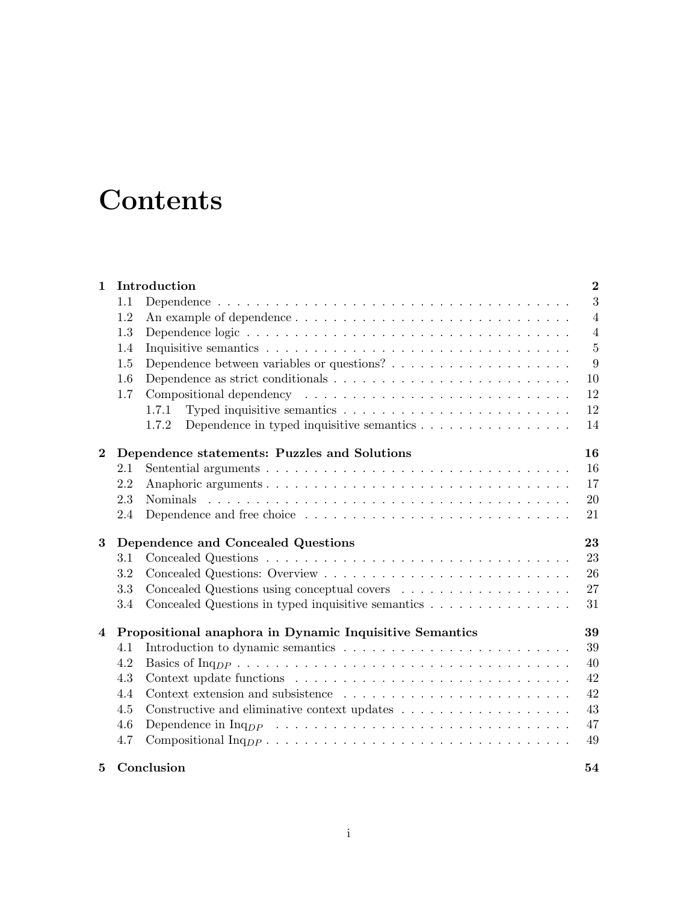## **Contents**

| $\mathbf{1}$   |         | Introduction                                                                                       | $\bf{2}$       |
|----------------|---------|----------------------------------------------------------------------------------------------------|----------------|
|                | 1.1     |                                                                                                    | 3              |
|                | 1.2     |                                                                                                    | $\overline{4}$ |
|                | 1.3     |                                                                                                    | $\overline{4}$ |
|                | 1.4     |                                                                                                    | $\overline{5}$ |
|                | 1.5     |                                                                                                    | 9              |
|                | 1.6     | Dependence as strict conditionals $\ldots \ldots \ldots \ldots \ldots \ldots \ldots \ldots \ldots$ | 10             |
|                | 1.7     |                                                                                                    | 12             |
|                |         | Typed inquisitive semantics $\dots \dots \dots \dots \dots \dots \dots \dots \dots$<br>1.7.1       | 12             |
|                |         | Dependence in typed inquisitive semantics $\dots \dots \dots \dots \dots \dots$<br>1.7.2           | 14             |
| $\bf{2}$       |         | Dependence statements: Puzzles and Solutions                                                       | 16             |
|                | 2.1     |                                                                                                    | 16             |
|                | 2.2     |                                                                                                    | 17             |
|                | 2.3     |                                                                                                    | 20             |
|                | 2.4     |                                                                                                    | 21             |
|                |         |                                                                                                    |                |
| 3              |         | Dependence and Concealed Questions                                                                 | 23             |
|                | $3.1\,$ |                                                                                                    | 23             |
|                | 3.2     |                                                                                                    | 26             |
|                | 3.3     | Concealed Questions using conceptual covers                                                        | 27             |
|                | 3.4     | Concealed Questions in typed inquisitive semantics $\ldots \ldots \ldots \ldots \ldots$            | 31             |
| $\overline{4}$ |         | Propositional anaphora in Dynamic Inquisitive Semantics                                            | 39             |
|                | 4.1     |                                                                                                    | 39             |
|                | 4.2     |                                                                                                    | 40             |
|                | 4.3     |                                                                                                    | 42             |
|                | 4.4     |                                                                                                    | 42             |
|                | 4.5     |                                                                                                    | 43             |
|                | 4.6     |                                                                                                    | 47             |
|                | 4.7     |                                                                                                    | 49             |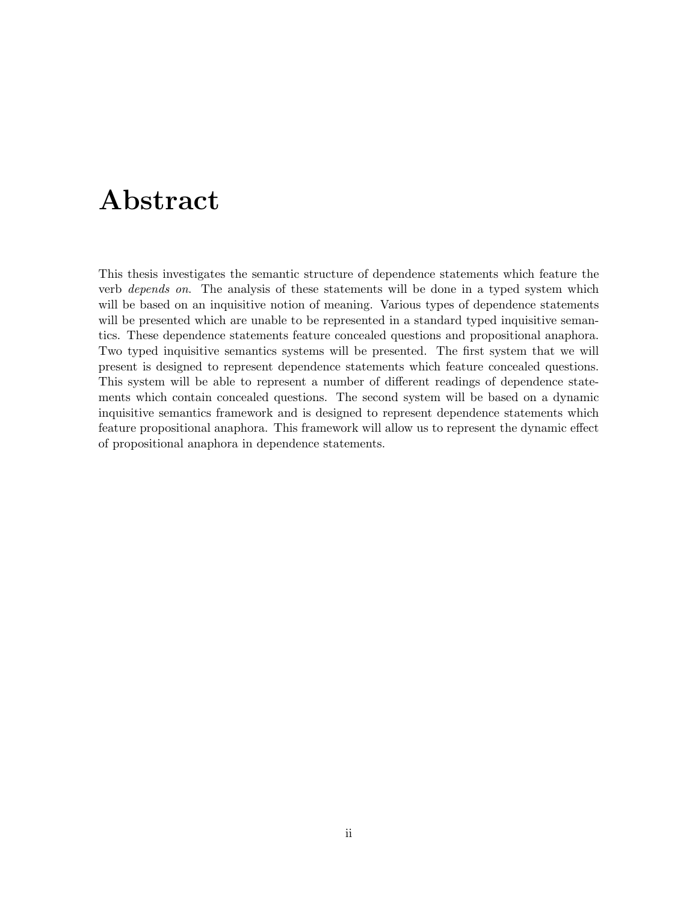### Abstract

This thesis investigates the semantic structure of dependence statements which feature the verb depends on. The analysis of these statements will be done in a typed system which will be based on an inquisitive notion of meaning. Various types of dependence statements will be presented which are unable to be represented in a standard typed inquisitive semantics. These dependence statements feature concealed questions and propositional anaphora. Two typed inquisitive semantics systems will be presented. The first system that we will present is designed to represent dependence statements which feature concealed questions. This system will be able to represent a number of different readings of dependence statements which contain concealed questions. The second system will be based on a dynamic inquisitive semantics framework and is designed to represent dependence statements which feature propositional anaphora. This framework will allow us to represent the dynamic effect of propositional anaphora in dependence statements.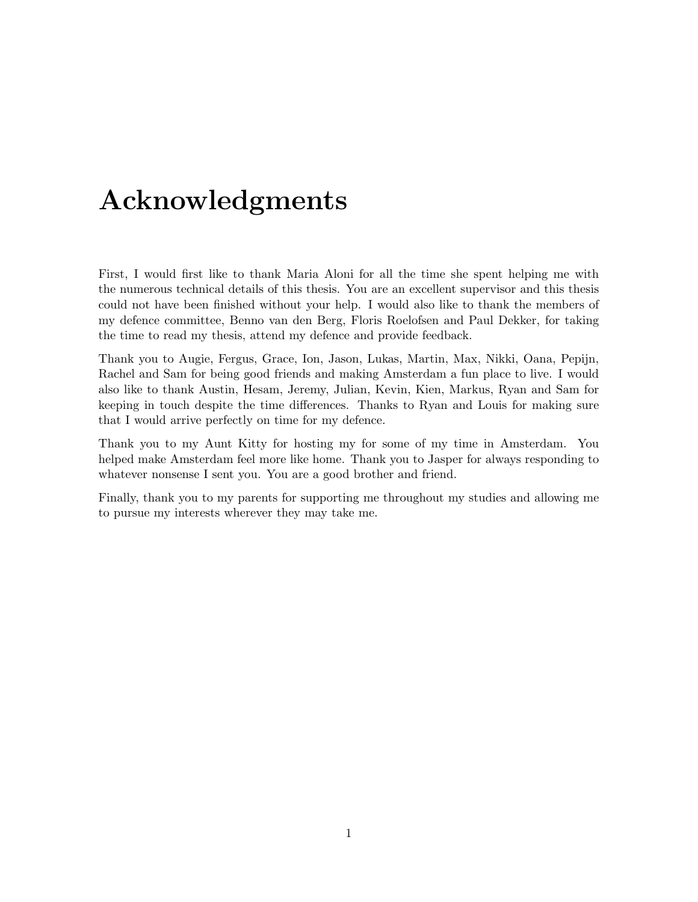### Acknowledgments

First, I would first like to thank Maria Aloni for all the time she spent helping me with the numerous technical details of this thesis. You are an excellent supervisor and this thesis could not have been finished without your help. I would also like to thank the members of my defence committee, Benno van den Berg, Floris Roelofsen and Paul Dekker, for taking the time to read my thesis, attend my defence and provide feedback.

Thank you to Augie, Fergus, Grace, Ion, Jason, Lukas, Martin, Max, Nikki, Oana, Pepijn, Rachel and Sam for being good friends and making Amsterdam a fun place to live. I would also like to thank Austin, Hesam, Jeremy, Julian, Kevin, Kien, Markus, Ryan and Sam for keeping in touch despite the time differences. Thanks to Ryan and Louis for making sure that I would arrive perfectly on time for my defence.

Thank you to my Aunt Kitty for hosting my for some of my time in Amsterdam. You helped make Amsterdam feel more like home. Thank you to Jasper for always responding to whatever nonsense I sent you. You are a good brother and friend.

Finally, thank you to my parents for supporting me throughout my studies and allowing me to pursue my interests wherever they may take me.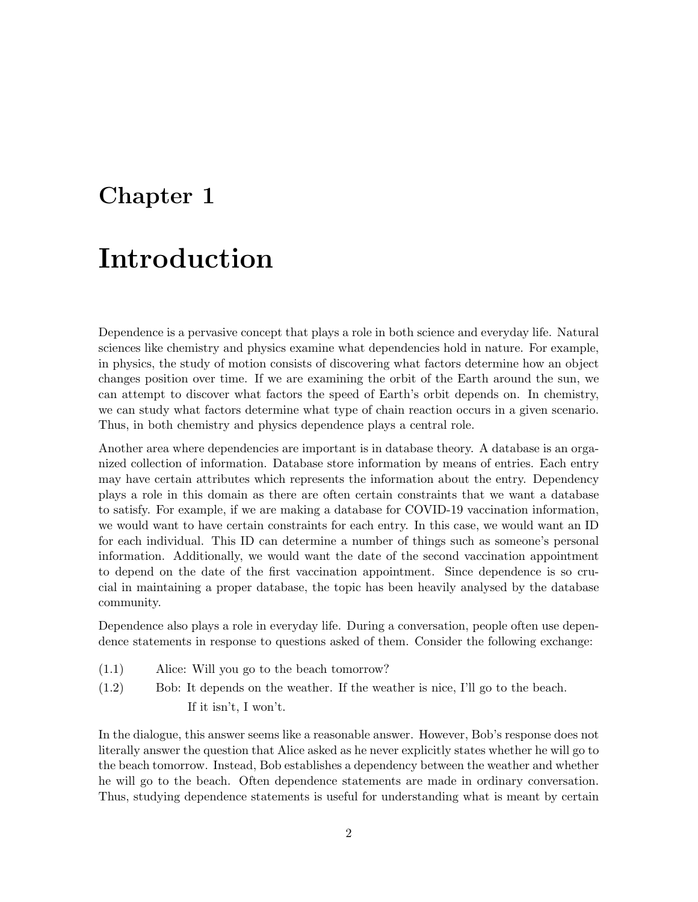# Chapter 1 Introduction

Dependence is a pervasive concept that plays a role in both science and everyday life. Natural sciences like chemistry and physics examine what dependencies hold in nature. For example, in physics, the study of motion consists of discovering what factors determine how an object changes position over time. If we are examining the orbit of the Earth around the sun, we can attempt to discover what factors the speed of Earth's orbit depends on. In chemistry, we can study what factors determine what type of chain reaction occurs in a given scenario. Thus, in both chemistry and physics dependence plays a central role.

Another area where dependencies are important is in database theory. A database is an organized collection of information. Database store information by means of entries. Each entry may have certain attributes which represents the information about the entry. Dependency plays a role in this domain as there are often certain constraints that we want a database to satisfy. For example, if we are making a database for COVID-19 vaccination information, we would want to have certain constraints for each entry. In this case, we would want an ID for each individual. This ID can determine a number of things such as someone's personal information. Additionally, we would want the date of the second vaccination appointment to depend on the date of the first vaccination appointment. Since dependence is so crucial in maintaining a proper database, the topic has been heavily analysed by the database community.

Dependence also plays a role in everyday life. During a conversation, people often use dependence statements in response to questions asked of them. Consider the following exchange:

- Alice: Will you go to the beach tomorrow?(1.1)
- (1.2) Bob: It depends on the weather. If the weather is nice, I'll go to the beach. If it isn't, I won't.

In the dialogue, this answer seems like a reasonable answer. However, Bob's response does not literally answer the question that Alice asked as he never explicitly states whether he will go to the beach tomorrow. Instead, Bob establishes a dependency between the weather and whether he will go to the beach. Often dependence statements are made in ordinary conversation. Thus, studying dependence statements is useful for understanding what is meant by certain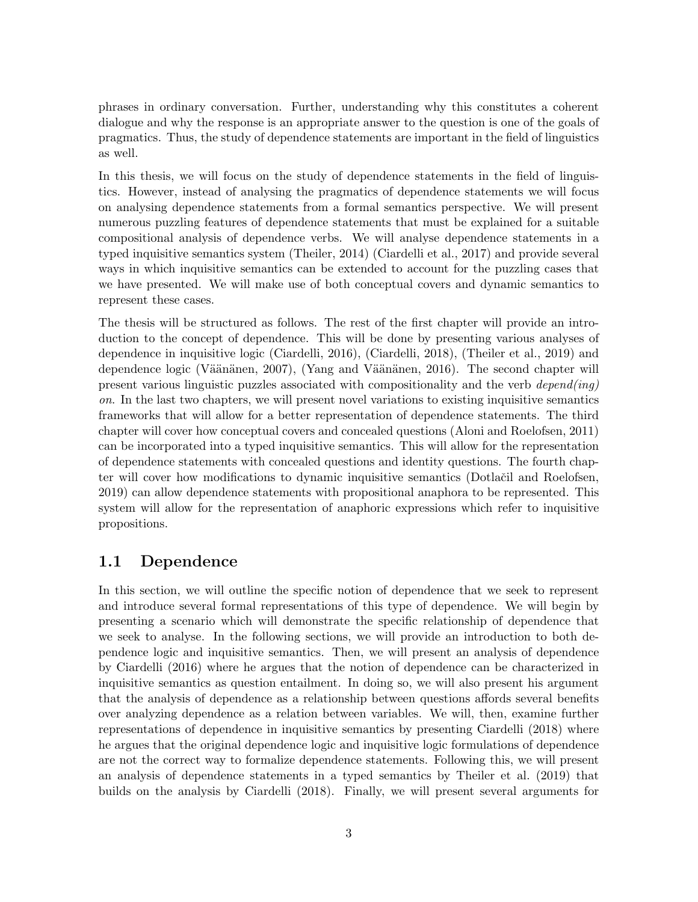phrases in ordinary conversation. Further, understanding why this constitutes a coherent dialogue and why the response is an appropriate answer to the question is one of the goals of pragmatics. Thus, the study of dependence statements are important in the field of linguistics as well.

In this thesis, we will focus on the study of dependence statements in the field of linguistics. However, instead of analysing the pragmatics of dependence statements we will focus on analysing dependence statements from a formal semantics perspective. We will present numerous puzzling features of dependence statements that must be explained for a suitable compositional analysis of dependence verbs. We will analyse dependence statements in a typed inquisitive semantics system (Theiler, 2014) (Ciardelli et al., 2017) and provide several ways in which inquisitive semantics can be extended to account for the puzzling cases that we have presented. We will make use of both conceptual covers and dynamic semantics to represent these cases.

The thesis will be structured as follows. The rest of the first chapter will provide an introduction to the concept of dependence. This will be done by presenting various analyses of dependence in inquisitive logic (Ciardelli, 2016), (Ciardelli, 2018), (Theiler et al., 2019) and dependence logic (Väänänen, 2007), (Yang and Väänänen, 2016). The second chapter will present various linguistic puzzles associated with compositionality and the verb  $depend(inq)$ on. In the last two chapters, we will present novel variations to existing inquisitive semantics frameworks that will allow for a better representation of dependence statements. The third chapter will cover how conceptual covers and concealed questions (Aloni and Roelofsen, 2011) can be incorporated into a typed inquisitive semantics. This will allow for the representation of dependence statements with concealed questions and identity questions. The fourth chapter will cover how modifications to dynamic inquisitive semantics (Dotlačil and Roelofsen, 2019) can allow dependence statements with propositional anaphora to be represented. This system will allow for the representation of anaphoric expressions which refer to inquisitive propositions.

#### 1.1 Dependence

In this section, we will outline the specific notion of dependence that we seek to represent and introduce several formal representations of this type of dependence. We will begin by presenting a scenario which will demonstrate the specific relationship of dependence that we seek to analyse. In the following sections, we will provide an introduction to both dependence logic and inquisitive semantics. Then, we will present an analysis of dependence by Ciardelli (2016) where he argues that the notion of dependence can be characterized in inquisitive semantics as question entailment. In doing so, we will also present his argument that the analysis of dependence as a relationship between questions affords several benefits over analyzing dependence as a relation between variables. We will, then, examine further representations of dependence in inquisitive semantics by presenting Ciardelli (2018) where he argues that the original dependence logic and inquisitive logic formulations of dependence are not the correct way to formalize dependence statements. Following this, we will present an analysis of dependence statements in a typed semantics by Theiler et al. (2019) that builds on the analysis by Ciardelli (2018). Finally, we will present several arguments for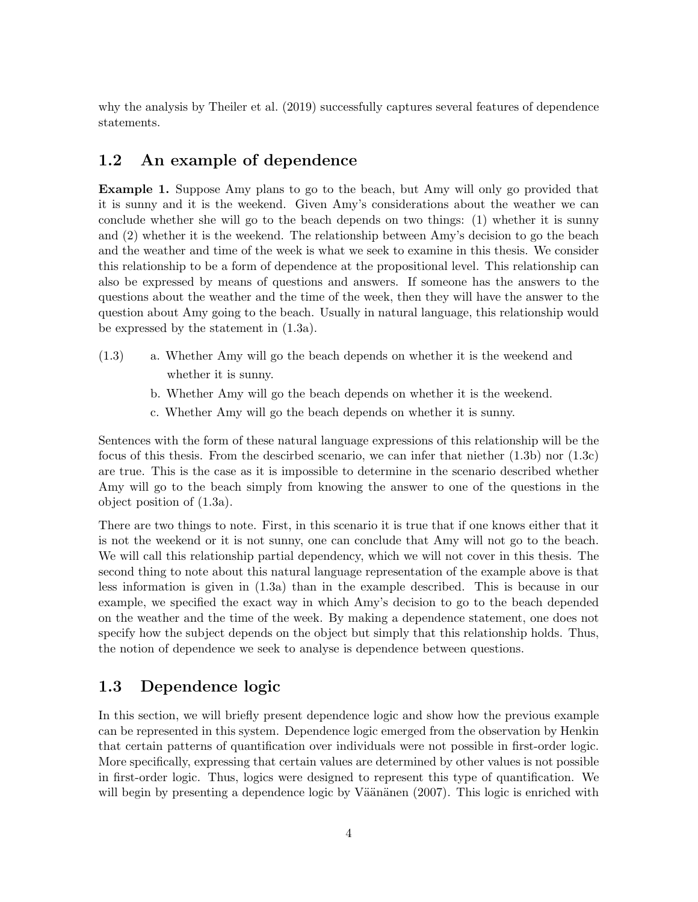why the analysis by Theiler et al. (2019) successfully captures several features of dependence statements.

#### 1.2 An example of dependence

Example 1. Suppose Amy plans to go to the beach, but Amy will only go provided that it is sunny and it is the weekend. Given Amy's considerations about the weather we can conclude whether she will go to the beach depends on two things: (1) whether it is sunny and (2) whether it is the weekend. The relationship between Amy's decision to go the beach and the weather and time of the week is what we seek to examine in this thesis. We consider this relationship to be a form of dependence at the propositional level. This relationship can also be expressed by means of questions and answers. If someone has the answers to the questions about the weather and the time of the week, then they will have the answer to the question about Amy going to the beach. Usually in natural language, this relationship would be expressed by the statement in (1.3a).

- (1.3) a. Whether Amy will go the beach depends on whether it is the weekend and whether it is sunny.
	- b. Whether Amy will go the beach depends on whether it is the weekend.
	- c. Whether Amy will go the beach depends on whether it is sunny.

Sentences with the form of these natural language expressions of this relationship will be the focus of this thesis. From the descirbed scenario, we can infer that niether  $(1.3b)$  nor  $(1.3c)$ are true. This is the case as it is impossible to determine in the scenario described whether Amy will go to the beach simply from knowing the answer to one of the questions in the object position of (1.3a).

There are two things to note. First, in this scenario it is true that if one knows either that it is not the weekend or it is not sunny, one can conclude that Amy will not go to the beach. We will call this relationship partial dependency, which we will not cover in this thesis. The second thing to note about this natural language representation of the example above is that less information is given in (1.3a) than in the example described. This is because in our example, we specified the exact way in which Amy's decision to go to the beach depended on the weather and the time of the week. By making a dependence statement, one does not specify how the subject depends on the object but simply that this relationship holds. Thus, the notion of dependence we seek to analyse is dependence between questions.

#### 1.3 Dependence logic

In this section, we will briefly present dependence logic and show how the previous example can be represented in this system. Dependence logic emerged from the observation by Henkin that certain patterns of quantification over individuals were not possible in first-order logic. More specifically, expressing that certain values are determined by other values is not possible in first-order logic. Thus, logics were designed to represent this type of quantification. We will begin by presenting a dependence logic by Väänänen  $(2007)$ . This logic is enriched with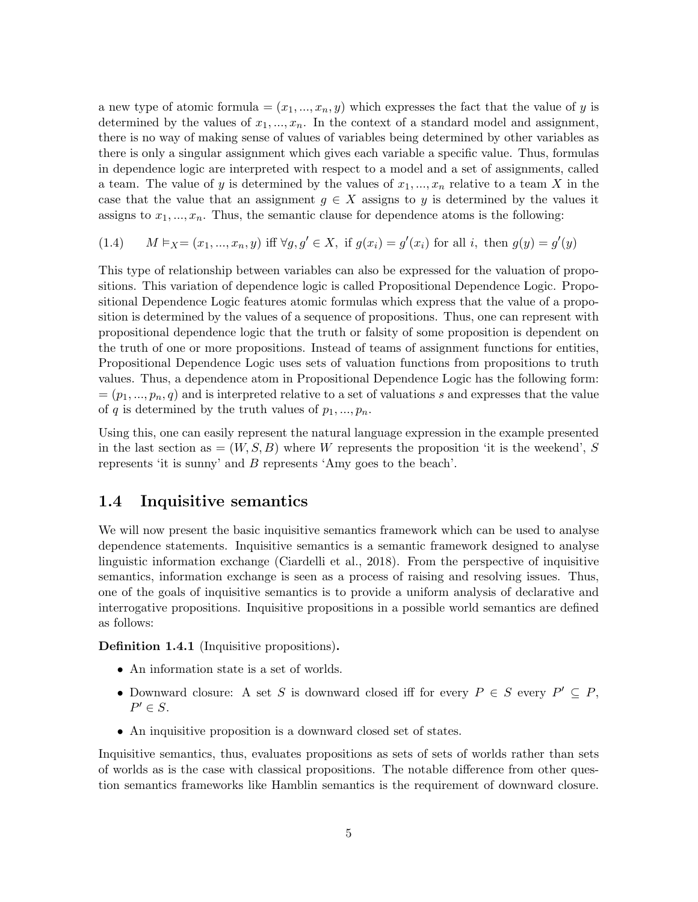a new type of atomic formula  $=(x_1,...,x_n,y)$  which expresses the fact that the value of y is determined by the values of  $x_1, ..., x_n$ . In the context of a standard model and assignment, there is no way of making sense of values of variables being determined by other variables as there is only a singular assignment which gives each variable a specific value. Thus, formulas in dependence logic are interpreted with respect to a model and a set of assignments, called a team. The value of y is determined by the values of  $x_1, ..., x_n$  relative to a team X in the case that the value that an assignment  $g \in X$  assigns to y is determined by the values it assigns to  $x_1, ..., x_n$ . Thus, the semantic clause for dependence atoms is the following:

(1.4) 
$$
M \vDash_{X} = (x_1, ..., x_n, y)
$$
 iff  $\forall g, g' \in X$ , if  $g(x_i) = g'(x_i)$  for all *i*, then  $g(y) = g'(y)$ 

This type of relationship between variables can also be expressed for the valuation of propositions. This variation of dependence logic is called Propositional Dependence Logic. Propositional Dependence Logic features atomic formulas which express that the value of a proposition is determined by the values of a sequence of propositions. Thus, one can represent with propositional dependence logic that the truth or falsity of some proposition is dependent on the truth of one or more propositions. Instead of teams of assignment functions for entities, Propositional Dependence Logic uses sets of valuation functions from propositions to truth values. Thus, a dependence atom in Propositional Dependence Logic has the following form:  $=(p_1, ..., p_n, q)$  and is interpreted relative to a set of valuations s and expresses that the value of q is determined by the truth values of  $p_1, ..., p_n$ .

Using this, one can easily represent the natural language expression in the example presented in the last section as  $=(W, S, B)$  where W represents the proposition 'it is the weekend', S represents 'it is sunny' and B represents 'Amy goes to the beach'.

#### 1.4 Inquisitive semantics

We will now present the basic inquisitive semantics framework which can be used to analyse dependence statements. Inquisitive semantics is a semantic framework designed to analyse linguistic information exchange (Ciardelli et al., 2018). From the perspective of inquisitive semantics, information exchange is seen as a process of raising and resolving issues. Thus, one of the goals of inquisitive semantics is to provide a uniform analysis of declarative and interrogative propositions. Inquisitive propositions in a possible world semantics are defined as follows:

Definition 1.4.1 (Inquisitive propositions).

- An information state is a set of worlds.
- Downward closure: A set S is downward closed iff for every  $P \in S$  every  $P' \subseteq P$ ,  $P' \in S$ .
- An inquisitive proposition is a downward closed set of states.

Inquisitive semantics, thus, evaluates propositions as sets of sets of worlds rather than sets of worlds as is the case with classical propositions. The notable difference from other question semantics frameworks like Hamblin semantics is the requirement of downward closure.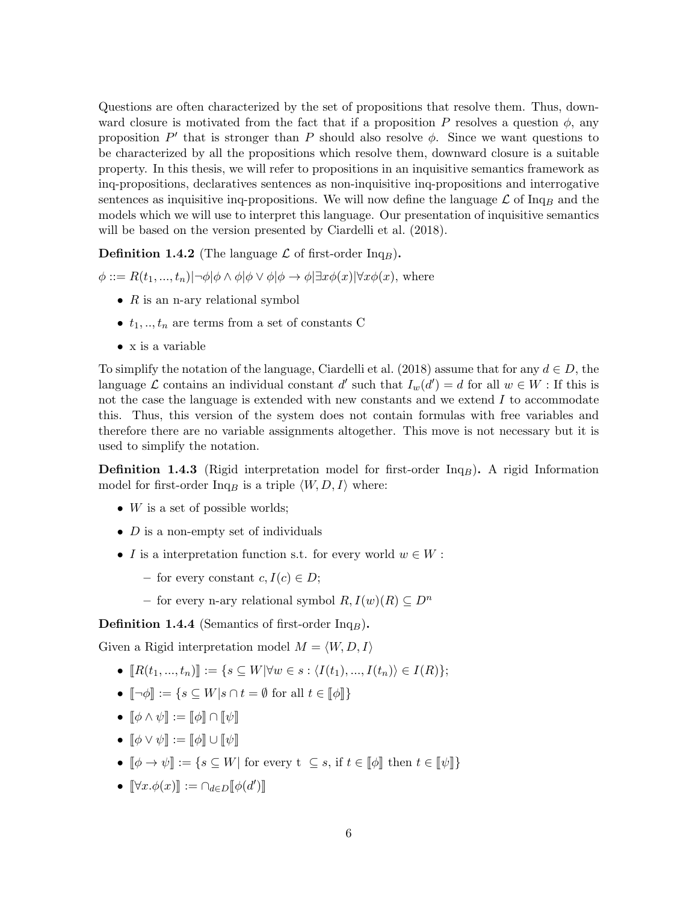Questions are often characterized by the set of propositions that resolve them. Thus, downward closure is motivated from the fact that if a proposition P resolves a question  $\phi$ , any proposition  $P'$  that is stronger than P should also resolve  $\phi$ . Since we want questions to be characterized by all the propositions which resolve them, downward closure is a suitable property. In this thesis, we will refer to propositions in an inquisitive semantics framework as inq-propositions, declaratives sentences as non-inquisitive inq-propositions and interrogative sentences as inquisitive inq-propositions. We will now define the language  $\mathcal L$  of Inq<sub>B</sub> and the models which we will use to interpret this language. Our presentation of inquisitive semantics will be based on the version presented by Ciardelli et al. (2018).

**Definition 1.4.2** (The language  $\mathcal{L}$  of first-order Inq<sub>B</sub>).

 $\phi ::= R(t_1, ..., t_n) \vert \neg \phi \vert \phi \wedge \phi \vert \phi \vee \phi \vert \phi \rightarrow \phi \vert \exists x \phi(x) \vert \forall x \phi(x),$  where

- $R$  is an n-ary relational symbol
- $t_1, \ldots, t_n$  are terms from a set of constants C
- x is a variable

To simplify the notation of the language, Ciardelli et al. (2018) assume that for any  $d \in D$ , the language  $\mathcal L$  contains an individual constant d' such that  $I_w(d') = d$  for all  $w \in W$ : If this is not the case the language is extended with new constants and we extend  $I$  to accommodate this. Thus, this version of the system does not contain formulas with free variables and therefore there are no variable assignments altogether. This move is not necessary but it is used to simplify the notation.

**Definition 1.4.3** (Rigid interpretation model for first-order  $Inq<sub>B</sub>$ ). A rigid Information model for first-order Inq<sub>B</sub> is a triple  $\langle W, D, I \rangle$  where:

- W is a set of possible worlds;
- $D$  is a non-empty set of individuals
- I is a interpretation function s.t. for every world  $w \in W$ :
	- for every constant  $c, I(c) \in D$ ;
	- for every n-ary relational symbol  $R, I(w)(R) \subseteq D^n$

**Definition 1.4.4** (Semantics of first-order  $Inq_B$ ).

Given a Rigid interpretation model  $M = \langle W, D, I \rangle$ 

- $[R(t_1, ..., t_n)] := \{s \subseteq W | \forall w \in s : \langle I(t_1), ..., I(t_n) \rangle \in I(R)\};$
- $\lbrack \neg \phi \rbrack$  := { $s \subset W | s \cap t = \emptyset$  for all  $t \in \lbrack \lbrack \phi \rbrack \rbrack$ }
- $\llbracket \phi \wedge \psi \rrbracket := \llbracket \phi \rrbracket \cap \llbracket \psi \rrbracket$
- $\llbracket \phi \vee \psi \rrbracket := \llbracket \phi \rrbracket \cup \llbracket \psi \rrbracket$
- $\llbracket \phi \rightarrow \psi \rrbracket := \{ s \subseteq W \vert \text{ for every } t \subseteq s, \text{ if } t \in \llbracket \phi \rrbracket \text{ then } t \in \llbracket \psi \rrbracket \}$
- $[\![\forall x.\phi(x)]\!] := \cap_{d \in D} [\![\phi(d')]\!]$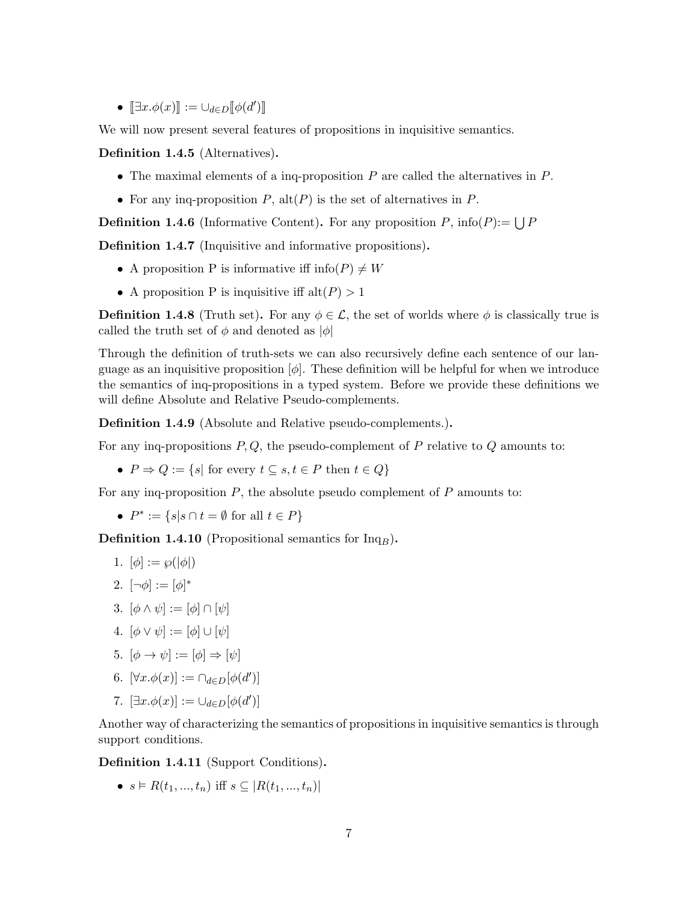•  $[\exists x.\phi(x)] := \cup_{d \in D} [\![\phi(d')]\!]$ 

We will now present several features of propositions in inquisitive semantics.

Definition 1.4.5 (Alternatives).

- The maximal elements of a inq-proposition  $P$  are called the alternatives in  $P$ .
- For any inq-proposition  $P$ , alt $(P)$  is the set of alternatives in  $P$ .

**Definition 1.4.6** (Informative Content). For any proposition P, info(P):=  $\bigcup P$ 

Definition 1.4.7 (Inquisitive and informative propositions).

- A proposition P is informative iff  $info(P) \neq W$
- A proposition P is inquisitive iff  $alt(P) > 1$

**Definition 1.4.8** (Truth set). For any  $\phi \in \mathcal{L}$ , the set of worlds where  $\phi$  is classically true is called the truth set of  $\phi$  and denoted as  $|\phi|$ 

Through the definition of truth-sets we can also recursively define each sentence of our language as an inquisitive proposition  $[\phi]$ . These definition will be helpful for when we introduce the semantics of inq-propositions in a typed system. Before we provide these definitions we will define Absolute and Relative Pseudo-complements.

Definition 1.4.9 (Absolute and Relative pseudo-complements.).

For any inq-propositions  $P, Q$ , the pseudo-complement of  $P$  relative to  $Q$  amounts to:

•  $P \Rightarrow Q := \{s | \text{ for every } t \subseteq s, t \in P \text{ then } t \in Q\}$ 

For any inq-proposition  $P$ , the absolute pseudo complement of  $P$  amounts to:

•  $P^* := \{s | s \cap t = \emptyset \text{ for all } t \in P\}$ 

**Definition 1.4.10** (Propositional semantics for  $Inq_B$ ).

- 1.  $[\phi] := \wp(|\phi|)$
- 2.  $[\neg \phi] := [\phi]^*$
- 3.  $[\phi \wedge \psi] := [\phi] \cap [\psi]$
- 4.  $[\phi \vee \psi] := [\phi] \cup [\psi]$
- 5.  $[\phi \rightarrow \psi] := [\phi] \Rightarrow [\psi]$
- 6.  $[\forall x.\phi(x)]:=\bigcap_{d\in D}[\phi(d')]$
- 7.  $[\exists x.\phi(x)] := \cup_{d \in D} [\phi(d')]$

Another way of characterizing the semantics of propositions in inquisitive semantics is through support conditions.

Definition 1.4.11 (Support Conditions).

•  $s \in R(t_1, ..., t_n)$  iff  $s \subseteq |R(t_1, ..., t_n)|$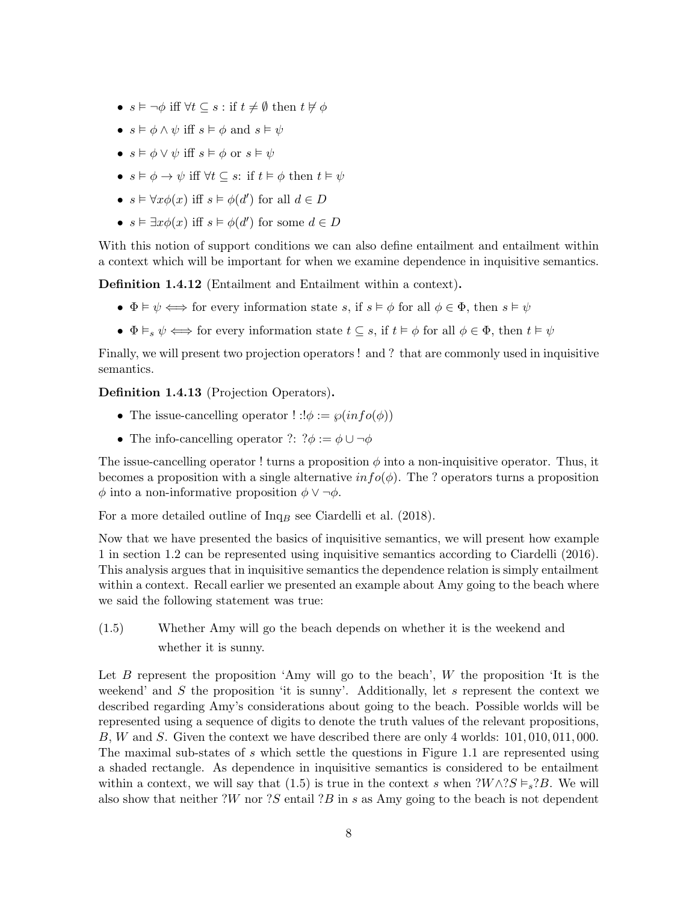- $s \models \neg \phi$  iff  $\forall t \subseteq s : \text{if } t \neq \emptyset \text{ then } t \not\vdash \phi$
- $s \models \phi \land \psi$  iff  $s \models \phi$  and  $s \models \psi$
- $s \models \phi \vee \psi$  iff  $s \models \phi$  or  $s \models \psi$
- $s \models \phi \rightarrow \psi$  iff  $\forall t \subseteq s$ : if  $t \models \phi$  then  $t \models \psi$
- $s \vDash \forall x \phi(x)$  iff  $s \vDash \phi(d')$  for all  $d \in D$
- $s \vDash \exists x \phi(x)$  iff  $s \vDash \phi(d')$  for some  $d \in D$

With this notion of support conditions we can also define entailment and entailment within a context which will be important for when we examine dependence in inquisitive semantics.

Definition 1.4.12 (Entailment and Entailment within a context).

- $\Phi \models \psi \iff \text{for every information state } s, \text{ if } s \models \phi \text{ for all } \phi \in \Phi, \text{ then } s \models \psi$
- $\Phi \vDash_{s} \psi \iff$  for every information state  $t \subseteq s$ , if  $t \vDash \phi$  for all  $\phi \in \Phi$ , then  $t \vDash \psi$

Finally, we will present two projection operators ! and ? that are commonly used in inquisitive semantics.

Definition 1.4.13 (Projection Operators).

- The issue-cancelling operator  $\cdot$  :  $\phi := \wp(info(\phi))$
- The info-cancelling operator ?:  $? \phi := \phi \cup \neg \phi$

The issue-cancelling operator ! turns a proposition  $\phi$  into a non-inquisitive operator. Thus, it becomes a proposition with a single alternative  $\inf o(\phi)$ . The ? operators turns a proposition  $\phi$  into a non-informative proposition  $\phi \vee \neg \phi$ .

For a more detailed outline of  $Inq<sub>B</sub>$  see Ciardelli et al. (2018).

Now that we have presented the basics of inquisitive semantics, we will present how example 1 in section 1.2 can be represented using inquisitive semantics according to Ciardelli (2016). This analysis argues that in inquisitive semantics the dependence relation is simply entailment within a context. Recall earlier we presented an example about Amy going to the beach where we said the following statement was true:

(1.5) Whether Amy will go the beach depends on whether it is the weekend and whether it is sunny.

Let  $B$  represent the proposition 'Amy will go to the beach',  $W$  the proposition 'It is the weekend' and  $S$  the proposition 'it is sunny'. Additionally, let  $s$  represent the context we described regarding Amy's considerations about going to the beach. Possible worlds will be represented using a sequence of digits to denote the truth values of the relevant propositions, B, W and S. Given the context we have described there are only 4 worlds: 101, 010, 011, 000. The maximal sub-states of s which settle the questions in Figure 1.1 are represented using a shaded rectangle. As dependence in inquisitive semantics is considered to be entailment within a context, we will say that (1.5) is true in the context s when  $\mathcal{W} \wedge \mathcal{X} S \models_{s} \mathcal{Y} B$ . We will also show that neither ?W nor ?S entail ?B in s as Amy going to the beach is not dependent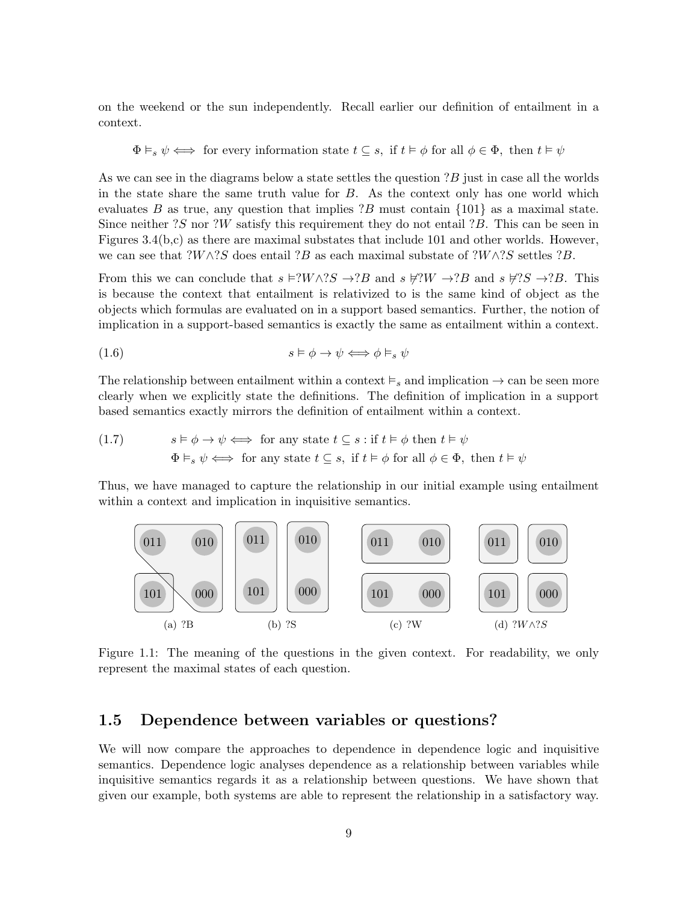on the weekend or the sun independently. Recall earlier our definition of entailment in a context.

$$
\Phi \vDash_s \psi \iff \text{ for every information state } t \subseteq s, \text{ if } t \vDash \phi \text{ for all } \phi \in \Phi, \text{ then } t \vDash \psi
$$

As we can see in the diagrams below a state settles the question ?B just in case all the worlds in the state share the same truth value for B. As the context only has one world which evaluates B as true, any question that implies  $?B$  must contain  $\{101\}$  as a maximal state. Since neither  $?S$  nor  $?W$  satisfy this requirement they do not entail  $?B$ . This can be seen in Figures 3.4(b,c) as there are maximal substates that include 101 and other worlds. However, we can see that  $?W\wedge ?S$  does entail  $?B$  as each maximal substate of  $?W\wedge ?S$  settles  $?B$ .

From this we can conclude that  $s \in ?W \land ?S \rightarrow ?B$  and  $s \not\in ?W \rightarrow ?B$  and  $s \not\in ?S \rightarrow ?B$ . This is because the context that entailment is relativized to is the same kind of object as the objects which formulas are evaluated on in a support based semantics. Further, the notion of implication in a support-based semantics is exactly the same as entailment within a context.

(1.6) 
$$
s \vDash \phi \to \psi \Longleftrightarrow \phi \vDash_s \psi
$$

The relationship between entailment within a context  $\models_s$  and implication  $\rightarrow$  can be seen more clearly when we explicitly state the definitions. The definition of implication in a support based semantics exactly mirrors the definition of entailment within a context.

(1.7) 
$$
s \vDash \phi \rightarrow \psi \Longleftrightarrow \text{ for any state } t \subseteq s: \text{ if } t \vDash \phi \text{ then } t \vDash \psi
$$

$$
\Phi \vDash_s \psi \Longleftrightarrow \text{ for any state } t \subseteq s, \text{ if } t \vDash \phi \text{ for all } \phi \in \Phi, \text{ then } t \vDash \psi
$$

Thus, we have managed to capture the relationship in our initial example using entailment within a context and implication in inquisitive semantics.



Figure 1.1: The meaning of the questions in the given context. For readability, we only represent the maximal states of each question.

#### 1.5 Dependence between variables or questions?

We will now compare the approaches to dependence in dependence logic and inquisitive semantics. Dependence logic analyses dependence as a relationship between variables while inquisitive semantics regards it as a relationship between questions. We have shown that given our example, both systems are able to represent the relationship in a satisfactory way.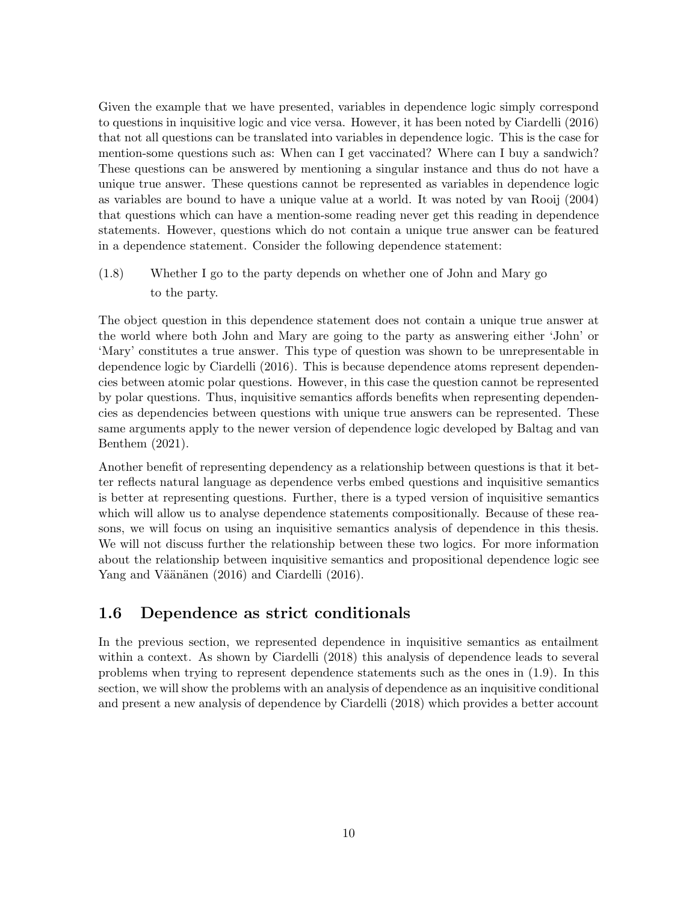Given the example that we have presented, variables in dependence logic simply correspond to questions in inquisitive logic and vice versa. However, it has been noted by Ciardelli (2016) that not all questions can be translated into variables in dependence logic. This is the case for mention-some questions such as: When can I get vaccinated? Where can I buy a sandwich? These questions can be answered by mentioning a singular instance and thus do not have a unique true answer. These questions cannot be represented as variables in dependence logic as variables are bound to have a unique value at a world. It was noted by van Rooij (2004) that questions which can have a mention-some reading never get this reading in dependence statements. However, questions which do not contain a unique true answer can be featured in a dependence statement. Consider the following dependence statement:

(1.8) Whether I go to the party depends on whether one of John and Mary go to the party.

The object question in this dependence statement does not contain a unique true answer at the world where both John and Mary are going to the party as answering either 'John' or 'Mary' constitutes a true answer. This type of question was shown to be unrepresentable in dependence logic by Ciardelli (2016). This is because dependence atoms represent dependencies between atomic polar questions. However, in this case the question cannot be represented by polar questions. Thus, inquisitive semantics affords benefits when representing dependencies as dependencies between questions with unique true answers can be represented. These same arguments apply to the newer version of dependence logic developed by Baltag and van Benthem (2021).

Another benefit of representing dependency as a relationship between questions is that it better reflects natural language as dependence verbs embed questions and inquisitive semantics is better at representing questions. Further, there is a typed version of inquisitive semantics which will allow us to analyse dependence statements compositionally. Because of these reasons, we will focus on using an inquisitive semantics analysis of dependence in this thesis. We will not discuss further the relationship between these two logics. For more information about the relationship between inquisitive semantics and propositional dependence logic see Yang and Väänänen (2016) and Ciardelli (2016).

#### 1.6 Dependence as strict conditionals

In the previous section, we represented dependence in inquisitive semantics as entailment within a context. As shown by Ciardelli (2018) this analysis of dependence leads to several problems when trying to represent dependence statements such as the ones in (1.9). In this section, we will show the problems with an analysis of dependence as an inquisitive conditional and present a new analysis of dependence by Ciardelli (2018) which provides a better account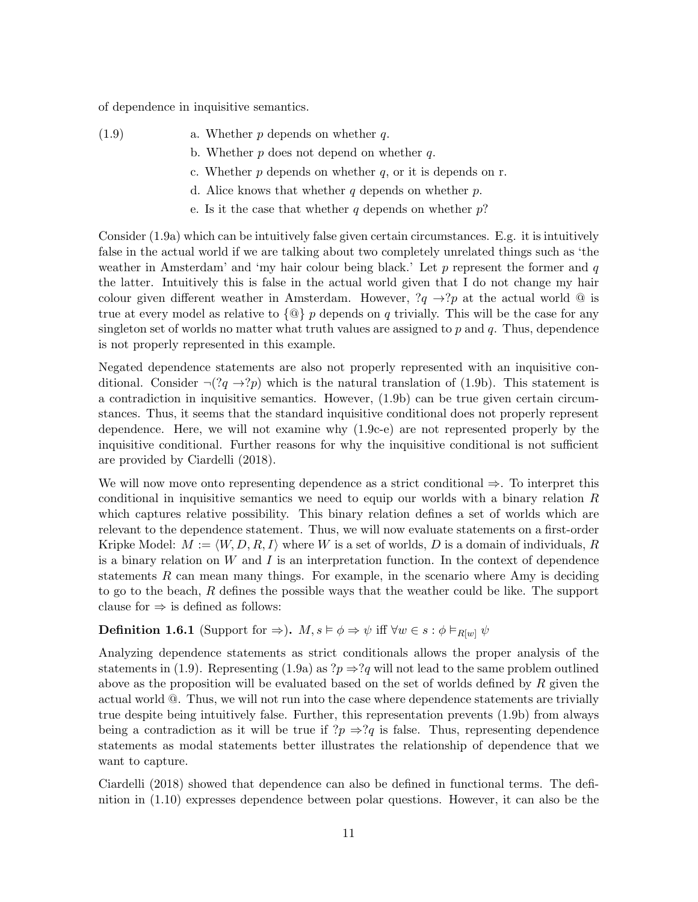of dependence in inquisitive semantics.

- $(1.9)$  a. Whether p depends on whether q.
	- b. Whether  $p$  does not depend on whether  $q$ .
	- c. Whether  $p$  depends on whether  $q$ , or it is depends on r.
	- d. Alice knows that whether  $q$  depends on whether  $p$ .
	- e. Is it the case that whether q depends on whether  $p$ ?

Consider (1.9a) which can be intuitively false given certain circumstances. E.g. it is intuitively false in the actual world if we are talking about two completely unrelated things such as 'the weather in Amsterdam' and 'my hair colour being black.' Let  $p$  represent the former and  $q$ the latter. Intuitively this is false in the actual world given that I do not change my hair colour given different weather in Amsterdam. However,  $?q \rightarrow ?p$  at the actual world @ is true at every model as relative to  $\{\mathbb{Q}\}\ p$  depends on q trivially. This will be the case for any singleton set of worlds no matter what truth values are assigned to  $p$  and  $q$ . Thus, dependence is not properly represented in this example.

Negated dependence statements are also not properly represented with an inquisitive conditional. Consider  $\neg(?q \rightarrow ?p)$  which is the natural translation of (1.9b). This statement is a contradiction in inquisitive semantics. However, (1.9b) can be true given certain circumstances. Thus, it seems that the standard inquisitive conditional does not properly represent dependence. Here, we will not examine why (1.9c-e) are not represented properly by the inquisitive conditional. Further reasons for why the inquisitive conditional is not sufficient are provided by Ciardelli (2018).

We will now move onto representing dependence as a strict conditional ⇒. To interpret this conditional in inquisitive semantics we need to equip our worlds with a binary relation  $R$ which captures relative possibility. This binary relation defines a set of worlds which are relevant to the dependence statement. Thus, we will now evaluate statements on a first-order Kripke Model:  $M := \langle W, D, R, I \rangle$  where W is a set of worlds, D is a domain of individuals, R is a binary relation on  $W$  and  $I$  is an interpretation function. In the context of dependence statements  $R$  can mean many things. For example, in the scenario where Amy is deciding to go to the beach, R defines the possible ways that the weather could be like. The support clause for  $\Rightarrow$  is defined as follows:

#### **Definition 1.6.1** (Support for  $\Rightarrow$ ).  $M, s \models \phi \Rightarrow \psi$  iff  $\forall w \in s : \phi \models_{R[w]} \psi$

Analyzing dependence statements as strict conditionals allows the proper analysis of the statements in (1.9). Representing (1.9a) as  $?p \Rightarrow ?q$  will not lead to the same problem outlined above as the proposition will be evaluated based on the set of worlds defined by R given the actual world @. Thus, we will not run into the case where dependence statements are trivially true despite being intuitively false. Further, this representation prevents (1.9b) from always being a contradiction as it will be true if  $?p \Rightarrow ?q$  is false. Thus, representing dependence statements as modal statements better illustrates the relationship of dependence that we want to capture.

Ciardelli (2018) showed that dependence can also be defined in functional terms. The definition in (1.10) expresses dependence between polar questions. However, it can also be the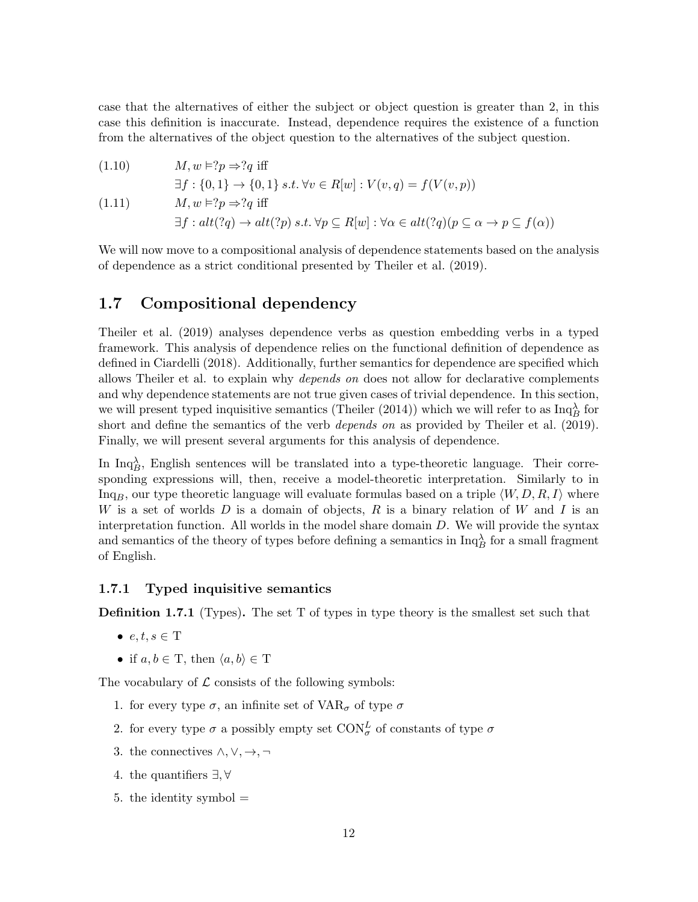case that the alternatives of either the subject or object question is greater than 2, in this case this definition is inaccurate. Instead, dependence requires the existence of a function from the alternatives of the object question to the alternatives of the subject question.

(1.10) 
$$
M, w \models ?p \Rightarrow ?q \text{ iff}
$$

$$
\exists f: \{0, 1\} \to \{0, 1\} \ s.t. \ \forall v \in R[w] : V(v, q) = f(V(v, p))
$$

(1.11) 
$$
M, w \models ?p \Rightarrow ?q \text{ iff}
$$

$$
\exists f: alt(?q) \rightarrow alt(?p) \ s.t. \ \forall p \subseteq R[w] : \forall \alpha \in alt(?q)(p \subseteq \alpha \rightarrow p \subseteq f(\alpha))
$$

We will now move to a compositional analysis of dependence statements based on the analysis of dependence as a strict conditional presented by Theiler et al. (2019).

#### 1.7 Compositional dependency

Theiler et al. (2019) analyses dependence verbs as question embedding verbs in a typed framework. This analysis of dependence relies on the functional definition of dependence as defined in Ciardelli (2018). Additionally, further semantics for dependence are specified which allows Theiler et al. to explain why depends on does not allow for declarative complements and why dependence statements are not true given cases of trivial dependence. In this section, we will present typed inquisitive semantics (Theiler (2014)) which we will refer to as  $\text{Inq}_B^{\lambda}$  for short and define the semantics of the verb depends on as provided by Theiler et al. (2019). Finally, we will present several arguments for this analysis of dependence.

In  $\text{Inq}_{B}^{\lambda}$ , English sentences will be translated into a type-theoretic language. Their corresponding expressions will, then, receive a model-theoretic interpretation. Similarly to in Inq<sub>B</sub>, our type theoretic language will evaluate formulas based on a triple  $\langle W, D, R, I \rangle$  where W is a set of worlds D is a domain of objects, R is a binary relation of W and I is an interpretation function. All worlds in the model share domain D. We will provide the syntax and semantics of the theory of types before defining a semantics in  $\text{Inq}_B^{\lambda}$  for a small fragment of English.

#### 1.7.1 Typed inquisitive semantics

Definition 1.7.1 (Types). The set T of types in type theory is the smallest set such that

- $e, t, s \in T$
- if  $a, b \in T$ , then  $\langle a, b \rangle \in T$

The vocabulary of  $\mathcal L$  consists of the following symbols:

- 1. for every type  $\sigma$ , an infinite set of  $VAR_{\sigma}$  of type  $\sigma$
- 2. for every type  $\sigma$  a possibly empty set  $\mathrm{CON}_\sigma^L$  of constants of type  $\sigma$
- 3. the connectives  $\wedge, \vee, \rightarrow, \neg$
- 4. the quantifiers ∃, ∀
- 5. the identity symbol  $=$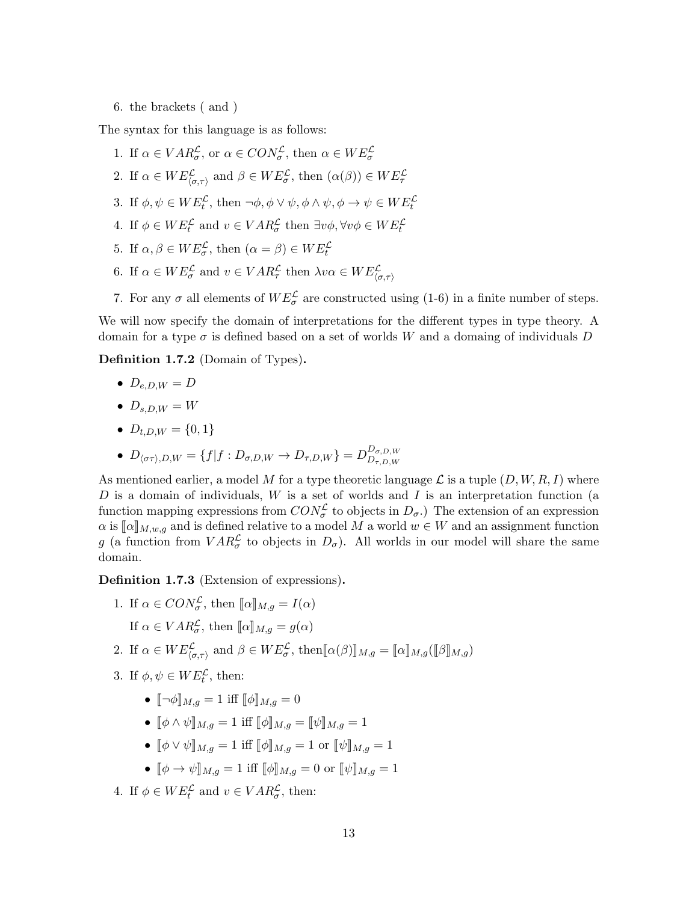6. the brackets ( and )

The syntax for this language is as follows:

- 1. If  $\alpha \in VAR_{\sigma}^{\mathcal{L}}$ , or  $\alpha \in CON_{\sigma}^{\mathcal{L}}$ , then  $\alpha \in WE_{\sigma}^{\mathcal{L}}$
- 2. If  $\alpha \in WE^{\mathcal{L}}_{\langle \sigma, \tau \rangle}$  and  $\beta \in WE^{\mathcal{L}}_{\sigma}$ , then  $(\alpha(\beta)) \in WE^{\mathcal{L}}_{\tau}$
- 3. If  $\phi, \psi \in WE_t^{\mathcal{L}}$ , then  $\neg \phi, \phi \lor \psi, \phi \land \psi, \phi \rightarrow \psi \in WE_t^{\mathcal{L}}$
- 4. If  $\phi \in WE_t^{\mathcal{L}}$  and  $v \in VAR_{\sigma}^{\mathcal{L}}$  then  $\exists v\phi, \forall v\phi \in WE_t^{\mathcal{L}}$
- 5. If  $\alpha, \beta \in WE_{\sigma}^{\mathcal{L}}$ , then  $(\alpha = \beta) \in WE_t^{\mathcal{L}}$
- 6. If  $\alpha \in WE^{\mathcal{L}}_{\sigma}$  and  $v \in VAR^{\mathcal{L}}_{\tau}$  then  $\lambda v \alpha \in WE^{\mathcal{L}}_{\langle \sigma, \tau \rangle}$
- 7. For any  $\sigma$  all elements of  $WE_{\sigma}^{\mathcal{L}}$  are constructed using (1-6) in a finite number of steps.

We will now specify the domain of interpretations for the different types in type theory. A domain for a type  $\sigma$  is defined based on a set of worlds W and a domaing of individuals D

Definition 1.7.2 (Domain of Types).

- $\bullet$   $D_{e,D,W} = D$
- $D_{s,DW} = W$
- $D_{t,D,W} = \{0,1\}$
- $D_{\langle \sigma\tau \rangle,D,W} = \{f|f:D_{\sigma,D,W} \to D_{\tau,D,W}\} = D_{D_{\tau,D,W}}^{D_{\sigma,D,W}}$  $D_{\tau,D,W}$

As mentioned earlier, a model M for a type theoretic language  $\mathcal L$  is a tuple  $(D, W, R, I)$  where D is a domain of individuals,  $W$  is a set of worlds and  $I$  is an interpretation function (a function mapping expressions from  $CON^{\mathcal{L}}_{\sigma}$  to objects in  $D_{\sigma}$ .) The extension of an expression  $\alpha$  is  $\llbracket \alpha \rrbracket_{M,w,q}$  and is defined relative to a model M a world  $w \in W$  and an assignment function g (a function from  $VAR^{\mathcal{L}}_{\sigma}$  to objects in  $D_{\sigma}$ ). All worlds in our model will share the same domain.

Definition 1.7.3 (Extension of expressions).

- 1. If  $\alpha \in CON^{\mathcal{L}}_{\sigma}$ , then  $[\![\alpha]\!]_{M,g} = I(\alpha)$ 
	- If  $\alpha \in VAR_{\sigma}^{\mathcal{L}},$  then  $[\![\alpha]\!]_{M,g} = g(\alpha)$
- 2. If  $\alpha \in WE^{\mathcal{L}}_{(\sigma,\tau)}$  and  $\beta \in WE^{\mathcal{L}}_{\sigma}$ , then  $\llbracket \alpha(\beta) \rrbracket_{M,g} = \llbracket \alpha \rrbracket_{M,g} (\llbracket \beta \rrbracket_{M,g})$
- 3. If  $\phi, \psi \in WE_t^{\mathcal{L}},$  then:
	- $\lbrack \lbrack \neg \phi \rbrack \rbrack_{M,q} = 1$  iff  $\lbrack \lbrack \phi \rbrack \rbrack_{M,q} = 0$
	- $\phi \wedge \psi \|_{M,q} = 1$  iff  $\phi \|_{M,q} = \psi \|_{M,q} = 1$
	- $\phi \psi \|_{M,q} = 1$  iff  $\phi \|_{M,q} = 1$  or  $\psi \|_{M,q} = 1$
	- $\phi \phi \rightarrow \psi \parallel_{M,q} = 1$  iff  $\phi \parallel_{M,q} = 0$  or  $\psi \parallel_{M,q} = 1$
- 4. If  $\phi \in WE_t^{\mathcal{L}}$  and  $v \in VAR_{\sigma}^{\mathcal{L}}$ , then: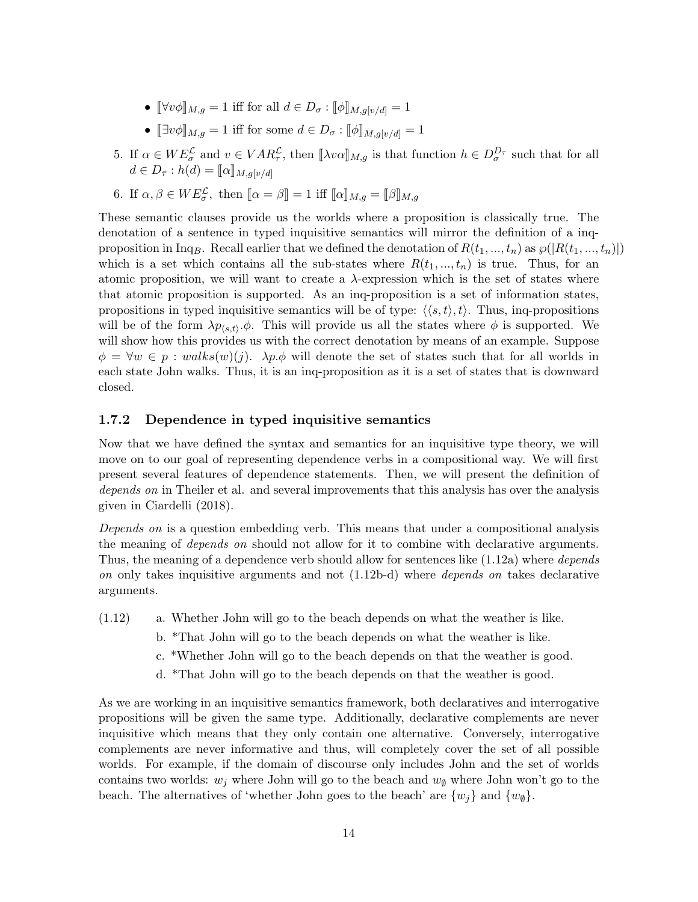- $\[\forall v \phi\]_{M,q} = 1$  iff for all  $d \in D_{\sigma} : [\![\phi]\!]_{M,q[v/d]} = 1$
- $[\exists v \phi]_{M,g} = 1$  iff for some  $d \in D_{\sigma} : [\![\phi]\!]_{M,q[v/d]} = 1$
- 5. If  $\alpha \in WE^{\mathcal{L}}_{\sigma}$  and  $v \in VAR^{\mathcal{L}}_{\tau}$ , then  $[\![\lambda v\alpha]\!]_{M,g}$  is that function  $h \in D^{D_{\tau}}_{\sigma}$  such that for all  $d \in D_{\tau}$ ,  $h(d) = \lceil a \rceil$  $d \in D_{\tau}: h(d) = [\![\alpha]\!]_{M,g[v/d]}$
- 6. If  $\alpha, \beta \in WE^{\mathcal{L}}_{\sigma}$ , then  $\llbracket \alpha = \beta \rrbracket = 1$  iff  $\llbracket \alpha \rrbracket_{M,g} = \llbracket \beta \rrbracket_{M,g}$

These semantic clauses provide us the worlds where a proposition is classically true. The denotation of a sentence in typed inquisitive semantics will mirror the definition of a inqproposition in Inq<sub>B</sub>. Recall earlier that we defined the denotation of  $R(t_1, ..., t_n)$  as  $\wp(|R(t_1, ..., t_n)|)$ which is a set which contains all the sub-states where  $R(t_1, ..., t_n)$  is true. Thus, for an atomic proposition, we will want to create a  $\lambda$ -expression which is the set of states where that atomic proposition is supported. As an inq-proposition is a set of information states, propositions in typed inquisitive semantics will be of type:  $\langle \langle s,t \rangle, t \rangle$ . Thus, inq-propositions will be of the form  $\lambda p_{\langle s,t\rangle}$ . $\phi$ . This will provide us all the states where  $\phi$  is supported. We will show how this provides us with the correct denotation by means of an example. Suppose  $\phi = \forall w \in p : walks(w)(j).$   $\lambda p.\phi$  will denote the set of states such that for all worlds in each state John walks. Thus, it is an inq-proposition as it is a set of states that is downward closed.

#### 1.7.2 Dependence in typed inquisitive semantics

Now that we have defined the syntax and semantics for an inquisitive type theory, we will move on to our goal of representing dependence verbs in a compositional way. We will first present several features of dependence statements. Then, we will present the definition of depends on in Theiler et al. and several improvements that this analysis has over the analysis given in Ciardelli (2018).

Depends on is a question embedding verb. This means that under a compositional analysis the meaning of depends on should not allow for it to combine with declarative arguments. Thus, the meaning of a dependence verb should allow for sentences like  $(1.12a)$  where *depends* on only takes inquisitive arguments and not (1.12b-d) where depends on takes declarative arguments.

- (1.12) a. Whether John will go to the beach depends on what the weather is like.
	- b. \*That John will go to the beach depends on what the weather is like.
	- c. \*Whether John will go to the beach depends on that the weather is good.
	- d. \*That John will go to the beach depends on that the weather is good.

As we are working in an inquisitive semantics framework, both declaratives and interrogative propositions will be given the same type. Additionally, declarative complements are never inquisitive which means that they only contain one alternative. Conversely, interrogative complements are never informative and thus, will completely cover the set of all possible worlds. For example, if the domain of discourse only includes John and the set of worlds contains two worlds:  $w_j$  where John will go to the beach and  $w_{\emptyset}$  where John won't go to the beach. The alternatives of 'whether John goes to the beach' are  $\{w_i\}$  and  $\{w_{\emptyset}\}\$ .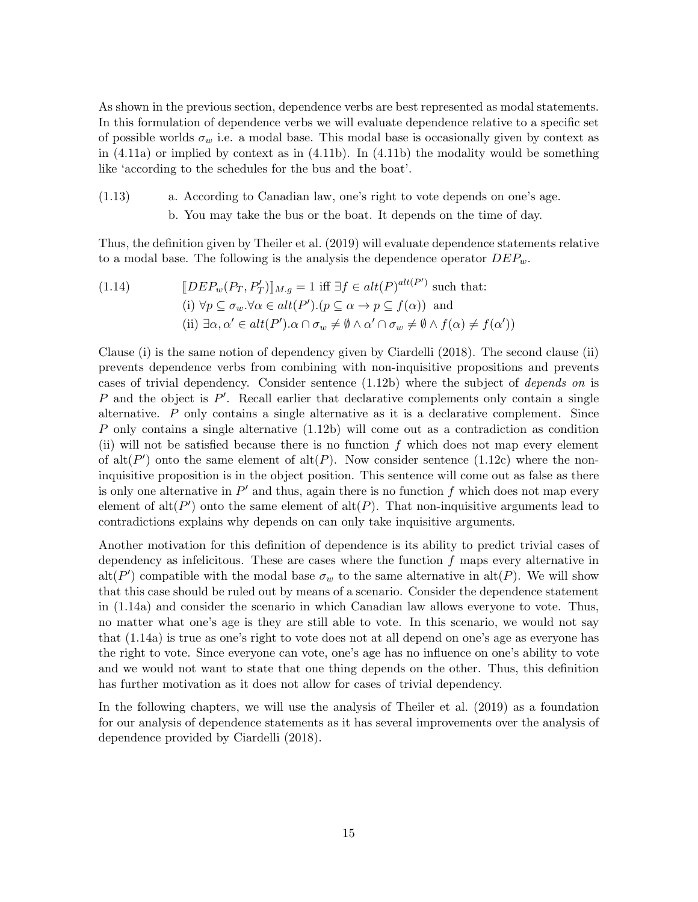As shown in the previous section, dependence verbs are best represented as modal statements. In this formulation of dependence verbs we will evaluate dependence relative to a specific set of possible worlds  $\sigma_w$  i.e. a modal base. This modal base is occasionally given by context as in (4.11a) or implied by context as in (4.11b). In (4.11b) the modality would be something like 'according to the schedules for the bus and the boat'.

(1.13) a. According to Canadian law, one's right to vote depends on one's age. b. You may take the bus or the boat. It depends on the time of day.

Thus, the definition given by Theiler et al. (2019) will evaluate dependence statements relative to a modal base. The following is the analysis the dependence operator  $DEP_w$ .

(1.14) 
$$
[DEF_w(P_T, P'_T)]_{M,g} = 1 \text{ iff } \exists f \in alt(P)^{alt(P')} \text{ such that:}
$$
  
\n(i)  $\forall p \subseteq \sigma_w. \forall \alpha \in alt(P').(p \subseteq \alpha \to p \subseteq f(\alpha)) \text{ and}$   
\n(ii)  $\exists \alpha, \alpha' \in alt(P').\alpha \cap \sigma_w \neq \emptyset \land \alpha' \cap \sigma_w \neq \emptyset \land f(\alpha) \neq f(\alpha'))$ 

Clause (i) is the same notion of dependency given by Ciardelli (2018). The second clause (ii) prevents dependence verbs from combining with non-inquisitive propositions and prevents cases of trivial dependency. Consider sentence (1.12b) where the subject of depends on is  $P$  and the object is  $P'$ . Recall earlier that declarative complements only contain a single alternative. P only contains a single alternative as it is a declarative complement. Since P only contains a single alternative (1.12b) will come out as a contradiction as condition (ii) will not be satisfied because there is no function  $f$  which does not map every element of alt( $P'$ ) onto the same element of alt( $P$ ). Now consider sentence (1.12c) where the noninquisitive proposition is in the object position. This sentence will come out as false as there is only one alternative in  $P'$  and thus, again there is no function f which does not map every element of  $\text{alt}(P')$  onto the same element of  $\text{alt}(P)$ . That non-inquisitive arguments lead to contradictions explains why depends on can only take inquisitive arguments.

Another motivation for this definition of dependence is its ability to predict trivial cases of dependency as infelicitous. These are cases where the function  $f$  maps every alternative in alt(P') compatible with the modal base  $\sigma_w$  to the same alternative in alt(P). We will show that this case should be ruled out by means of a scenario. Consider the dependence statement in (1.14a) and consider the scenario in which Canadian law allows everyone to vote. Thus, no matter what one's age is they are still able to vote. In this scenario, we would not say that (1.14a) is true as one's right to vote does not at all depend on one's age as everyone has the right to vote. Since everyone can vote, one's age has no influence on one's ability to vote and we would not want to state that one thing depends on the other. Thus, this definition has further motivation as it does not allow for cases of trivial dependency.

In the following chapters, we will use the analysis of Theiler et al. (2019) as a foundation for our analysis of dependence statements as it has several improvements over the analysis of dependence provided by Ciardelli (2018).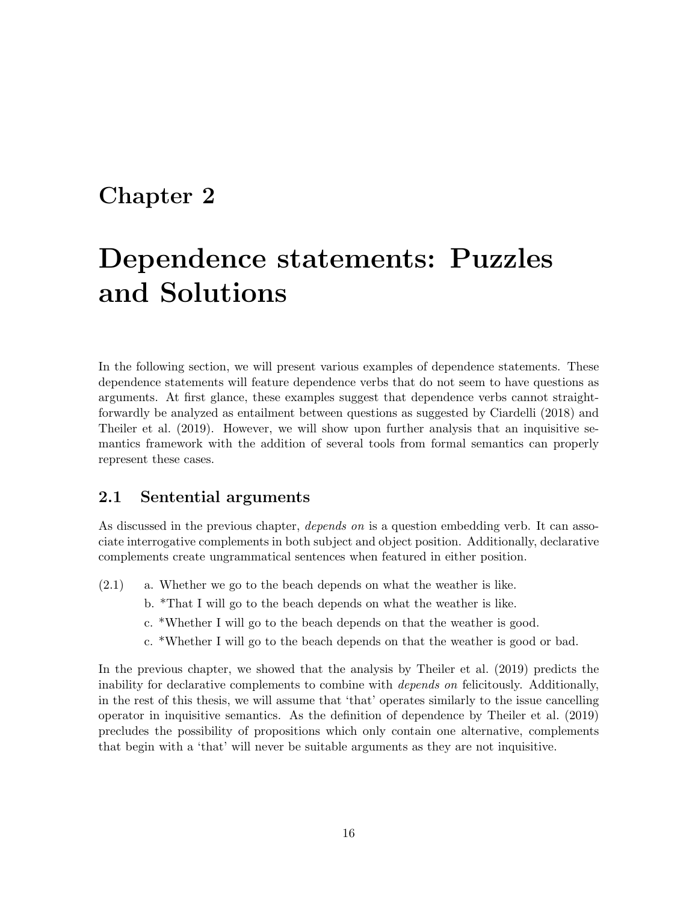### Chapter 2

## Dependence statements: Puzzles and Solutions

In the following section, we will present various examples of dependence statements. These dependence statements will feature dependence verbs that do not seem to have questions as arguments. At first glance, these examples suggest that dependence verbs cannot straightforwardly be analyzed as entailment between questions as suggested by Ciardelli (2018) and Theiler et al. (2019). However, we will show upon further analysis that an inquisitive semantics framework with the addition of several tools from formal semantics can properly represent these cases.

#### 2.1 Sentential arguments

As discussed in the previous chapter, *depends on* is a question embedding verb. It can associate interrogative complements in both subject and object position. Additionally, declarative complements create ungrammatical sentences when featured in either position.

- (2.1) a. Whether we go to the beach depends on what the weather is like.
	- b. \*That I will go to the beach depends on what the weather is like.
	- c. \*Whether I will go to the beach depends on that the weather is good.
	- c. \*Whether I will go to the beach depends on that the weather is good or bad.

In the previous chapter, we showed that the analysis by Theiler et al. (2019) predicts the inability for declarative complements to combine with depends on felicitously. Additionally, in the rest of this thesis, we will assume that 'that' operates similarly to the issue cancelling operator in inquisitive semantics. As the definition of dependence by Theiler et al. (2019) precludes the possibility of propositions which only contain one alternative, complements that begin with a 'that' will never be suitable arguments as they are not inquisitive.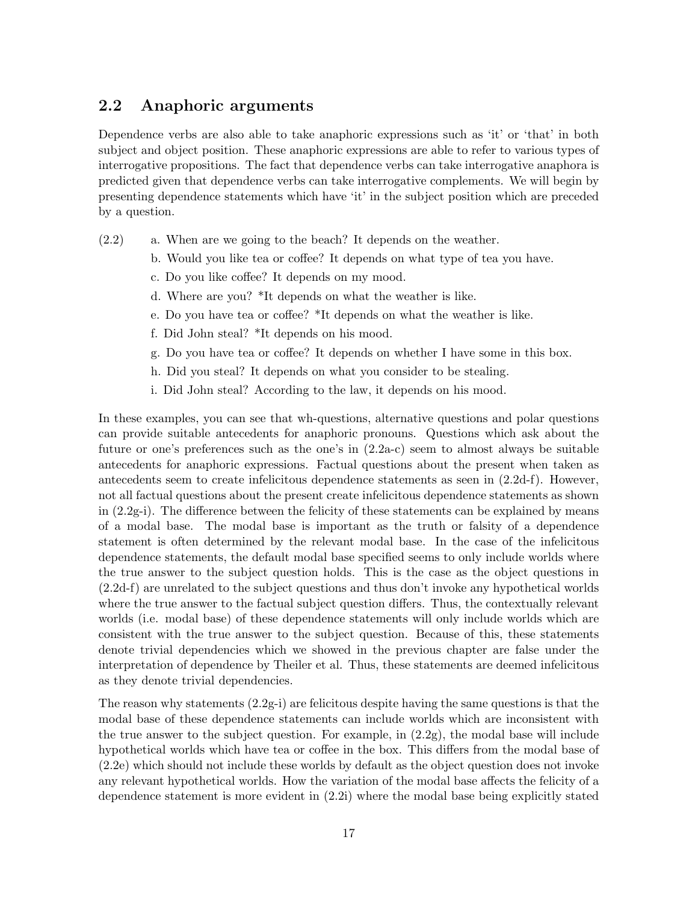#### 2.2 Anaphoric arguments

Dependence verbs are also able to take anaphoric expressions such as 'it' or 'that' in both subject and object position. These anaphoric expressions are able to refer to various types of interrogative propositions. The fact that dependence verbs can take interrogative anaphora is predicted given that dependence verbs can take interrogative complements. We will begin by presenting dependence statements which have 'it' in the subject position which are preceded by a question.

- $(2.2)$  a. When are we going to the beach? It depends on the weather.
	- b. Would you like tea or coffee? It depends on what type of tea you have.
	- c. Do you like coffee? It depends on my mood.
	- d. Where are you? \*It depends on what the weather is like.
	- e. Do you have tea or coffee? \*It depends on what the weather is like.
	- f. Did John steal? \*It depends on his mood.
	- g. Do you have tea or coffee? It depends on whether I have some in this box.
	- h. Did you steal? It depends on what you consider to be stealing.
	- i. Did John steal? According to the law, it depends on his mood.

In these examples, you can see that wh-questions, alternative questions and polar questions can provide suitable antecedents for anaphoric pronouns. Questions which ask about the future or one's preferences such as the one's in (2.2a-c) seem to almost always be suitable antecedents for anaphoric expressions. Factual questions about the present when taken as antecedents seem to create infelicitous dependence statements as seen in (2.2d-f). However, not all factual questions about the present create infelicitous dependence statements as shown in (2.2g-i). The difference between the felicity of these statements can be explained by means of a modal base. The modal base is important as the truth or falsity of a dependence statement is often determined by the relevant modal base. In the case of the infelicitous dependence statements, the default modal base specified seems to only include worlds where the true answer to the subject question holds. This is the case as the object questions in (2.2d-f) are unrelated to the subject questions and thus don't invoke any hypothetical worlds where the true answer to the factual subject question differs. Thus, the contextually relevant worlds (i.e. modal base) of these dependence statements will only include worlds which are consistent with the true answer to the subject question. Because of this, these statements denote trivial dependencies which we showed in the previous chapter are false under the interpretation of dependence by Theiler et al. Thus, these statements are deemed infelicitous as they denote trivial dependencies.

The reason why statements  $(2.2g-i)$  are felicitous despite having the same questions is that the modal base of these dependence statements can include worlds which are inconsistent with the true answer to the subject question. For example, in (2.2g), the modal base will include hypothetical worlds which have tea or coffee in the box. This differs from the modal base of (2.2e) which should not include these worlds by default as the object question does not invoke any relevant hypothetical worlds. How the variation of the modal base affects the felicity of a dependence statement is more evident in (2.2i) where the modal base being explicitly stated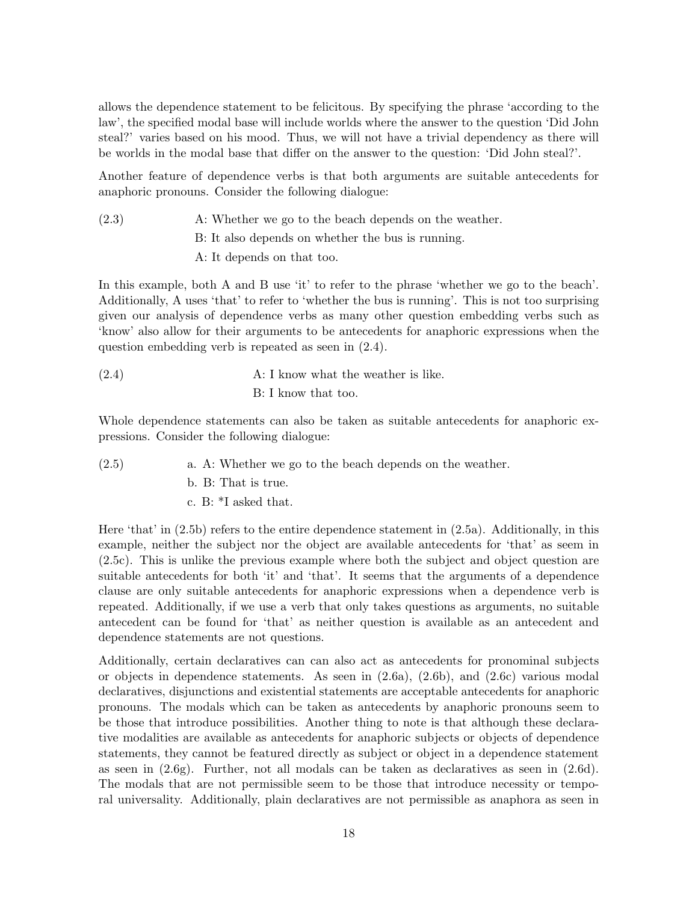allows the dependence statement to be felicitous. By specifying the phrase 'according to the law', the specified modal base will include worlds where the answer to the question 'Did John steal?' varies based on his mood. Thus, we will not have a trivial dependency as there will be worlds in the modal base that differ on the answer to the question: 'Did John steal?'.

Another feature of dependence verbs is that both arguments are suitable antecedents for anaphoric pronouns. Consider the following dialogue:

(2.3) A: Whether we go to the beach depends on the weather. B: It also depends on whether the bus is running. A: It depends on that too.

In this example, both A and B use 'it' to refer to the phrase 'whether we go to the beach'. Additionally, A uses 'that' to refer to 'whether the bus is running'. This is not too surprising given our analysis of dependence verbs as many other question embedding verbs such as 'know' also allow for their arguments to be antecedents for anaphoric expressions when the question embedding verb is repeated as seen in (2.4).

 $(2.4)$  A: I know what the weather is like. B: I know that too.

Whole dependence statements can also be taken as suitable antecedents for anaphoric expressions. Consider the following dialogue:

- (2.5) a. A: Whether we go to the beach depends on the weather.
	- b. B: That is true.
	- c. B: \*I asked that.

Here 'that' in (2.5b) refers to the entire dependence statement in (2.5a). Additionally, in this example, neither the subject nor the object are available antecedents for 'that' as seem in (2.5c). This is unlike the previous example where both the subject and object question are suitable antecedents for both 'it' and 'that'. It seems that the arguments of a dependence clause are only suitable antecedents for anaphoric expressions when a dependence verb is repeated. Additionally, if we use a verb that only takes questions as arguments, no suitable antecedent can be found for 'that' as neither question is available as an antecedent and dependence statements are not questions.

Additionally, certain declaratives can can also act as antecedents for pronominal subjects or objects in dependence statements. As seen in  $(2.6a)$ ,  $(2.6b)$ , and  $(2.6c)$  various modal declaratives, disjunctions and existential statements are acceptable antecedents for anaphoric pronouns. The modals which can be taken as antecedents by anaphoric pronouns seem to be those that introduce possibilities. Another thing to note is that although these declarative modalities are available as antecedents for anaphoric subjects or objects of dependence statements, they cannot be featured directly as subject or object in a dependence statement as seen in (2.6g). Further, not all modals can be taken as declaratives as seen in (2.6d). The modals that are not permissible seem to be those that introduce necessity or temporal universality. Additionally, plain declaratives are not permissible as anaphora as seen in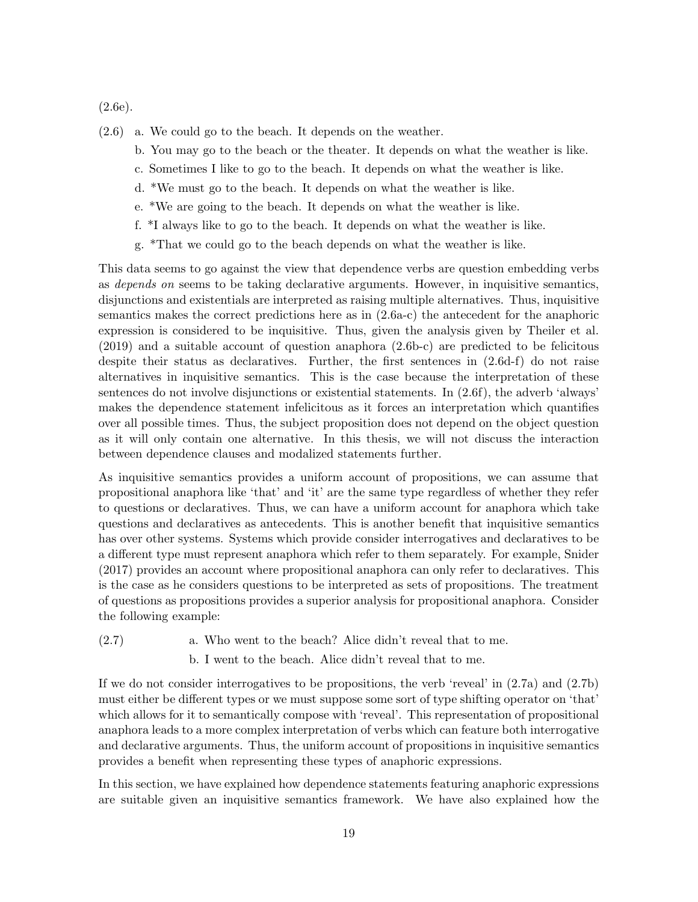(2.6e).

- $(2.6)$  a. We could go to the beach. It depends on the weather.
	- b. You may go to the beach or the theater. It depends on what the weather is like.
	- c. Sometimes I like to go to the beach. It depends on what the weather is like.
	- d. \*We must go to the beach. It depends on what the weather is like.
	- e. \*We are going to the beach. It depends on what the weather is like.
	- f. \*I always like to go to the beach. It depends on what the weather is like.
	- g. \*That we could go to the beach depends on what the weather is like.

This data seems to go against the view that dependence verbs are question embedding verbs as depends on seems to be taking declarative arguments. However, in inquisitive semantics, disjunctions and existentials are interpreted as raising multiple alternatives. Thus, inquisitive semantics makes the correct predictions here as in (2.6a-c) the antecedent for the anaphoric expression is considered to be inquisitive. Thus, given the analysis given by Theiler et al. (2019) and a suitable account of question anaphora (2.6b-c) are predicted to be felicitous despite their status as declaratives. Further, the first sentences in (2.6d-f) do not raise alternatives in inquisitive semantics. This is the case because the interpretation of these sentences do not involve disjunctions or existential statements. In (2.6f), the adverb 'always' makes the dependence statement infelicitous as it forces an interpretation which quantifies over all possible times. Thus, the subject proposition does not depend on the object question as it will only contain one alternative. In this thesis, we will not discuss the interaction between dependence clauses and modalized statements further.

As inquisitive semantics provides a uniform account of propositions, we can assume that propositional anaphora like 'that' and 'it' are the same type regardless of whether they refer to questions or declaratives. Thus, we can have a uniform account for anaphora which take questions and declaratives as antecedents. This is another benefit that inquisitive semantics has over other systems. Systems which provide consider interrogatives and declaratives to be a different type must represent anaphora which refer to them separately. For example, Snider (2017) provides an account where propositional anaphora can only refer to declaratives. This is the case as he considers questions to be interpreted as sets of propositions. The treatment of questions as propositions provides a superior analysis for propositional anaphora. Consider the following example:

(2.7) a. Who went to the beach? Alice didn't reveal that to me.

b. I went to the beach. Alice didn't reveal that to me.

If we do not consider interrogatives to be propositions, the verb 'reveal' in  $(2.7a)$  and  $(2.7b)$ must either be different types or we must suppose some sort of type shifting operator on 'that' which allows for it to semantically compose with 'reveal'. This representation of propositional anaphora leads to a more complex interpretation of verbs which can feature both interrogative and declarative arguments. Thus, the uniform account of propositions in inquisitive semantics provides a benefit when representing these types of anaphoric expressions.

In this section, we have explained how dependence statements featuring anaphoric expressions are suitable given an inquisitive semantics framework. We have also explained how the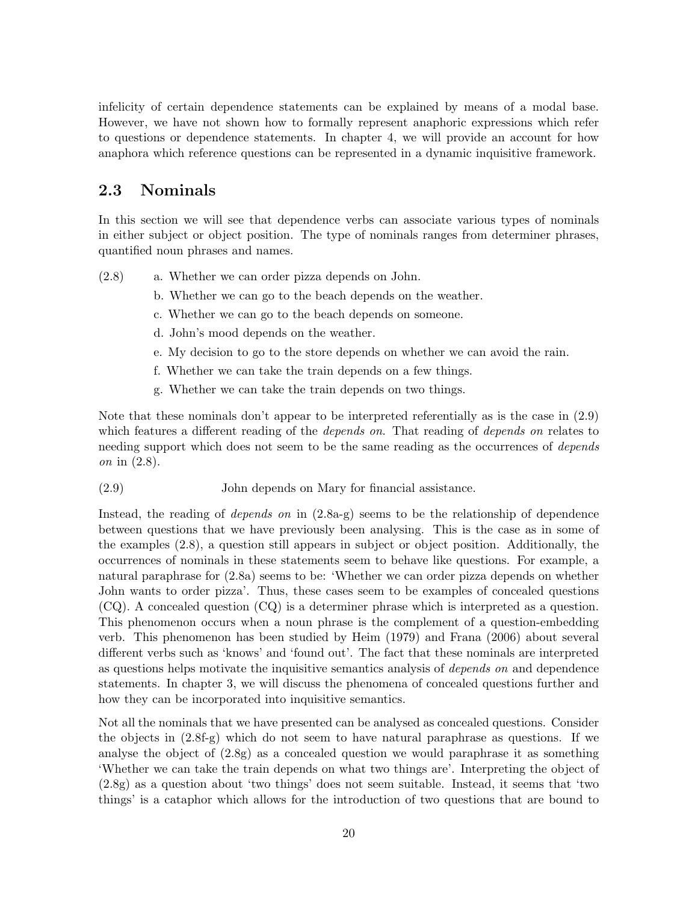infelicity of certain dependence statements can be explained by means of a modal base. However, we have not shown how to formally represent anaphoric expressions which refer to questions or dependence statements. In chapter 4, we will provide an account for how anaphora which reference questions can be represented in a dynamic inquisitive framework.

#### 2.3 Nominals

In this section we will see that dependence verbs can associate various types of nominals in either subject or object position. The type of nominals ranges from determiner phrases, quantified noun phrases and names.

- $(2.8)$  a. Whether we can order pizza depends on John.
	- b. Whether we can go to the beach depends on the weather.
	- c. Whether we can go to the beach depends on someone.
	- d. John's mood depends on the weather.
	- e. My decision to go to the store depends on whether we can avoid the rain.
	- f. Whether we can take the train depends on a few things.
	- g. Whether we can take the train depends on two things.

Note that these nominals don't appear to be interpreted referentially as is the case in (2.9) which features a different reading of the *depends on*. That reading of *depends on* relates to needing support which does not seem to be the same reading as the occurrences of *depends* on in (2.8).

John depends on Mary for financial assistance.(2.9)

Instead, the reading of depends on in (2.8a-g) seems to be the relationship of dependence between questions that we have previously been analysing. This is the case as in some of the examples (2.8), a question still appears in subject or object position. Additionally, the occurrences of nominals in these statements seem to behave like questions. For example, a natural paraphrase for (2.8a) seems to be: 'Whether we can order pizza depends on whether John wants to order pizza'. Thus, these cases seem to be examples of concealed questions (CQ). A concealed question (CQ) is a determiner phrase which is interpreted as a question. This phenomenon occurs when a noun phrase is the complement of a question-embedding verb. This phenomenon has been studied by Heim (1979) and Frana (2006) about several different verbs such as 'knows' and 'found out'. The fact that these nominals are interpreted as questions helps motivate the inquisitive semantics analysis of depends on and dependence statements. In chapter 3, we will discuss the phenomena of concealed questions further and how they can be incorporated into inquisitive semantics.

Not all the nominals that we have presented can be analysed as concealed questions. Consider the objects in (2.8f-g) which do not seem to have natural paraphrase as questions. If we analyse the object of (2.8g) as a concealed question we would paraphrase it as something 'Whether we can take the train depends on what two things are'. Interpreting the object of (2.8g) as a question about 'two things' does not seem suitable. Instead, it seems that 'two things' is a cataphor which allows for the introduction of two questions that are bound to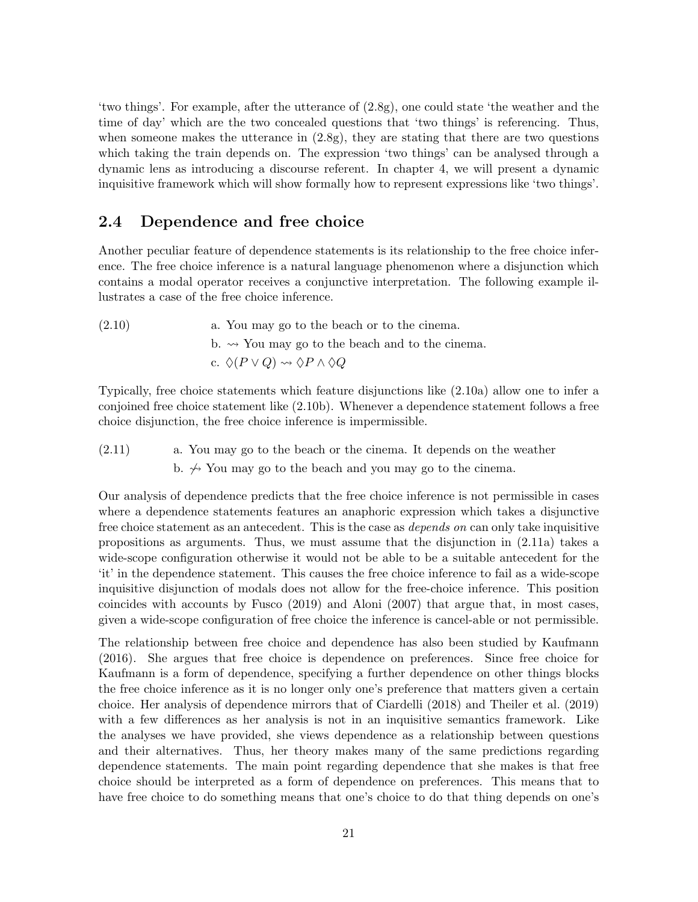'two things'. For example, after the utterance of (2.8g), one could state 'the weather and the time of day' which are the two concealed questions that 'two things' is referencing. Thus, when someone makes the utterance in (2.8g), they are stating that there are two questions which taking the train depends on. The expression 'two things' can be analysed through a dynamic lens as introducing a discourse referent. In chapter 4, we will present a dynamic inquisitive framework which will show formally how to represent expressions like 'two things'.

#### 2.4 Dependence and free choice

Another peculiar feature of dependence statements is its relationship to the free choice inference. The free choice inference is a natural language phenomenon where a disjunction which contains a modal operator receives a conjunctive interpretation. The following example illustrates a case of the free choice inference.

 $(2.10)$  a. You may go to the beach or to the cinema. b.  $\rightarrow$  You may go to the beach and to the cinema. c.  $\Diamond (P \lor Q) \leadsto \Diamond P \land \Diamond Q$ 

Typically, free choice statements which feature disjunctions like (2.10a) allow one to infer a conjoined free choice statement like (2.10b). Whenever a dependence statement follows a free choice disjunction, the free choice inference is impermissible.

(2.11) a. You may go to the beach or the cinema. It depends on the weather b.  $\leftrightarrow$  You may go to the beach and you may go to the cinema.

Our analysis of dependence predicts that the free choice inference is not permissible in cases where a dependence statements features an anaphoric expression which takes a disjunctive free choice statement as an antecedent. This is the case as *depends on* can only take inquisitive propositions as arguments. Thus, we must assume that the disjunction in (2.11a) takes a wide-scope configuration otherwise it would not be able to be a suitable antecedent for the 'it' in the dependence statement. This causes the free choice inference to fail as a wide-scope inquisitive disjunction of modals does not allow for the free-choice inference. This position coincides with accounts by Fusco (2019) and Aloni (2007) that argue that, in most cases, given a wide-scope configuration of free choice the inference is cancel-able or not permissible.

The relationship between free choice and dependence has also been studied by Kaufmann (2016). She argues that free choice is dependence on preferences. Since free choice for Kaufmann is a form of dependence, specifying a further dependence on other things blocks the free choice inference as it is no longer only one's preference that matters given a certain choice. Her analysis of dependence mirrors that of Ciardelli (2018) and Theiler et al. (2019) with a few differences as her analysis is not in an inquisitive semantics framework. Like the analyses we have provided, she views dependence as a relationship between questions and their alternatives. Thus, her theory makes many of the same predictions regarding dependence statements. The main point regarding dependence that she makes is that free choice should be interpreted as a form of dependence on preferences. This means that to have free choice to do something means that one's choice to do that thing depends on one's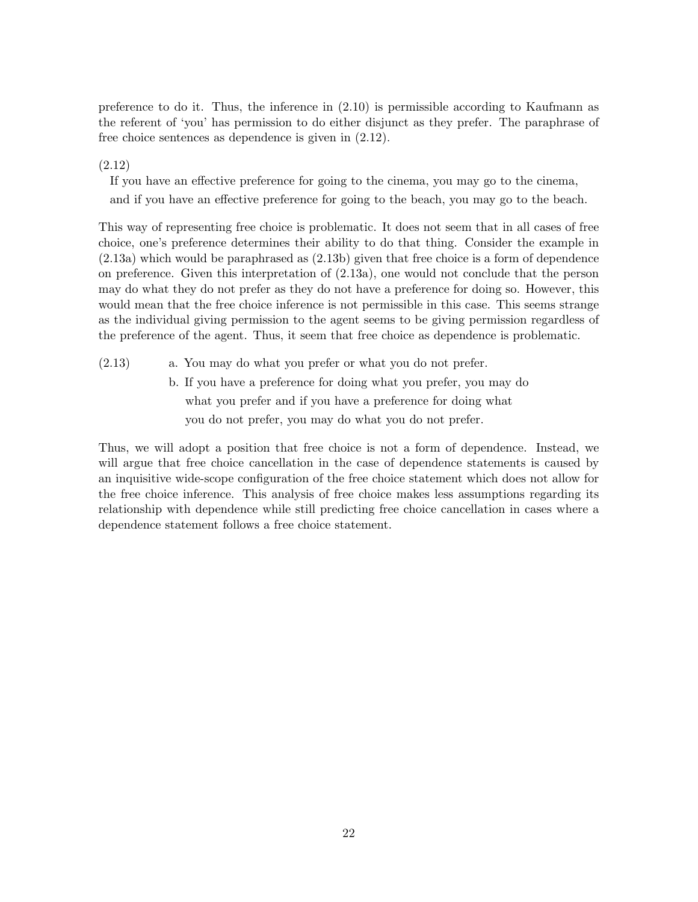preference to do it. Thus, the inference in (2.10) is permissible according to Kaufmann as the referent of 'you' has permission to do either disjunct as they prefer. The paraphrase of free choice sentences as dependence is given in (2.12).

(2.12)

If you have an effective preference for going to the cinema, you may go to the cinema,

and if you have an effective preference for going to the beach, you may go to the beach.

This way of representing free choice is problematic. It does not seem that in all cases of free choice, one's preference determines their ability to do that thing. Consider the example in (2.13a) which would be paraphrased as (2.13b) given that free choice is a form of dependence on preference. Given this interpretation of (2.13a), one would not conclude that the person may do what they do not prefer as they do not have a preference for doing so. However, this would mean that the free choice inference is not permissible in this case. This seems strange as the individual giving permission to the agent seems to be giving permission regardless of the preference of the agent. Thus, it seem that free choice as dependence is problematic.

- $(2.13)$  a. You may do what you prefer or what you do not prefer.
	- b. If you have a preference for doing what you prefer, you may do what you prefer and if you have a preference for doing what you do not prefer, you may do what you do not prefer.

Thus, we will adopt a position that free choice is not a form of dependence. Instead, we will argue that free choice cancellation in the case of dependence statements is caused by an inquisitive wide-scope configuration of the free choice statement which does not allow for the free choice inference. This analysis of free choice makes less assumptions regarding its relationship with dependence while still predicting free choice cancellation in cases where a dependence statement follows a free choice statement.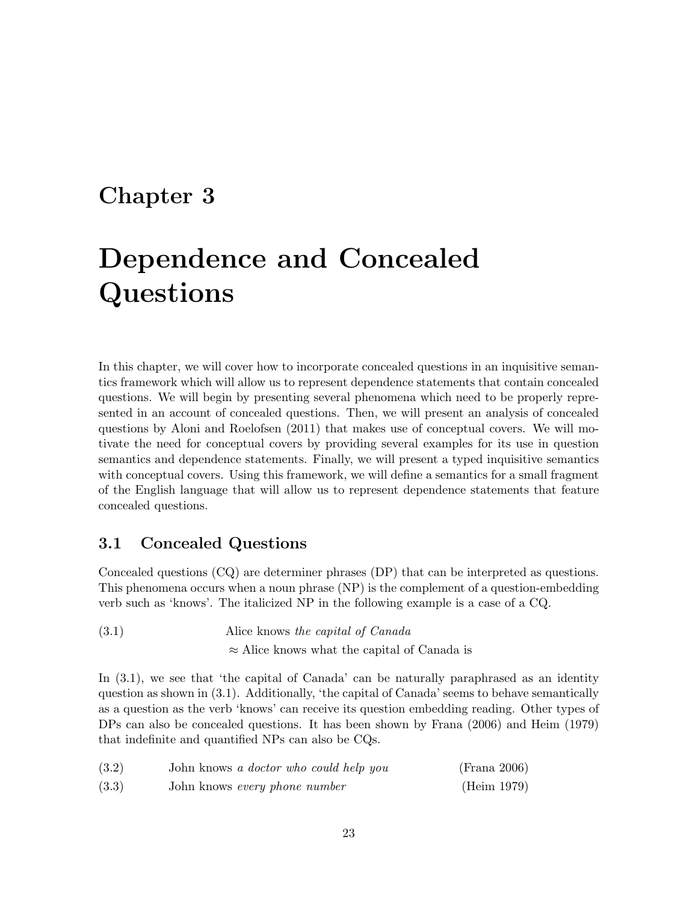### Chapter 3

## Dependence and Concealed Questions

In this chapter, we will cover how to incorporate concealed questions in an inquisitive semantics framework which will allow us to represent dependence statements that contain concealed questions. We will begin by presenting several phenomena which need to be properly represented in an account of concealed questions. Then, we will present an analysis of concealed questions by Aloni and Roelofsen (2011) that makes use of conceptual covers. We will motivate the need for conceptual covers by providing several examples for its use in question semantics and dependence statements. Finally, we will present a typed inquisitive semantics with conceptual covers. Using this framework, we will define a semantics for a small fragment of the English language that will allow us to represent dependence statements that feature concealed questions.

#### 3.1 Concealed Questions

Concealed questions (CQ) are determiner phrases (DP) that can be interpreted as questions. This phenomena occurs when a noun phrase (NP) is the complement of a question-embedding verb such as 'knows'. The italicized NP in the following example is a case of a CQ.

(3.1) Alice knows the capital of Canada ≈ Alice knows what the capital of Canada is

In (3.1), we see that 'the capital of Canada' can be naturally paraphrased as an identity question as shown in (3.1). Additionally, 'the capital of Canada' seems to behave semantically as a question as the verb 'knows' can receive its question embedding reading. Other types of DPs can also be concealed questions. It has been shown by Frana (2006) and Heim (1979) that indefinite and quantified NPs can also be CQs.

| (3.2) | John knows a doctor who could help you | (Frana 2006) |
|-------|----------------------------------------|--------------|
| (3.3) | John knows every phone number          | (Heim 1979)  |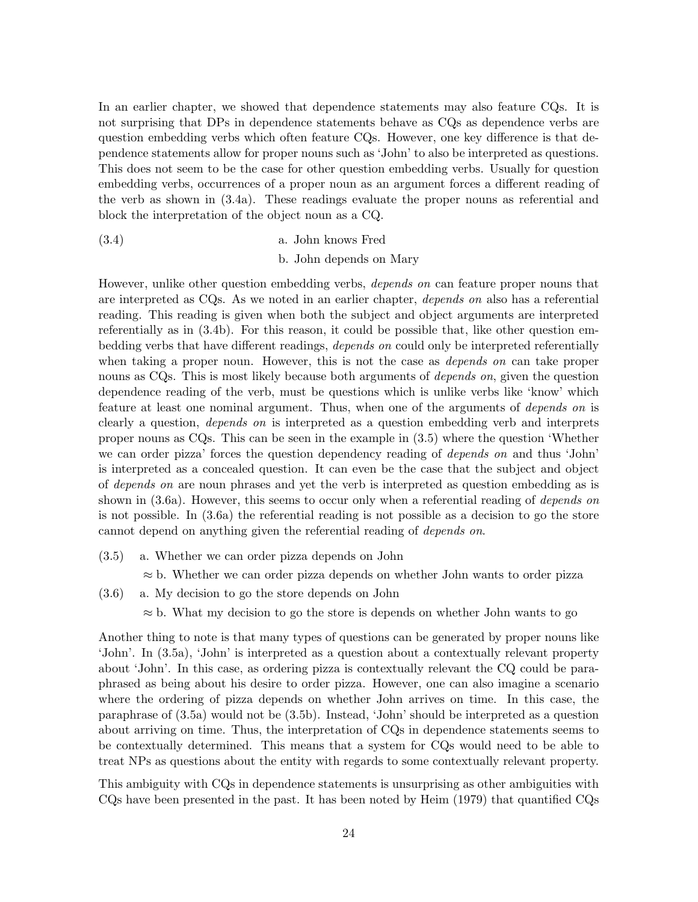In an earlier chapter, we showed that dependence statements may also feature CQs. It is not surprising that DPs in dependence statements behave as CQs as dependence verbs are question embedding verbs which often feature CQs. However, one key difference is that dependence statements allow for proper nouns such as 'John' to also be interpreted as questions. This does not seem to be the case for other question embedding verbs. Usually for question embedding verbs, occurrences of a proper noun as an argument forces a different reading of the verb as shown in (3.4a). These readings evaluate the proper nouns as referential and block the interpretation of the object noun as a CQ.

a. John knows Fred(3.4) b. John depends on Mary

However, unlike other question embedding verbs, depends on can feature proper nouns that are interpreted as CQs. As we noted in an earlier chapter, depends on also has a referential reading. This reading is given when both the subject and object arguments are interpreted referentially as in (3.4b). For this reason, it could be possible that, like other question embedding verbs that have different readings, depends on could only be interpreted referentially when taking a proper noun. However, this is not the case as *depends on* can take proper nouns as CQs. This is most likely because both arguments of *depends on*, given the question dependence reading of the verb, must be questions which is unlike verbs like 'know' which feature at least one nominal argument. Thus, when one of the arguments of depends on is clearly a question, depends on is interpreted as a question embedding verb and interprets proper nouns as CQs. This can be seen in the example in (3.5) where the question 'Whether we can order pizza' forces the question dependency reading of *depends on* and thus 'John' is interpreted as a concealed question. It can even be the case that the subject and object of depends on are noun phrases and yet the verb is interpreted as question embedding as is shown in (3.6a). However, this seems to occur only when a referential reading of *depends on* is not possible. In (3.6a) the referential reading is not possible as a decision to go the store cannot depend on anything given the referential reading of depends on.

 $(3.5)$  a. Whether we can order pizza depends on John

 $\approx$  b. Whether we can order pizza depends on whether John wants to order pizza

- $(3.6)$  a. My decision to go the store depends on John
	- $\approx$  b. What my decision to go the store is depends on whether John wants to go

Another thing to note is that many types of questions can be generated by proper nouns like 'John'. In (3.5a), 'John' is interpreted as a question about a contextually relevant property about 'John'. In this case, as ordering pizza is contextually relevant the CQ could be paraphrased as being about his desire to order pizza. However, one can also imagine a scenario where the ordering of pizza depends on whether John arrives on time. In this case, the paraphrase of (3.5a) would not be (3.5b). Instead, 'John' should be interpreted as a question about arriving on time. Thus, the interpretation of CQs in dependence statements seems to be contextually determined. This means that a system for CQs would need to be able to treat NPs as questions about the entity with regards to some contextually relevant property.

This ambiguity with CQs in dependence statements is unsurprising as other ambiguities with CQs have been presented in the past. It has been noted by Heim (1979) that quantified CQs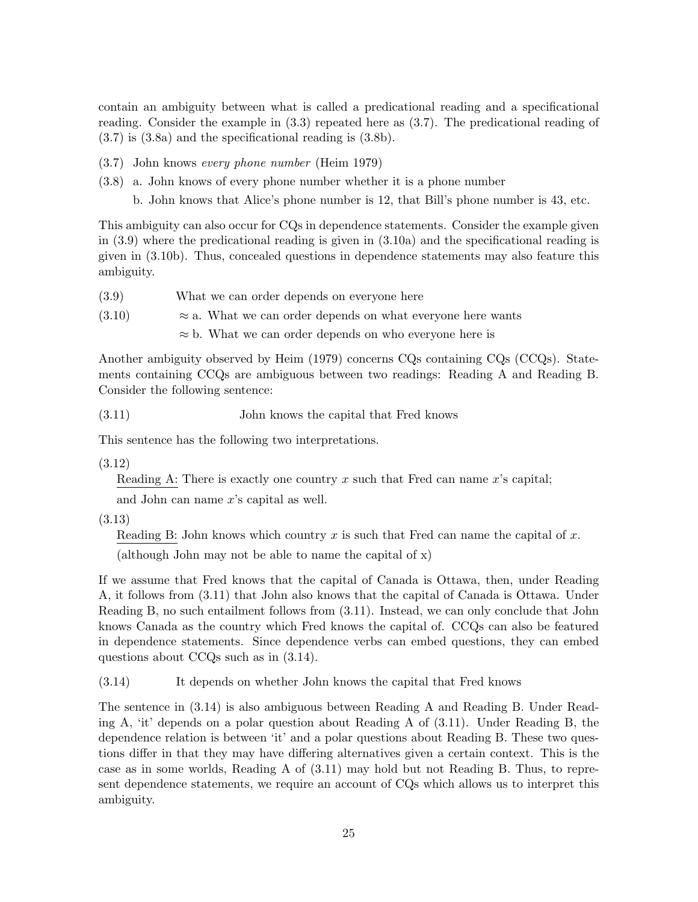contain an ambiguity between what is called a predicational reading and a specificational reading. Consider the example in (3.3) repeated here as (3.7). The predicational reading of (3.7) is (3.8a) and the specificational reading is (3.8b).

- $(3.7)$  John knows every phone number (Heim 1979)
- $(3.8)$  a. John knows of every phone number whether it is a phone number

b. John knows that Alice's phone number is 12, that Bill's phone number is 43, etc.

This ambiguity can also occur for CQs in dependence statements. Consider the example given in (3.9) where the predicational reading is given in (3.10a) and the specificational reading is given in (3.10b). Thus, concealed questions in dependence statements may also feature this ambiguity.

- (3.9) What we can order depends on everyone here
- $(3.10)$   $\approx$  a. What we can order depends on what everyone here wants

 $\approx$  b. What we can order depends on who everyone here is

Another ambiguity observed by Heim (1979) concerns CQs containing CQs (CCQs). Statements containing CCQs are ambiguous between two readings: Reading A and Reading B. Consider the following sentence:

John knows the capital that Fred knows(3.11)

This sentence has the following two interpretations.

(3.12)

Reading A: There is exactly one country x such that Fred can name  $x$ 's capital;

and John can name  $x$ 's capital as well.

(3.13)

Reading B: John knows which country x is such that Fred can name the capital of x.

(although John may not be able to name the capital of x)

If we assume that Fred knows that the capital of Canada is Ottawa, then, under Reading A, it follows from (3.11) that John also knows that the capital of Canada is Ottawa. Under Reading B, no such entailment follows from (3.11). Instead, we can only conclude that John knows Canada as the country which Fred knows the capital of. CCQs can also be featured in dependence statements. Since dependence verbs can embed questions, they can embed questions about CCQs such as in (3.14).

(3.14) It depends on whether John knows the capital that Fred knows

The sentence in (3.14) is also ambiguous between Reading A and Reading B. Under Reading A, 'it' depends on a polar question about Reading A of (3.11). Under Reading B, the dependence relation is between 'it' and a polar questions about Reading B. These two questions differ in that they may have differing alternatives given a certain context. This is the case as in some worlds, Reading A of (3.11) may hold but not Reading B. Thus, to represent dependence statements, we require an account of CQs which allows us to interpret this ambiguity.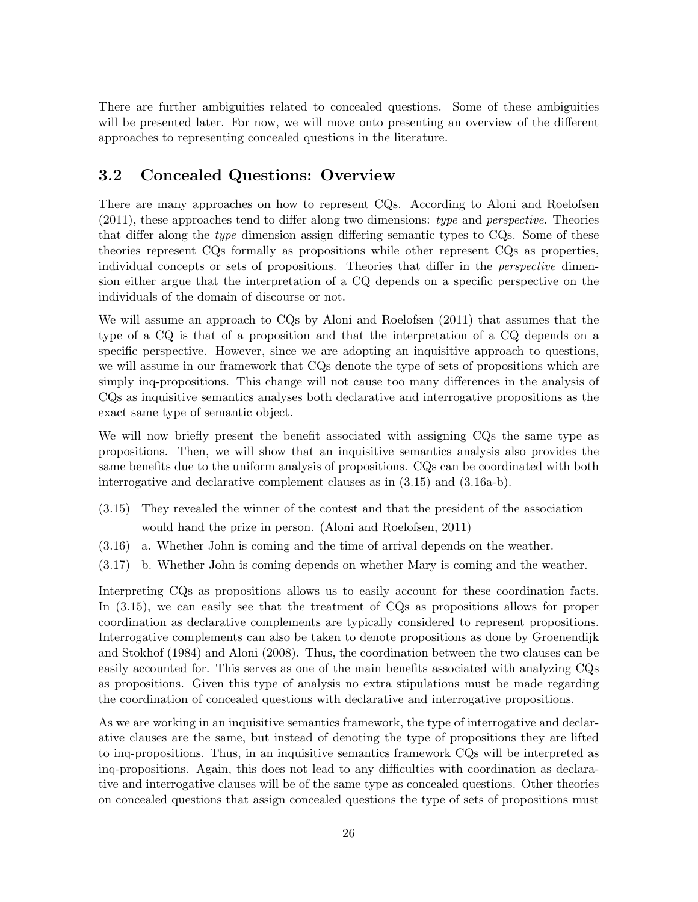There are further ambiguities related to concealed questions. Some of these ambiguities will be presented later. For now, we will move onto presenting an overview of the different approaches to representing concealed questions in the literature.

#### 3.2 Concealed Questions: Overview

There are many approaches on how to represent CQs. According to Aloni and Roelofsen (2011), these approaches tend to differ along two dimensions: type and perspective. Theories that differ along the type dimension assign differing semantic types to CQs. Some of these theories represent CQs formally as propositions while other represent CQs as properties, individual concepts or sets of propositions. Theories that differ in the *perspective* dimension either argue that the interpretation of a CQ depends on a specific perspective on the individuals of the domain of discourse or not.

We will assume an approach to CQs by Aloni and Roelofsen (2011) that assumes that the type of a CQ is that of a proposition and that the interpretation of a CQ depends on a specific perspective. However, since we are adopting an inquisitive approach to questions, we will assume in our framework that CQs denote the type of sets of propositions which are simply inq-propositions. This change will not cause too many differences in the analysis of CQs as inquisitive semantics analyses both declarative and interrogative propositions as the exact same type of semantic object.

We will now briefly present the benefit associated with assigning CQs the same type as propositions. Then, we will show that an inquisitive semantics analysis also provides the same benefits due to the uniform analysis of propositions. CQs can be coordinated with both interrogative and declarative complement clauses as in (3.15) and (3.16a-b).

- (3.15) They revealed the winner of the contest and that the president of the association would hand the prize in person. (Aloni and Roelofsen, 2011)
- (3.16) a. Whether John is coming and the time of arrival depends on the weather.
- (3.17) b. Whether John is coming depends on whether Mary is coming and the weather.

Interpreting CQs as propositions allows us to easily account for these coordination facts. In  $(3.15)$ , we can easily see that the treatment of CQs as propositions allows for proper coordination as declarative complements are typically considered to represent propositions. Interrogative complements can also be taken to denote propositions as done by Groenendijk and Stokhof (1984) and Aloni (2008). Thus, the coordination between the two clauses can be easily accounted for. This serves as one of the main benefits associated with analyzing CQs as propositions. Given this type of analysis no extra stipulations must be made regarding the coordination of concealed questions with declarative and interrogative propositions.

As we are working in an inquisitive semantics framework, the type of interrogative and declarative clauses are the same, but instead of denoting the type of propositions they are lifted to inq-propositions. Thus, in an inquisitive semantics framework CQs will be interpreted as inq-propositions. Again, this does not lead to any difficulties with coordination as declarative and interrogative clauses will be of the same type as concealed questions. Other theories on concealed questions that assign concealed questions the type of sets of propositions must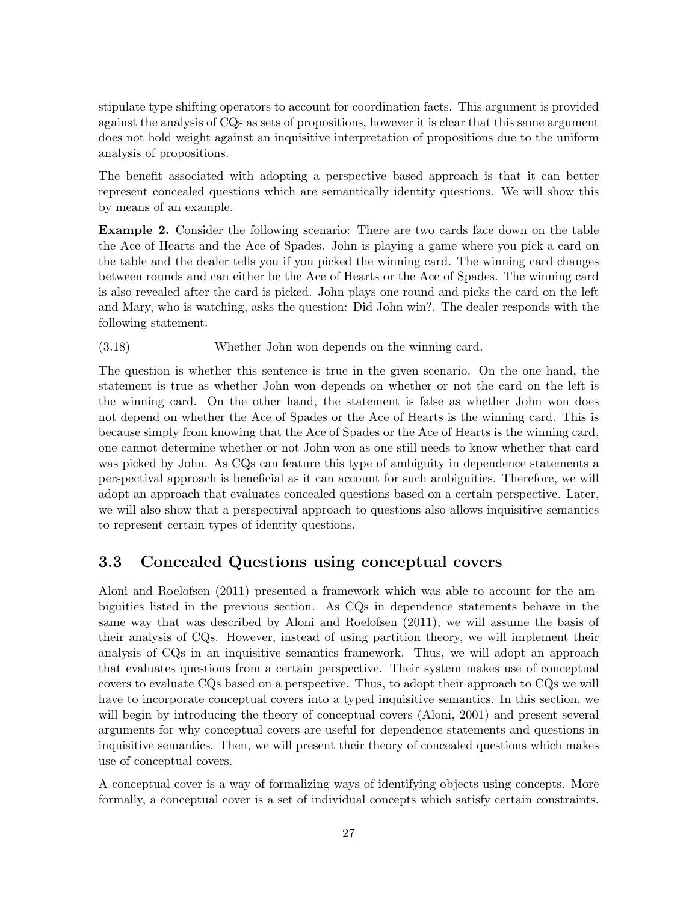stipulate type shifting operators to account for coordination facts. This argument is provided against the analysis of CQs as sets of propositions, however it is clear that this same argument does not hold weight against an inquisitive interpretation of propositions due to the uniform analysis of propositions.

The benefit associated with adopting a perspective based approach is that it can better represent concealed questions which are semantically identity questions. We will show this by means of an example.

Example 2. Consider the following scenario: There are two cards face down on the table the Ace of Hearts and the Ace of Spades. John is playing a game where you pick a card on the table and the dealer tells you if you picked the winning card. The winning card changes between rounds and can either be the Ace of Hearts or the Ace of Spades. The winning card is also revealed after the card is picked. John plays one round and picks the card on the left and Mary, who is watching, asks the question: Did John win?. The dealer responds with the following statement:

(3.18) Whether John won depends on the winning card.

The question is whether this sentence is true in the given scenario. On the one hand, the statement is true as whether John won depends on whether or not the card on the left is the winning card. On the other hand, the statement is false as whether John won does not depend on whether the Ace of Spades or the Ace of Hearts is the winning card. This is because simply from knowing that the Ace of Spades or the Ace of Hearts is the winning card, one cannot determine whether or not John won as one still needs to know whether that card was picked by John. As CQs can feature this type of ambiguity in dependence statements a perspectival approach is beneficial as it can account for such ambiguities. Therefore, we will adopt an approach that evaluates concealed questions based on a certain perspective. Later, we will also show that a perspectival approach to questions also allows inquisitive semantics to represent certain types of identity questions.

#### 3.3 Concealed Questions using conceptual covers

Aloni and Roelofsen (2011) presented a framework which was able to account for the ambiguities listed in the previous section. As CQs in dependence statements behave in the same way that was described by Aloni and Roelofsen (2011), we will assume the basis of their analysis of CQs. However, instead of using partition theory, we will implement their analysis of CQs in an inquisitive semantics framework. Thus, we will adopt an approach that evaluates questions from a certain perspective. Their system makes use of conceptual covers to evaluate CQs based on a perspective. Thus, to adopt their approach to CQs we will have to incorporate conceptual covers into a typed inquisitive semantics. In this section, we will begin by introducing the theory of conceptual covers (Aloni, 2001) and present several arguments for why conceptual covers are useful for dependence statements and questions in inquisitive semantics. Then, we will present their theory of concealed questions which makes use of conceptual covers.

A conceptual cover is a way of formalizing ways of identifying objects using concepts. More formally, a conceptual cover is a set of individual concepts which satisfy certain constraints.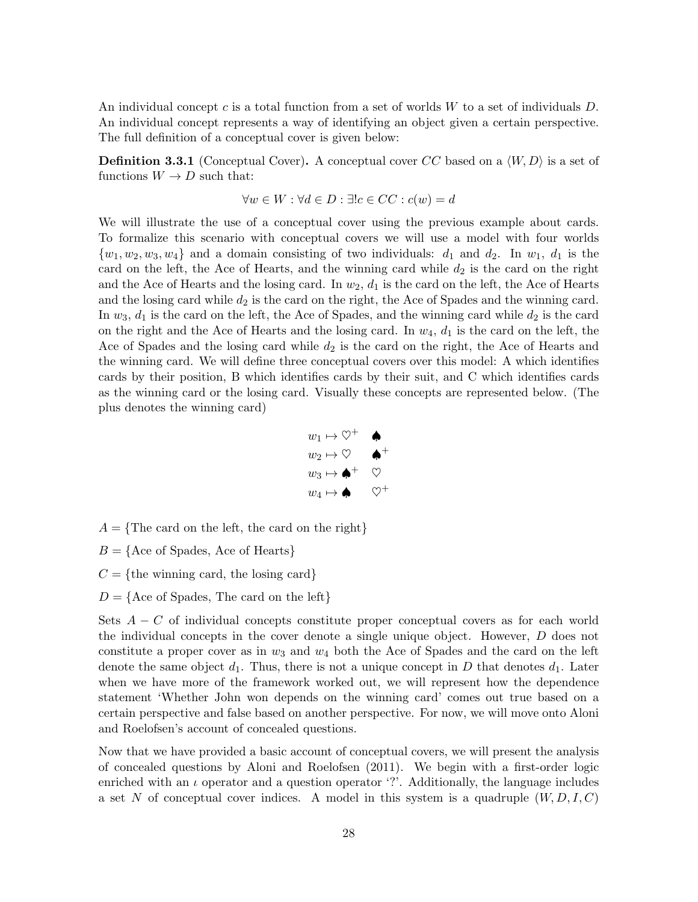An individual concept c is a total function from a set of worlds  $W$  to a set of individuals  $D$ . An individual concept represents a way of identifying an object given a certain perspective. The full definition of a conceptual cover is given below:

**Definition 3.3.1** (Conceptual Cover). A conceptual cover CC based on a  $\langle W, D \rangle$  is a set of functions  $W \to D$  such that:

$$
\forall w \in W : \forall d \in D : \exists ! c \in CC : c(w) = d
$$

We will illustrate the use of a conceptual cover using the previous example about cards. To formalize this scenario with conceptual covers we will use a model with four worlds  $\{w_1, w_2, w_3, w_4\}$  and a domain consisting of two individuals:  $d_1$  and  $d_2$ . In  $w_1$ ,  $d_1$  is the card on the left, the Ace of Hearts, and the winning card while  $d_2$  is the card on the right and the Ace of Hearts and the losing card. In  $w_2$ ,  $d_1$  is the card on the left, the Ace of Hearts and the losing card while  $d_2$  is the card on the right, the Ace of Spades and the winning card. In  $w_3$ ,  $d_1$  is the card on the left, the Ace of Spades, and the winning card while  $d_2$  is the card on the right and the Ace of Hearts and the losing card. In  $w_4$ ,  $d_1$  is the card on the left, the Ace of Spades and the losing card while  $d_2$  is the card on the right, the Ace of Hearts and the winning card. We will define three conceptual covers over this model: A which identifies cards by their position, B which identifies cards by their suit, and C which identifies cards as the winning card or the losing card. Visually these concepts are represented below. (The plus denotes the winning card)



 $A = \{$ The card on the left, the card on the right $\}$ 

- $B = \{$ Ace of Spades, Ace of Hearts $\}$
- $C = \{$ the winning card, the losing card $\}$
- $D = \{$ Ace of Spades, The card on the left $\}$

Sets  $A - C$  of individual concepts constitute proper conceptual covers as for each world the individual concepts in the cover denote a single unique object. However, D does not constitute a proper cover as in  $w_3$  and  $w_4$  both the Ace of Spades and the card on the left denote the same object  $d_1$ . Thus, there is not a unique concept in D that denotes  $d_1$ . Later when we have more of the framework worked out, we will represent how the dependence statement 'Whether John won depends on the winning card' comes out true based on a certain perspective and false based on another perspective. For now, we will move onto Aloni and Roelofsen's account of concealed questions.

Now that we have provided a basic account of conceptual covers, we will present the analysis of concealed questions by Aloni and Roelofsen (2011). We begin with a first-order logic enriched with an  $\iota$  operator and a question operator '?'. Additionally, the language includes a set N of conceptual cover indices. A model in this system is a quadruple  $(W, D, I, C)$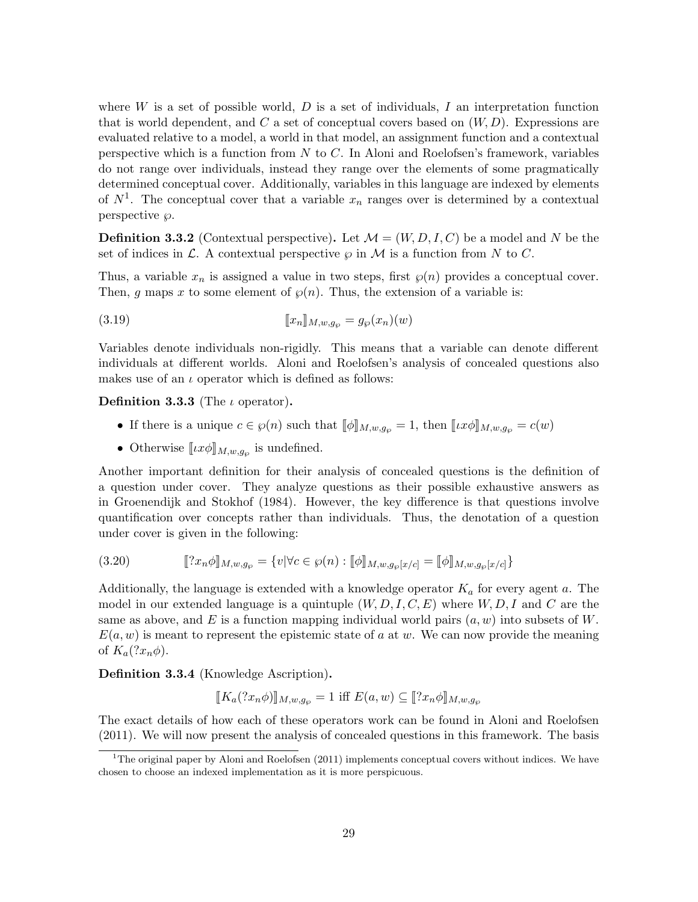where  $W$  is a set of possible world,  $D$  is a set of individuals,  $I$  an interpretation function that is world dependent, and C a set of conceptual covers based on  $(W, D)$ . Expressions are evaluated relative to a model, a world in that model, an assignment function and a contextual perspective which is a function from  $N$  to  $C$ . In Aloni and Roelofsen's framework, variables do not range over individuals, instead they range over the elements of some pragmatically determined conceptual cover. Additionally, variables in this language are indexed by elements of  $N^1$ . The conceptual cover that a variable  $x_n$  ranges over is determined by a contextual perspective  $\varnothing$ .

**Definition 3.3.2** (Contextual perspective). Let  $\mathcal{M} = (W, D, I, C)$  be a model and N be the set of indices in  $\mathcal L$ . A contextual perspective  $\varphi$  in  $\mathcal M$  is a function from N to C.

Thus, a variable  $x_n$  is assigned a value in two steps, first  $\wp(n)$  provides a conceptual cover. Then, g maps x to some element of  $\wp(n)$ . Thus, the extension of a variable is:

$$
[[x_n]]_{M,w,g_\wp} = g_\wp(x_n)(w)
$$

Variables denote individuals non-rigidly. This means that a variable can denote different individuals at different worlds. Aloni and Roelofsen's analysis of concealed questions also makes use of an  $\iota$  operator which is defined as follows:

Definition 3.3.3 (The  $\iota$  operator).

- If there is a unique  $c \in \wp(n)$  such that  $[\![\phi]\!]_{M,w,g_\wp} = 1$ , then  $[\![\iota x \phi]\!]_{M,w,g_\wp} = c(w)$
- Otherwise  $\llbracket \iota x \phi \rrbracket_{M,w,g_\wp}$  is undefined.

Another important definition for their analysis of concealed questions is the definition of a question under cover. They analyze questions as their possible exhaustive answers as in Groenendijk and Stokhof (1984). However, the key difference is that questions involve quantification over concepts rather than individuals. Thus, the denotation of a question under cover is given in the following:

$$
(3.20) \t\t\t[\![?x_n \phi]\!]_{M,w,g_{\wp}} = \{v | \forall c \in \wp(n) : [\![\phi]\!]_{M,w,g_{\wp}[x/c]} = [\![\phi]\!]_{M,w,g_{\wp}[x/c]}\}
$$

Additionally, the language is extended with a knowledge operator  $K_a$  for every agent a. The model in our extended language is a quintuple  $(W, D, I, C, E)$  where  $W, D, I$  and C are the same as above, and E is a function mapping individual world pairs  $(a, w)$  into subsets of W.  $E(a, w)$  is meant to represent the epistemic state of a at w. We can now provide the meaning of  $K_a(?x_n\phi)$ .

Definition 3.3.4 (Knowledge Ascription).

$$
[[K_a(?x_n\phi)]]_{M,w,g_\wp} = 1 \text{ iff } E(a,w) \subseteq [[?x_n\phi]]_{M,w,g_\wp}
$$

The exact details of how each of these operators work can be found in Aloni and Roelofsen (2011). We will now present the analysis of concealed questions in this framework. The basis

<sup>&</sup>lt;sup>1</sup>The original paper by Aloni and Roelofsen  $(2011)$  implements conceptual covers without indices. We have chosen to choose an indexed implementation as it is more perspicuous.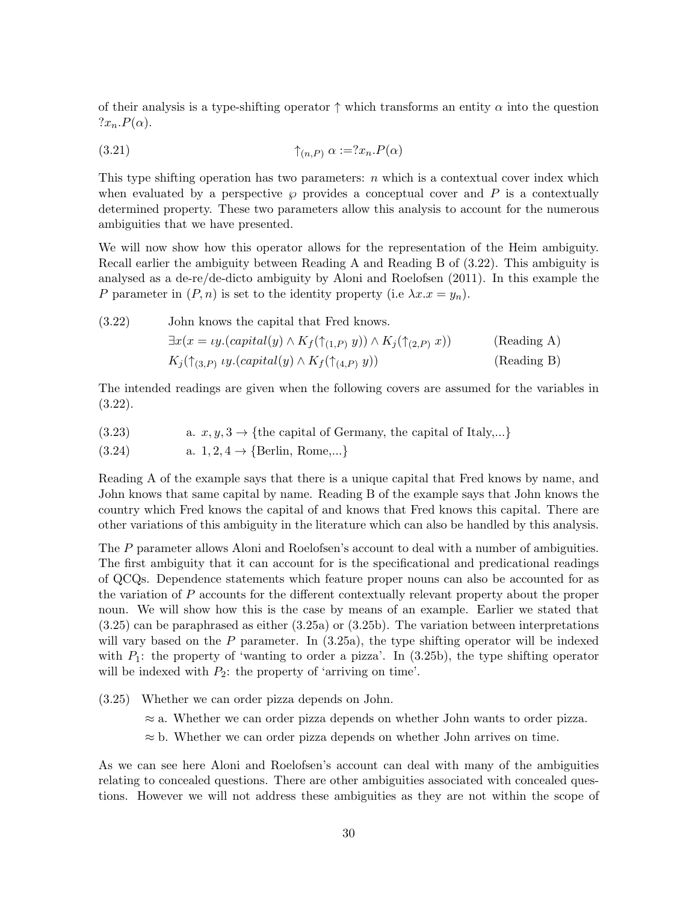of their analysis is a type-shifting operator  $\uparrow$  which transforms an entity  $\alpha$  into the question  $?x_n.P(\alpha).$ 

$$
(3.21) \qquad \qquad \uparrow_{(n,P)} \alpha := ?x_n.P(\alpha)
$$

This type shifting operation has two parameters:  $n$  which is a contextual cover index which when evaluated by a perspective  $\wp$  provides a conceptual cover and P is a contextually determined property. These two parameters allow this analysis to account for the numerous ambiguities that we have presented.

We will now show how this operator allows for the representation of the Heim ambiguity. Recall earlier the ambiguity between Reading A and Reading B of (3.22). This ambiguity is analysed as a de-re/de-dicto ambiguity by Aloni and Roelofsen (2011). In this example the P parameter in  $(P, n)$  is set to the identity property (i.e  $\lambda x.x = y_n$ ).

John knows the capital that Fred knows.(3.22)  $\exists x(x = \iota y. (capital(y) \wedge K_f(\uparrow_{(1,P)} y)) \wedge K_i(\uparrow_{(2,P)} x))$  (Reading A)  $K_j(\uparrow_{(3,P)} \iota y. (capital(y) \wedge K_f(\uparrow_{(4,P)} y))$  (Reading B)

The intended readings are given when the following covers are assumed for the variables in (3.22).

- (3.23) a.  $x, y, 3 \rightarrow \{\text{the capital of Germany, the capital of Italy,...}\}$
- (3.24) a.  $1, 2, 4 \rightarrow \{Berlin, Rome,...\}$

Reading A of the example says that there is a unique capital that Fred knows by name, and John knows that same capital by name. Reading B of the example says that John knows the country which Fred knows the capital of and knows that Fred knows this capital. There are other variations of this ambiguity in the literature which can also be handled by this analysis.

The P parameter allows Aloni and Roelofsen's account to deal with a number of ambiguities. The first ambiguity that it can account for is the specificational and predicational readings of QCQs. Dependence statements which feature proper nouns can also be accounted for as the variation of P accounts for the different contextually relevant property about the proper noun. We will show how this is the case by means of an example. Earlier we stated that (3.25) can be paraphrased as either (3.25a) or (3.25b). The variation between interpretations will vary based on the  $P$  parameter. In  $(3.25a)$ , the type shifting operator will be indexed with  $P_1$ : the property of 'wanting to order a pizza'. In (3.25b), the type shifting operator will be indexed with  $P_2$ : the property of 'arriving on time'.

 $(3.25)$  Whether we can order pizza depends on John.

 $\approx$  a. Whether we can order pizza depends on whether John wants to order pizza.

 $\approx$  b. Whether we can order pizza depends on whether John arrives on time.

As we can see here Aloni and Roelofsen's account can deal with many of the ambiguities relating to concealed questions. There are other ambiguities associated with concealed questions. However we will not address these ambiguities as they are not within the scope of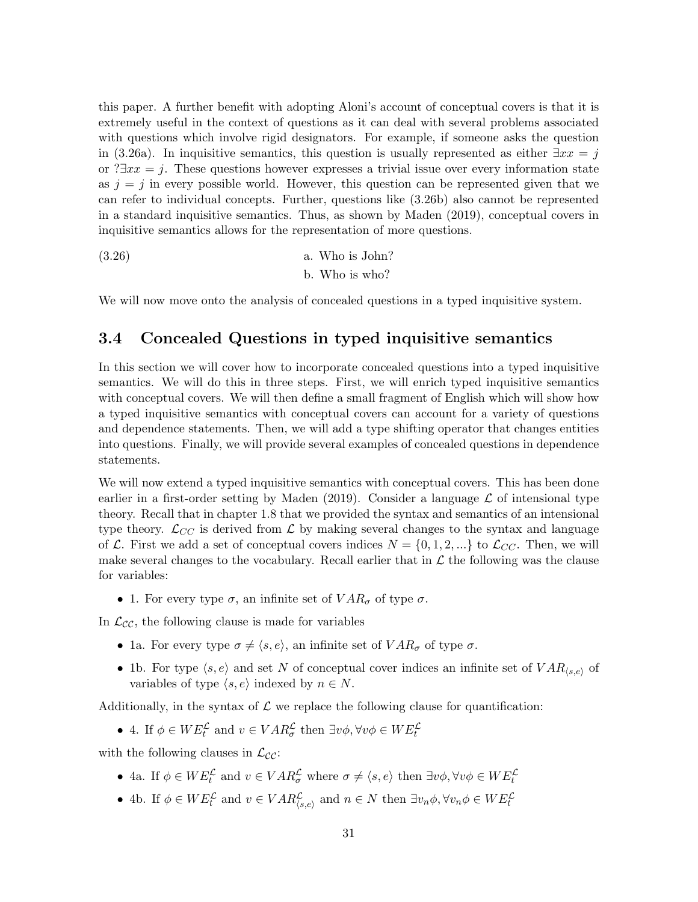this paper. A further benefit with adopting Aloni's account of conceptual covers is that it is extremely useful in the context of questions as it can deal with several problems associated with questions which involve rigid designators. For example, if someone asks the question in (3.26a). In inquisitive semantics, this question is usually represented as either  $\exists xx = j$ or ? $\exists xx = j$ . These questions however expresses a trivial issue over every information state as  $j = j$  in every possible world. However, this question can be represented given that we can refer to individual concepts. Further, questions like (3.26b) also cannot be represented in a standard inquisitive semantics. Thus, as shown by Maden (2019), conceptual covers in inquisitive semantics allows for the representation of more questions.

$$
(3.26)
$$
 a. Who is John?  
b. Who is who?

We will now move onto the analysis of concealed questions in a typed inquisitive system.

#### 3.4 Concealed Questions in typed inquisitive semantics

In this section we will cover how to incorporate concealed questions into a typed inquisitive semantics. We will do this in three steps. First, we will enrich typed inquisitive semantics with conceptual covers. We will then define a small fragment of English which will show how a typed inquisitive semantics with conceptual covers can account for a variety of questions and dependence statements. Then, we will add a type shifting operator that changes entities into questions. Finally, we will provide several examples of concealed questions in dependence statements.

We will now extend a typed inquisitive semantics with conceptual covers. This has been done earlier in a first-order setting by Maden (2019). Consider a language  $\mathcal L$  of intensional type theory. Recall that in chapter 1.8 that we provided the syntax and semantics of an intensional type theory.  $\mathcal{L}_{CC}$  is derived from  $\mathcal{L}$  by making several changes to the syntax and language of L. First we add a set of conceptual covers indices  $N = \{0, 1, 2, ...\}$  to  $\mathcal{L}_{CC}$ . Then, we will make several changes to the vocabulary. Recall earlier that in  $\mathcal L$  the following was the clause for variables:

• 1. For every type  $\sigma$ , an infinite set of  $VAR_{\sigma}$  of type  $\sigma$ .

In  $\mathcal{L}_{\mathcal{CC}}$ , the following clause is made for variables

- 1a. For every type  $\sigma \neq \langle s, e \rangle$ , an infinite set of  $VAR_{\sigma}$  of type  $\sigma$ .
- 1b. For type  $\langle s, e \rangle$  and set N of conceptual cover indices an infinite set of  $VAR_{\langle s, e \rangle}$  of variables of type  $\langle s, e \rangle$  indexed by  $n \in N$ .

Additionally, in the syntax of  $\mathcal L$  we replace the following clause for quantification:

• 4. If  $\phi \in WE_t^{\mathcal{L}}$  and  $v \in VAR_{\sigma}^{\mathcal{L}}$  then  $\exists v\phi, \forall v\phi \in WE_t^{\mathcal{L}}$ 

with the following clauses in  $\mathcal{L}_{CC}$ :

- 4a. If  $\phi \in WE_t^{\mathcal{L}}$  and  $v \in VAR_{\sigma}^{\mathcal{L}}$  where  $\sigma \neq \langle s, e \rangle$  then  $\exists v\phi, \forall v\phi \in WE_t^{\mathcal{L}}$
- 4b. If  $\phi \in WE_t^{\mathcal{L}}$  and  $v \in VAR_{\langle s,e \rangle}^{\mathcal{L}}$  and  $n \in N$  then  $\exists v_n \phi, \forall v_n \phi \in WE_t^{\mathcal{L}}$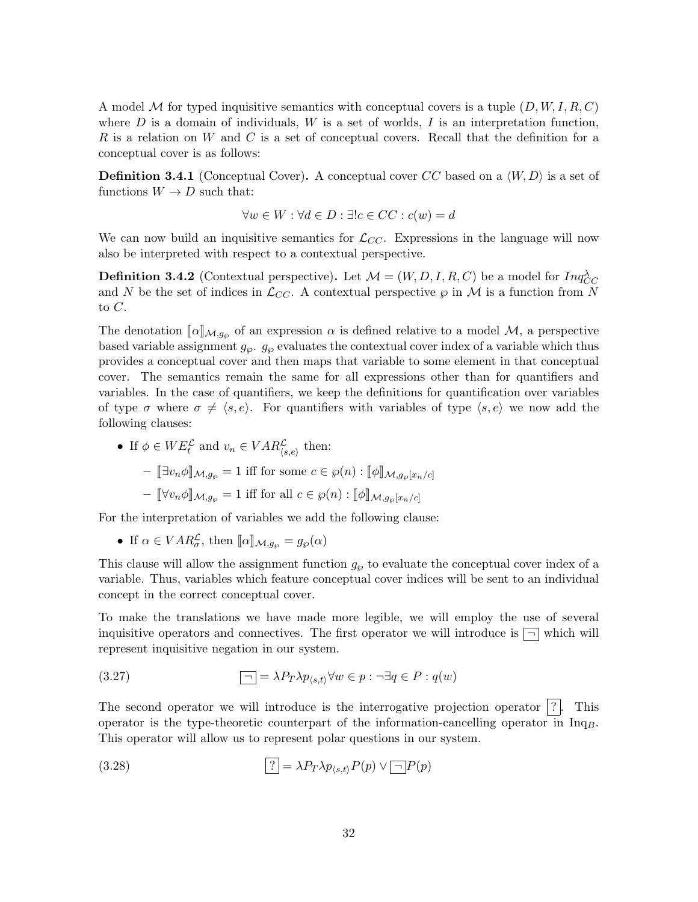A model M for typed inquisitive semantics with conceptual covers is a tuple  $(D, W, I, R, C)$ where  $D$  is a domain of individuals,  $W$  is a set of worlds,  $I$  is an interpretation function, R is a relation on W and C is a set of conceptual covers. Recall that the definition for a conceptual cover is as follows:

**Definition 3.4.1** (Conceptual Cover). A conceptual cover CC based on a  $\langle W, D \rangle$  is a set of functions  $W \to D$  such that:

$$
\forall w \in W : \forall d \in D : \exists ! c \in CC : c(w) = d
$$

We can now build an inquisitive semantics for  $\mathcal{L}_{CC}$ . Expressions in the language will now also be interpreted with respect to a contextual perspective.

**Definition 3.4.2** (Contextual perspective). Let  $\mathcal{M} = (W, D, I, R, C)$  be a model for  $Inq_{CC}^{\lambda}$ and N be the set of indices in  $\mathcal{L}_{CC}$ . A contextual perspective  $\varphi$  in M is a function from N to  $C$ .

The denotation  $[\![\alpha]\!]_{\mathcal{M},g_{\wp}}$  of an expression  $\alpha$  is defined relative to a model  $\mathcal{M},$  a perspective based variable assignment  $g_{\wp}$ .  $g_{\wp}$  evaluates the contextual cover index of a variable which thus provides a conceptual cover and then maps that variable to some element in that conceptual cover. The semantics remain the same for all expressions other than for quantifiers and variables. In the case of quantifiers, we keep the definitions for quantification over variables of type  $\sigma$  where  $\sigma \neq \langle s, e \rangle$ . For quantifiers with variables of type  $\langle s, e \rangle$  we now add the following clauses:

• If  $\phi \in WE_t^{\mathcal{L}}$  and  $v_n \in VAR_{\langle s,e \rangle}^{\mathcal{L}}$  then: –  $[\exists v_n \phi]_{\mathcal{M},g_{\wp}} = 1$  iff for some  $c \in \wp(n) : [\![\phi]\!]_{\mathcal{M},g_{\wp}[x_n/c]}$  $-\llbracket \forall v_n \phi \rrbracket_{\mathcal{M},g_{\wp}} = 1$  iff for all  $c \in \wp(n) : \llbracket \phi \rrbracket_{\mathcal{M},g_{\wp}[x_n/c]}$ 

For the interpretation of variables we add the following clause:

• If  $\alpha \in VAR_{\sigma}^{\mathcal{L}}$ , then  $[\![\alpha]\!]_{\mathcal{M},g_{\wp}} = g_{\wp}(\alpha)$ 

This clause will allow the assignment function  $g_{\varphi}$  to evaluate the conceptual cover index of a variable. Thus, variables which feature conceptual cover indices will be sent to an individual concept in the correct conceptual cover.

To make the translations we have made more legible, we will employ the use of several inquisitive operators and connectives. The first operator we will introduce is  $\boxed{\neg}$  which will represent inquisitive negation in our system.

(3.27) 
$$
\boxed{-} = \lambda P_T \lambda p_{\langle s,t \rangle} \forall w \in p : \neg \exists q \in P : q(w)
$$

The second operator we will introduce is the interrogative projection operator  $|?|$ . This operator is the type-theoretic counterpart of the information-cancelling operator in  $Inq<sub>B</sub>$ . This operator will allow us to represent polar questions in our system.

(3.28) 
$$
\boxed{?} = \lambda P_T \lambda p_{\langle s,t \rangle} P(p) \vee \boxed{\neg} P(p)
$$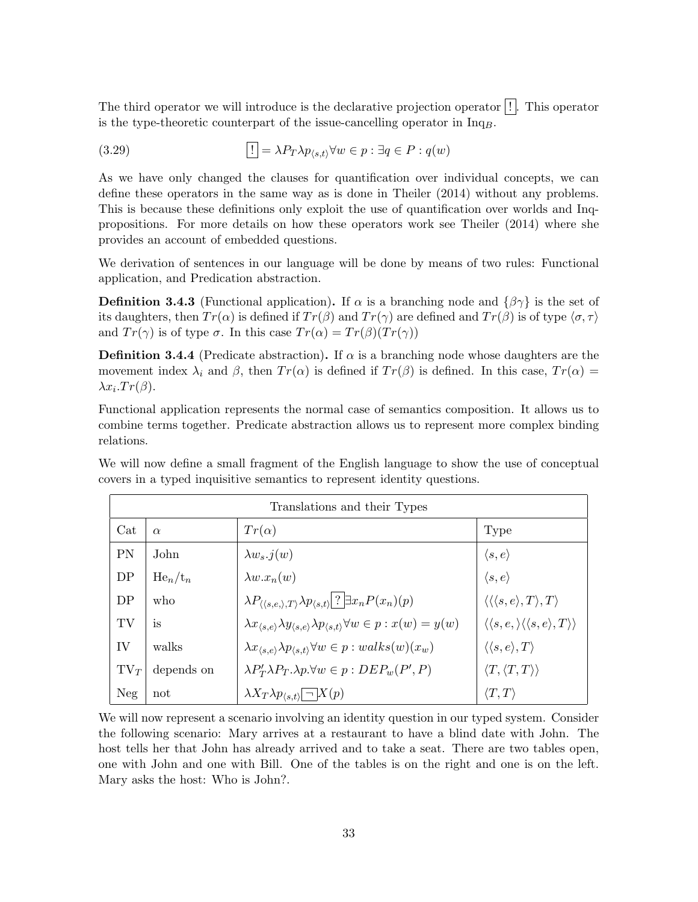The third operator we will introduce is the declarative projection operator  $\vert \cdot \vert$ . This operator is the type-theoretic counterpart of the issue-cancelling operator in  $Inq<sub>B</sub>$ .

(3.29) 
$$
\boxed{!} = \lambda P_T \lambda p_{\langle s,t \rangle} \forall w \in p : \exists q \in P : q(w)
$$

As we have only changed the clauses for quantification over individual concepts, we can define these operators in the same way as is done in Theiler (2014) without any problems. This is because these definitions only exploit the use of quantification over worlds and Inqpropositions. For more details on how these operators work see Theiler (2014) where she provides an account of embedded questions.

We derivation of sentences in our language will be done by means of two rules: Functional application, and Predication abstraction.

**Definition 3.4.3** (Functional application). If  $\alpha$  is a branching node and  $\{\beta\gamma\}$  is the set of its daughters, then  $Tr(\alpha)$  is defined if  $Tr(\beta)$  and  $Tr(\gamma)$  are defined and  $Tr(\beta)$  is of type  $\langle \sigma, \tau \rangle$ and  $Tr(\gamma)$  is of type  $\sigma$ . In this case  $Tr(\alpha) = Tr(\beta)(Tr(\gamma))$ 

**Definition 3.4.4** (Predicate abstraction). If  $\alpha$  is a branching node whose daughters are the movement index  $\lambda_i$  and  $\beta$ , then  $Tr(\alpha)$  is defined if  $Tr(\beta)$  is defined. In this case,  $Tr(\alpha)$  $\lambda x_i \cdot Tr(\beta)$ .

Functional application represents the normal case of semantics composition. It allows us to combine terms together. Predicate abstraction allows us to represent more complex binding relations.

We will now define a small fragment of the English language to show the use of conceptual covers in a typed inquisitive semantics to represent identity questions.

| Translations and their Types |            |                                                                                                                                 |                                                                                 |
|------------------------------|------------|---------------------------------------------------------------------------------------------------------------------------------|---------------------------------------------------------------------------------|
| Cat                          | $\alpha$   | $Tr(\alpha)$                                                                                                                    | Type                                                                            |
| PN                           | John       | $\lambda w_s . j(w)$                                                                                                            | $\langle s, e \rangle$                                                          |
| DP                           | $He_n/t_n$ | $\lambda w.x_n(w)$                                                                                                              | $\langle s, e \rangle$                                                          |
| DP                           | who        | $\lambda P_{\langle\langle s,e,\rangle,T\rangle} \lambda p_{\langle s,t\rangle}$ ? $\exists x_n P(x_n)(p)$                      | $\langle \langle \langle s, e \rangle, T \rangle, T \rangle$                    |
| TV                           | is         | $\lambda x_{\langle s,e \rangle} \lambda y_{\langle s,e \rangle} \lambda p_{\langle s,t \rangle} \forall w \in p : x(w) = y(w)$ | $\langle \langle s, e, \rangle \langle \langle s, e \rangle, T \rangle \rangle$ |
| IV                           | walks      | $\lambda x_{\langle s,e\rangle} \lambda p_{\langle s,t\rangle} \forall w \in p : walks(w)(x_w)$                                 | $\langle \langle s, e \rangle, T \rangle$                                       |
| $TV_T$                       | depends on | $\lambda P'_T \lambda P_T \lambda p \forall w \in p : DEP_w(P', P)$                                                             | $\langle T, \langle T, T \rangle \rangle$                                       |
| Neg                          | not        | $ \lambda X_T \lambda p_{\langle s,t \rangle}  -  X(p) $                                                                        | $\langle T,T\rangle$                                                            |

We will now represent a scenario involving an identity question in our typed system. Consider the following scenario: Mary arrives at a restaurant to have a blind date with John. The host tells her that John has already arrived and to take a seat. There are two tables open, one with John and one with Bill. One of the tables is on the right and one is on the left. Mary asks the host: Who is John?.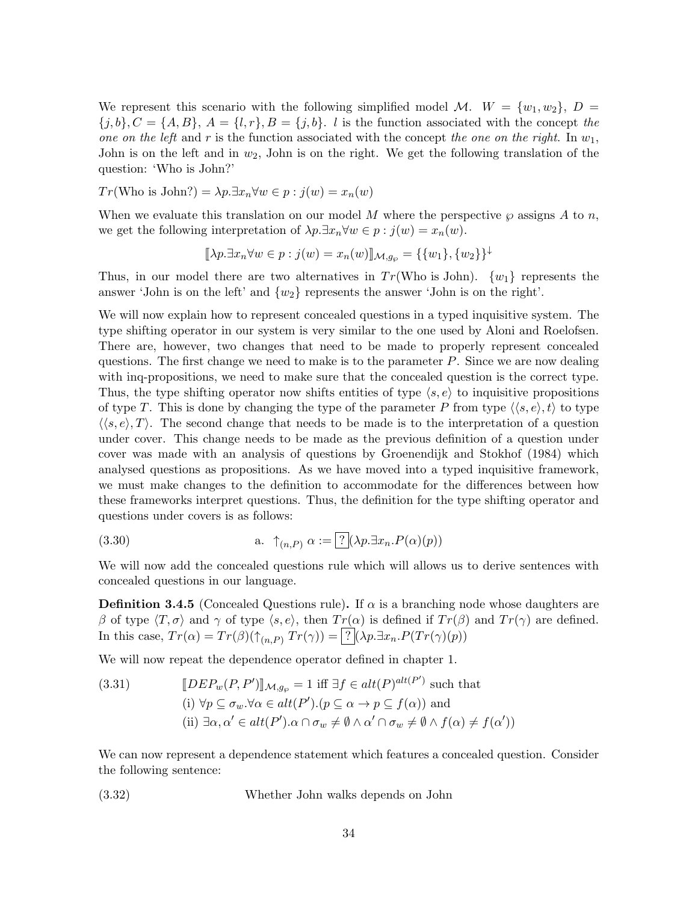We represent this scenario with the following simplified model M.  $W = \{w_1, w_2\}, D =$  ${j, b}, C = {A, B}, A = {l, r}, B = {j, b}.$  *l* is the function associated with the concept the one on the left and r is the function associated with the concept the one on the right. In  $w_1$ , John is on the left and in  $w_2$ , John is on the right. We get the following translation of the question: 'Who is John?'

$$
Tr(\text{Who is John?}) = \lambda p. \exists x_n \forall w \in p : j(w) = x_n(w)
$$

When we evaluate this translation on our model M where the perspective  $\wp$  assigns A to n, we get the following interpretation of  $\lambda p.\exists x_n \forall w \in p : j(w) = x_n(w)$ .

$$
[\![\lambda p. \exists x_n \forall w \in p : j(w) = x_n(w)]\!]_{\mathcal{M},g_{\wp}} = \{\{w_1\}, \{w_2\}\}^{\downarrow}
$$

Thus, in our model there are two alternatives in  $Tr(Who$  is John).  $\{w_1\}$  represents the answer 'John is on the left' and  $\{w_2\}$  represents the answer 'John is on the right'.

We will now explain how to represent concealed questions in a typed inquisitive system. The type shifting operator in our system is very similar to the one used by Aloni and Roelofsen. There are, however, two changes that need to be made to properly represent concealed questions. The first change we need to make is to the parameter  $P$ . Since we are now dealing with inq-propositions, we need to make sure that the concealed question is the correct type. Thus, the type shifting operator now shifts entities of type  $\langle s, e \rangle$  to inquisitive propositions of type T. This is done by changing the type of the parameter P from type  $\langle \langle s, e \rangle, t \rangle$  to type  $\langle \langle s, e \rangle \rangle$ . The second change that needs to be made is to the interpretation of a question under cover. This change needs to be made as the previous definition of a question under cover was made with an analysis of questions by Groenendijk and Stokhof (1984) which analysed questions as propositions. As we have moved into a typed inquisitive framework, we must make changes to the definition to accommodate for the differences between how these frameworks interpret questions. Thus, the definition for the type shifting operator and questions under covers is as follows:

(3.30) 
$$
\mathbf{a.} \quad \uparrow_{(n,P)} \alpha := \boxed{?} (\lambda p. \exists x_n. P(\alpha)(p))
$$

We will now add the concealed questions rule which will allows us to derive sentences with concealed questions in our language.

**Definition 3.4.5** (Concealed Questions rule). If  $\alpha$  is a branching node whose daughters are β of type  $\langle T, \sigma \rangle$  and γ of type  $\langle s, e \rangle$ , then  $Tr(\alpha)$  is defined if  $Tr(\beta)$  and  $Tr(\gamma)$  are defined. In this case,  $Tr(\alpha) = Tr(\beta)(\uparrow_{(n,P)} Tr(\gamma)) = \boxed{?} (\lambda p \exists x_n \cdot P(Tr(\gamma)(p))$ 

We will now repeat the dependence operator defined in chapter 1.

(3.31) 
$$
[DEF_{w}(P, P')]_{\mathcal{M}, g_{\wp}} = 1 \text{ iff } \exists f \in alt(P)^{alt(P')} \text{ such that}
$$
  
\n(i)  $\forall p \subseteq \sigma_{w}.\forall \alpha \in alt(P').(p \subseteq \alpha \to p \subseteq f(\alpha)) \text{ and}$   
\n(ii)  $\exists \alpha, \alpha' \in alt(P').\alpha \cap \sigma_{w} \neq \emptyset \land \alpha' \cap \sigma_{w} \neq \emptyset \land f(\alpha) \neq f(\alpha'))$ 

We can now represent a dependence statement which features a concealed question. Consider the following sentence:

(3.32) Whether John walks depends on John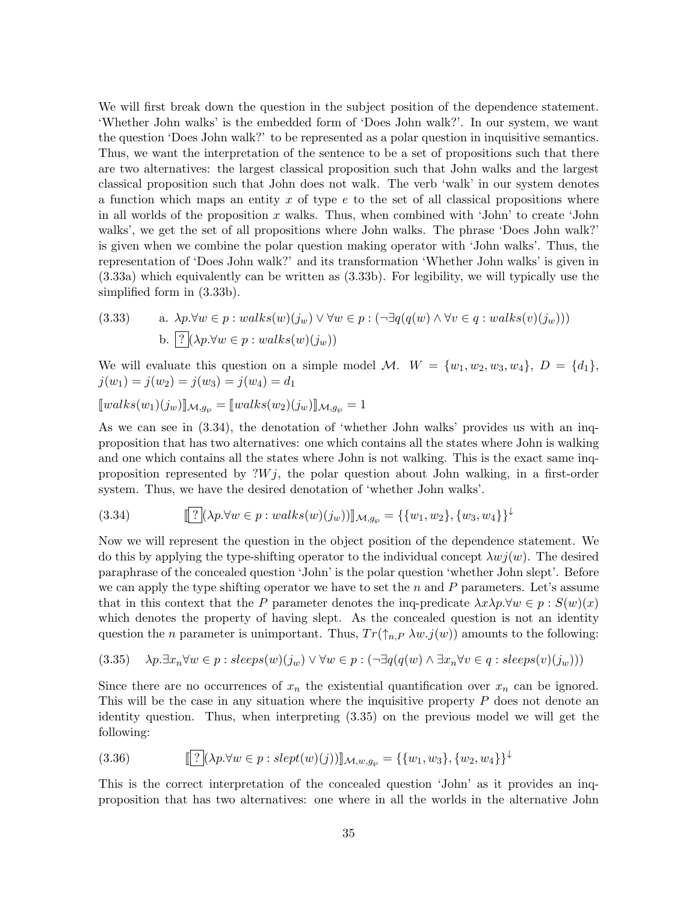We will first break down the question in the subject position of the dependence statement. 'Whether John walks' is the embedded form of 'Does John walk?'. In our system, we want the question 'Does John walk?' to be represented as a polar question in inquisitive semantics. Thus, we want the interpretation of the sentence to be a set of propositions such that there are two alternatives: the largest classical proposition such that John walks and the largest classical proposition such that John does not walk. The verb 'walk' in our system denotes a function which maps an entity  $x$  of type  $e$  to the set of all classical propositions where in all worlds of the proposition  $x$  walks. Thus, when combined with 'John' to create 'John walks', we get the set of all propositions where John walks. The phrase 'Does John walk?' is given when we combine the polar question making operator with 'John walks'. Thus, the representation of 'Does John walk?' and its transformation 'Whether John walks' is given in (3.33a) which equivalently can be written as (3.33b). For legibility, we will typically use the simplified form in (3.33b).

(3.33) a. 
$$
\lambda p. \forall w \in p : walks(w)(j_w) \lor \forall w \in p : (\neg \exists q(q(w) \land \forall v \in q : walks(v)(j_w)))
$$
  
b.  $\boxed{?}(\lambda p. \forall w \in p : walks(w)(j_w))$ 

We will evaluate this question on a simple model M.  $W = \{w_1, w_2, w_3, w_4\}, D = \{d_1\},\$  $j(w_1) = j(w_2) = j(w_3) = j(w_4) = d_1$ 

$$
[walks(w_1)(j_w)]_{\mathcal{M},g_{\wp}} = [walks(w_2)(j_w)]_{\mathcal{M},g_{\wp}} = 1
$$

As we can see in (3.34), the denotation of 'whether John walks' provides us with an inqproposition that has two alternatives: one which contains all the states where John is walking and one which contains all the states where John is not walking. This is the exact same inqproposition represented by  $\mathcal{W}_i$ , the polar question about John walking, in a first-order system. Thus, we have the desired denotation of 'whether John walks'.

$$
(3.34) \t\t[\![?](\lambda p. \forall w \in p : walks(w)(j_w))] \mathcal{M}_{g_{\wp}} = \{\{w_1, w_2\}, \{w_3, w_4\}\}^{\downarrow}
$$

Now we will represent the question in the object position of the dependence statement. We do this by applying the type-shifting operator to the individual concept  $\lambda w_j(w)$ . The desired paraphrase of the concealed question 'John' is the polar question 'whether John slept'. Before we can apply the type shifting operator we have to set the  $n$  and  $P$  parameters. Let's assume that in this context that the P parameter denotes the inq-predicate  $\lambda x \lambda p. \forall w \in p : S(w)(x)$ which denotes the property of having slept. As the concealed question is not an identity question the n parameter is unimportant. Thus,  $Tr(\uparrow_{n,P} \lambda w.j(w))$  amounts to the following:

$$
(3.35) \quad \lambda p. \exists x_n \forall w \in p : sleeps(w)(j_w) \lor \forall w \in p : (\neg \exists q(q(w) \land \exists x_n \forall v \in q : sleeps(v)(j_w)))
$$

Since there are no occurrences of  $x_n$  the existential quantification over  $x_n$  can be ignored. This will be the case in any situation where the inquisitive property  $P$  does not denote an identity question. Thus, when interpreting (3.35) on the previous model we will get the following:

(3.36) 
$$
[[?](\lambda p. \forall w \in p : \text{slept}(w)(j))]_{\mathcal{M},w,g_{\wp}} = \{\{w_1,w_3\}, \{w_2,w_4\}\}^{\downarrow}
$$

This is the correct interpretation of the concealed question 'John' as it provides an inqproposition that has two alternatives: one where in all the worlds in the alternative John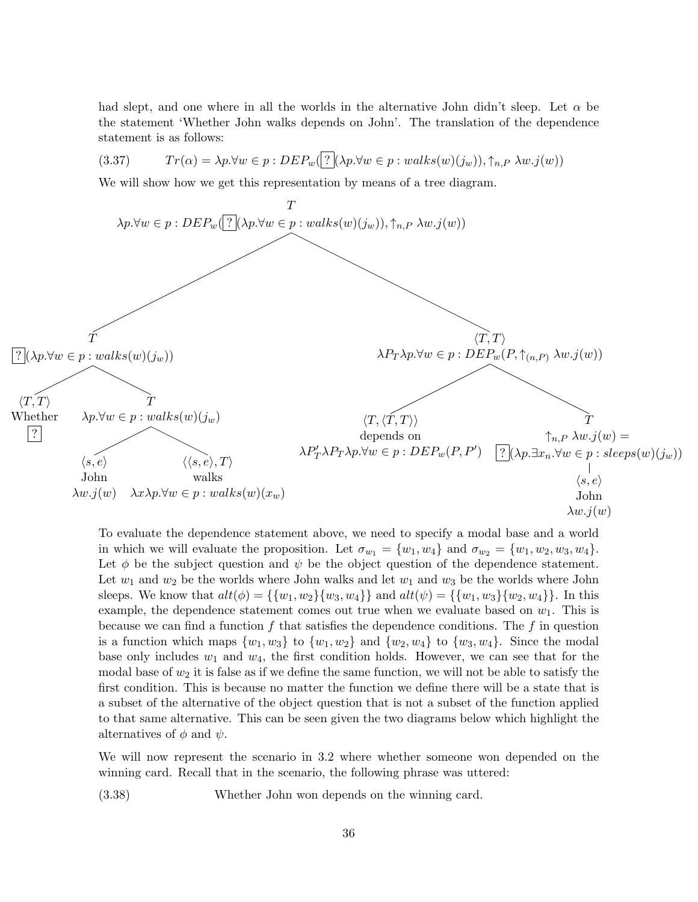had slept, and one where in all the worlds in the alternative John didn't sleep. Let  $\alpha$  be the statement 'Whether John walks depends on John'. The translation of the dependence statement is as follows:

$$
(3.37) \t Tr(\alpha) = \lambda p. \forall w \in p: DEP_w(?\; (\lambda p. \forall w \in p: walks(w)(j_w)), \uparrow_{n,P} \lambda w. j(w))
$$

We will show how we get this representation by means of a tree diagram.



To evaluate the dependence statement above, we need to specify a modal base and a world in which we will evaluate the proposition. Let  $\sigma_{w_1} = \{w_1, w_4\}$  and  $\sigma_{w_2} = \{w_1, w_2, w_3, w_4\}.$ Let  $\phi$  be the subject question and  $\psi$  be the object question of the dependence statement. Let  $w_1$  and  $w_2$  be the worlds where John walks and let  $w_1$  and  $w_3$  be the worlds where John sleeps. We know that  $alt(\phi) = {\{w_1, w_2\}}{w_3, w_4}$  and  $alt(\psi) = {\{w_1, w_3\}}{w_2, w_4}$ . In this example, the dependence statement comes out true when we evaluate based on  $w_1$ . This is because we can find a function  $f$  that satisfies the dependence conditions. The  $f$  in question is a function which maps  $\{w_1, w_3\}$  to  $\{w_1, w_2\}$  and  $\{w_2, w_4\}$  to  $\{w_3, w_4\}$ . Since the modal base only includes  $w_1$  and  $w_4$ , the first condition holds. However, we can see that for the modal base of  $w_2$  it is false as if we define the same function, we will not be able to satisfy the first condition. This is because no matter the function we define there will be a state that is a subset of the alternative of the object question that is not a subset of the function applied to that same alternative. This can be seen given the two diagrams below which highlight the alternatives of  $\phi$  and  $\psi$ .

We will now represent the scenario in 3.2 where whether someone won depended on the winning card. Recall that in the scenario, the following phrase was uttered:

(3.38) Whether John won depends on the winning card.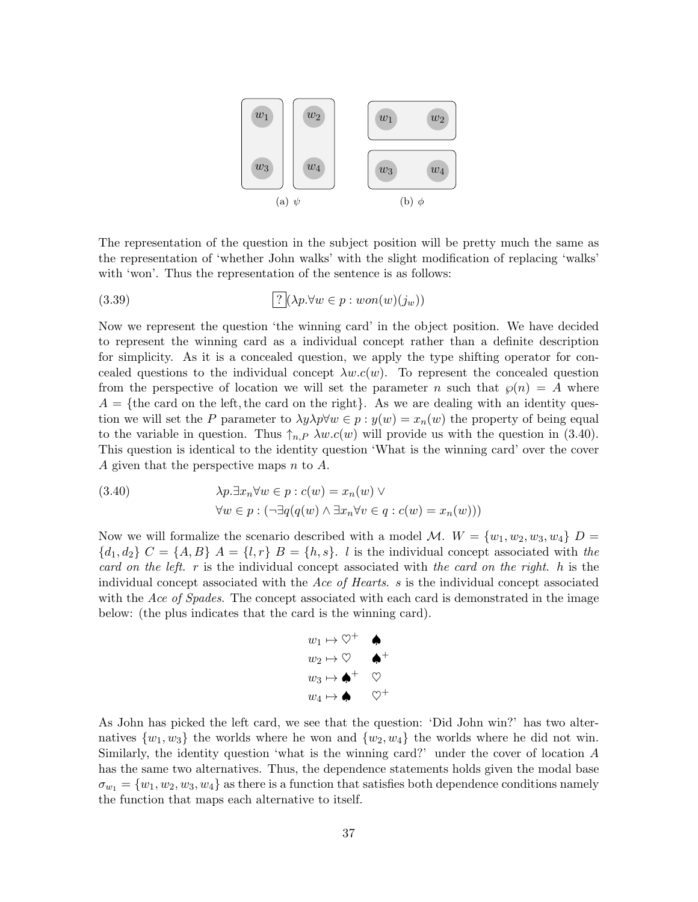

The representation of the question in the subject position will be pretty much the same as the representation of 'whether John walks' with the slight modification of replacing 'walks' with 'won'. Thus the representation of the sentence is as follows:

(3.39) 
$$
\boxed{? \big( \lambda p. \forall w \in p : won(w)(j_w) \big)}
$$

Now we represent the question 'the winning card' in the object position. We have decided to represent the winning card as a individual concept rather than a definite description for simplicity. As it is a concealed question, we apply the type shifting operator for concealed questions to the individual concept  $\lambda w.c(w)$ . To represent the concealed question from the perspective of location we will set the parameter n such that  $\wp(n) = A$  where  $A = \{$ the card on the left, the card on the right $\}$ . As we are dealing with an identity question we will set the P parameter to  $\lambda y \lambda p \forall w \in p : y(w) = x_n(w)$  the property of being equal to the variable in question. Thus  $\uparrow_{n,P} \lambda w.c(w)$  will provide us with the question in (3.40). This question is identical to the identity question 'What is the winning card' over the cover A given that the perspective maps n to A.

(3.40) 
$$
\lambda p. \exists x_n \forall w \in p : c(w) = x_n(w) \vee \forall w \in p : (\neg \exists q(q(w) \land \exists x_n \forall v \in q : c(w) = x_n(w)))
$$

Now we will formalize the scenario described with a model M.  $W = \{w_1, w_2, w_3, w_4\}$   $D =$  ${d_1, d_2}$   $C = {A, B}$   $A = {l, r}$   $B = {h, s}$ . *l* is the individual concept associated with the card on the left. r is the individual concept associated with the card on the right. h is the individual concept associated with the Ace of Hearts. s is the individual concept associated with the Ace of Spades. The concept associated with each card is demonstrated in the image below: (the plus indicates that the card is the winning card).



As John has picked the left card, we see that the question: 'Did John win?' has two alternatives  $\{w_1, w_3\}$  the worlds where he won and  $\{w_2, w_4\}$  the worlds where he did not win. Similarly, the identity question 'what is the winning card?' under the cover of location A has the same two alternatives. Thus, the dependence statements holds given the modal base  $\sigma_{w_1} = \{w_1, w_2, w_3, w_4\}$  as there is a function that satisfies both dependence conditions namely the function that maps each alternative to itself.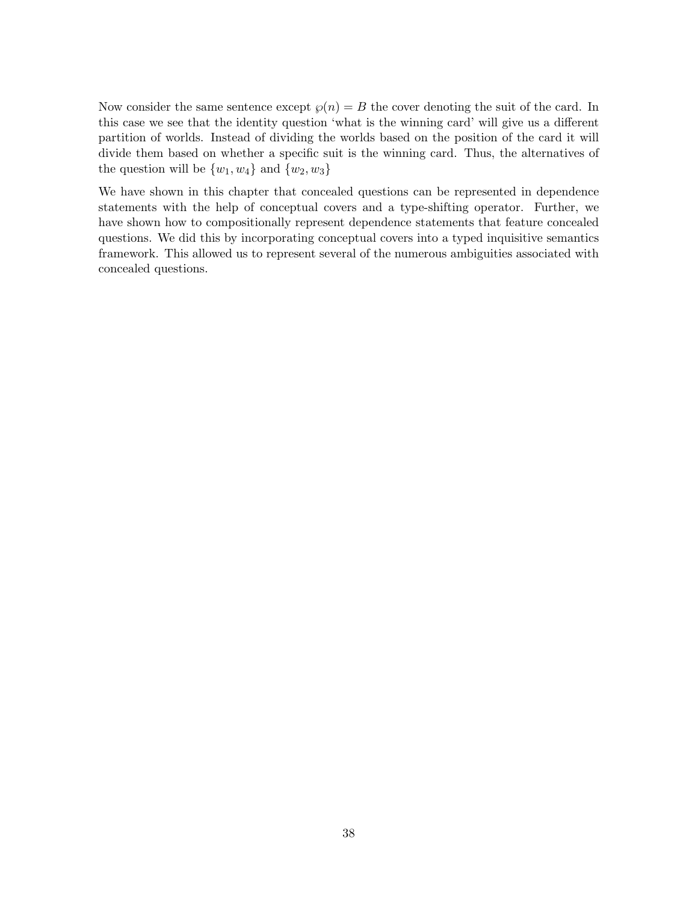Now consider the same sentence except  $\wp(n) = B$  the cover denoting the suit of the card. In this case we see that the identity question 'what is the winning card' will give us a different partition of worlds. Instead of dividing the worlds based on the position of the card it will divide them based on whether a specific suit is the winning card. Thus, the alternatives of the question will be  $\{w_1, w_4\}$  and  $\{w_2, w_3\}$ 

We have shown in this chapter that concealed questions can be represented in dependence statements with the help of conceptual covers and a type-shifting operator. Further, we have shown how to compositionally represent dependence statements that feature concealed questions. We did this by incorporating conceptual covers into a typed inquisitive semantics framework. This allowed us to represent several of the numerous ambiguities associated with concealed questions.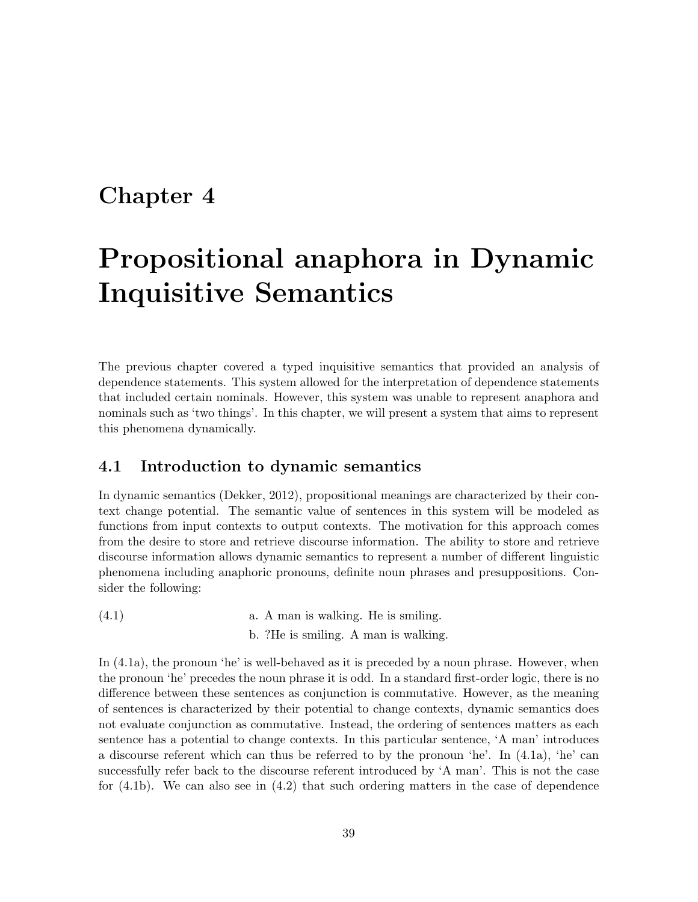### Chapter 4

## Propositional anaphora in Dynamic Inquisitive Semantics

The previous chapter covered a typed inquisitive semantics that provided an analysis of dependence statements. This system allowed for the interpretation of dependence statements that included certain nominals. However, this system was unable to represent anaphora and nominals such as 'two things'. In this chapter, we will present a system that aims to represent this phenomena dynamically.

#### 4.1 Introduction to dynamic semantics

In dynamic semantics (Dekker, 2012), propositional meanings are characterized by their context change potential. The semantic value of sentences in this system will be modeled as functions from input contexts to output contexts. The motivation for this approach comes from the desire to store and retrieve discourse information. The ability to store and retrieve discourse information allows dynamic semantics to represent a number of different linguistic phenomena including anaphoric pronouns, definite noun phrases and presuppositions. Consider the following:

 $(4.1)$  a. A man is walking. He is smiling.

b. ?He is smiling. A man is walking.

In  $(4.1a)$ , the pronoun 'he' is well-behaved as it is preceded by a noun phrase. However, when the pronoun 'he' precedes the noun phrase it is odd. In a standard first-order logic, there is no difference between these sentences as conjunction is commutative. However, as the meaning of sentences is characterized by their potential to change contexts, dynamic semantics does not evaluate conjunction as commutative. Instead, the ordering of sentences matters as each sentence has a potential to change contexts. In this particular sentence, 'A man' introduces a discourse referent which can thus be referred to by the pronoun 'he'. In (4.1a), 'he' can successfully refer back to the discourse referent introduced by 'A man'. This is not the case for (4.1b). We can also see in (4.2) that such ordering matters in the case of dependence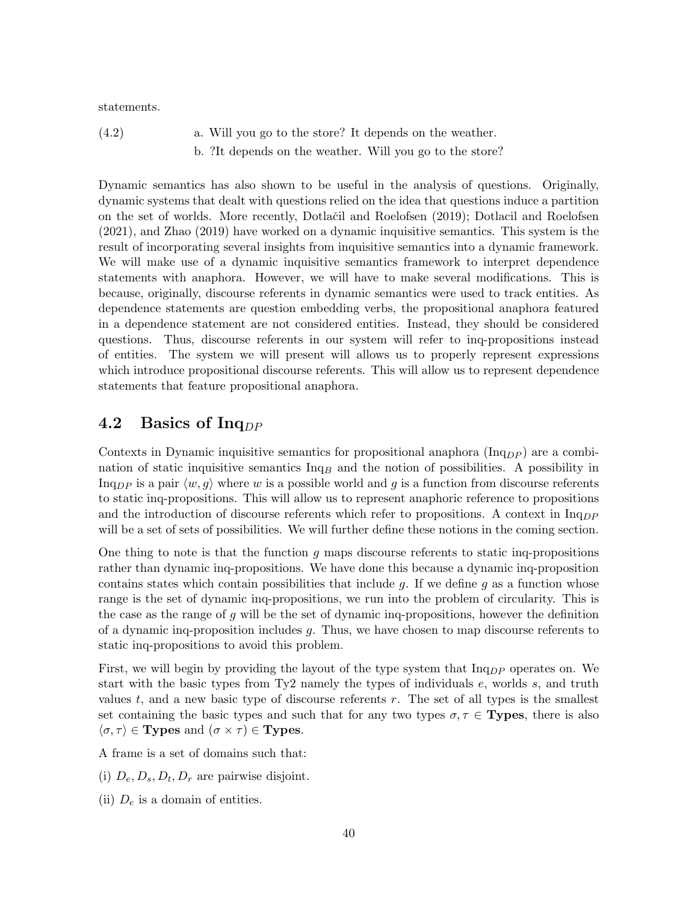statements.

 $(4.2)$  a. Will you go to the store? It depends on the weather. b. ?It depends on the weather. Will you go to the store?

Dynamic semantics has also shown to be useful in the analysis of questions. Originally, dynamic systems that dealt with questions relied on the idea that questions induce a partition on the set of worlds. More recently, Dotlačil and Roelofsen (2019); Dotlacil and Roelofsen (2021), and Zhao (2019) have worked on a dynamic inquisitive semantics. This system is the result of incorporating several insights from inquisitive semantics into a dynamic framework. We will make use of a dynamic inquisitive semantics framework to interpret dependence statements with anaphora. However, we will have to make several modifications. This is because, originally, discourse referents in dynamic semantics were used to track entities. As dependence statements are question embedding verbs, the propositional anaphora featured in a dependence statement are not considered entities. Instead, they should be considered questions. Thus, discourse referents in our system will refer to inq-propositions instead of entities. The system we will present will allows us to properly represent expressions which introduce propositional discourse referents. This will allow us to represent dependence statements that feature propositional anaphora.

#### 4.2 Basics of Inq<sub>DP</sub>

Contexts in Dynamic inquisitive semantics for propositional anaphora  $(\text{Inq}_{DP})$  are a combination of static inquisitive semantics  $\text{Inq}_B$  and the notion of possibilities. A possibility in Inq<sub>pp</sub> is a pair  $\langle w, g \rangle$  where w is a possible world and g is a function from discourse referents to static inq-propositions. This will allow us to represent anaphoric reference to propositions and the introduction of discourse referents which refer to propositions. A context in  $\ln q_{DP}$ will be a set of sets of possibilities. We will further define these notions in the coming section.

One thing to note is that the function q maps discourse referents to static inq-propositions rather than dynamic inq-propositions. We have done this because a dynamic inq-proposition contains states which contain possibilities that include q. If we define q as a function whose range is the set of dynamic inq-propositions, we run into the problem of circularity. This is the case as the range of  $g$  will be the set of dynamic inq-propositions, however the definition of a dynamic inq-proposition includes g. Thus, we have chosen to map discourse referents to static inq-propositions to avoid this problem.

First, we will begin by providing the layout of the type system that  $\text{Inq}_{DP}$  operates on. We start with the basic types from Ty2 namely the types of individuals e, worlds s, and truth values  $t$ , and a new basic type of discourse referents  $r$ . The set of all types is the smallest set containing the basic types and such that for any two types  $\sigma, \tau \in \mathbf{Types}$ , there is also  $\langle \sigma, \tau \rangle \in \mathbf{Types}$  and  $(\sigma \times \tau) \in \mathbf{Types}.$ 

A frame is a set of domains such that:

- (i)  $D_e, D_s, D_t, D_r$  are pairwise disjoint.
- (ii)  $D_e$  is a domain of entities.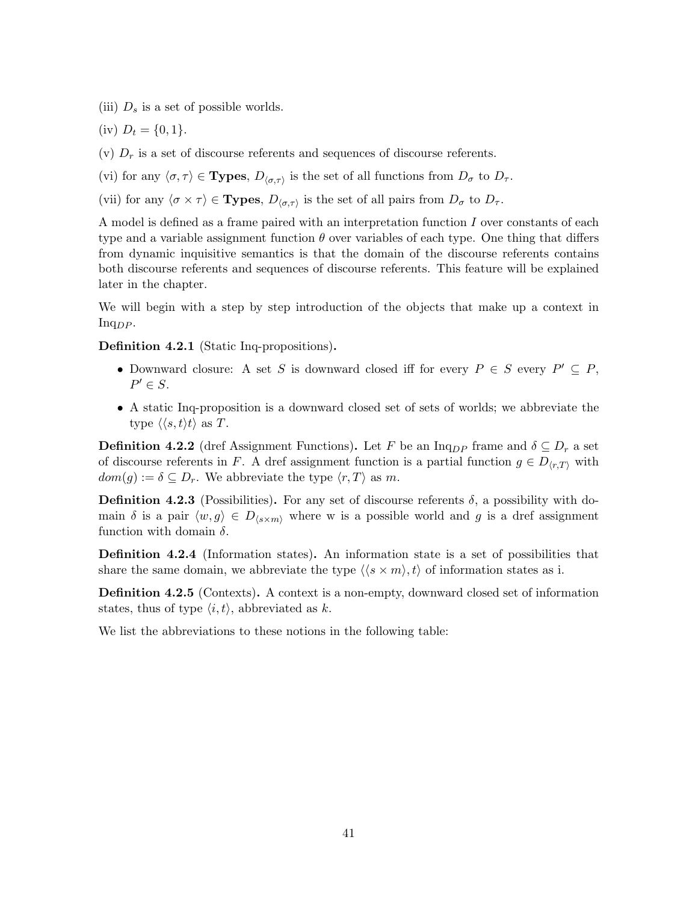- (iii)  $D_s$  is a set of possible worlds.
- (iv)  $D_t = \{0, 1\}.$
- (v)  $D<sub>r</sub>$  is a set of discourse referents and sequences of discourse referents.
- (vi) for any  $\langle \sigma, \tau \rangle \in \mathbf{Types}, D_{\langle \sigma, \tau \rangle}$  is the set of all functions from  $D_{\sigma}$  to  $D_{\tau}$ .
- (vii) for any  $\langle \sigma \times \tau \rangle \in \mathbf{Types}, D_{\langle \sigma, \tau \rangle}$  is the set of all pairs from  $D_{\sigma}$  to  $D_{\tau}$ .

A model is defined as a frame paired with an interpretation function I over constants of each type and a variable assignment function  $\theta$  over variables of each type. One thing that differs from dynamic inquisitive semantics is that the domain of the discourse referents contains both discourse referents and sequences of discourse referents. This feature will be explained later in the chapter.

We will begin with a step by step introduction of the objects that make up a context in  $Inq_{DP}$ .

Definition 4.2.1 (Static Inq-propositions).

- Downward closure: A set S is downward closed iff for every  $P \in S$  every  $P' \subseteq P$ ,  $P' \in S$ .
- A static Inq-proposition is a downward closed set of sets of worlds; we abbreviate the type  $\langle \langle s, t \rangle t \rangle$  as T.

**Definition 4.2.2** (dref Assignment Functions). Let F be an Inq<sub>DP</sub> frame and  $\delta \subseteq D_r$  a set of discourse referents in F. A dref assignment function is a partial function  $g \in D_{(r,T)}$  with  $dom(q) := \delta \subseteq D_r$ . We abbreviate the type  $\langle r, T \rangle$  as m.

**Definition 4.2.3** (Possibilities). For any set of discourse referents  $\delta$ , a possibility with domain  $\delta$  is a pair  $\langle w, g \rangle \in D_{\langle s \times m \rangle}$  where w is a possible world and g is a dref assignment function with domain  $\delta$ .

Definition 4.2.4 (Information states). An information state is a set of possibilities that share the same domain, we abbreviate the type  $\langle \langle s \times m \rangle, t \rangle$  of information states as i.

Definition 4.2.5 (Contexts). A context is a non-empty, downward closed set of information states, thus of type  $\langle i, t \rangle$ , abbreviated as k.

We list the abbreviations to these notions in the following table: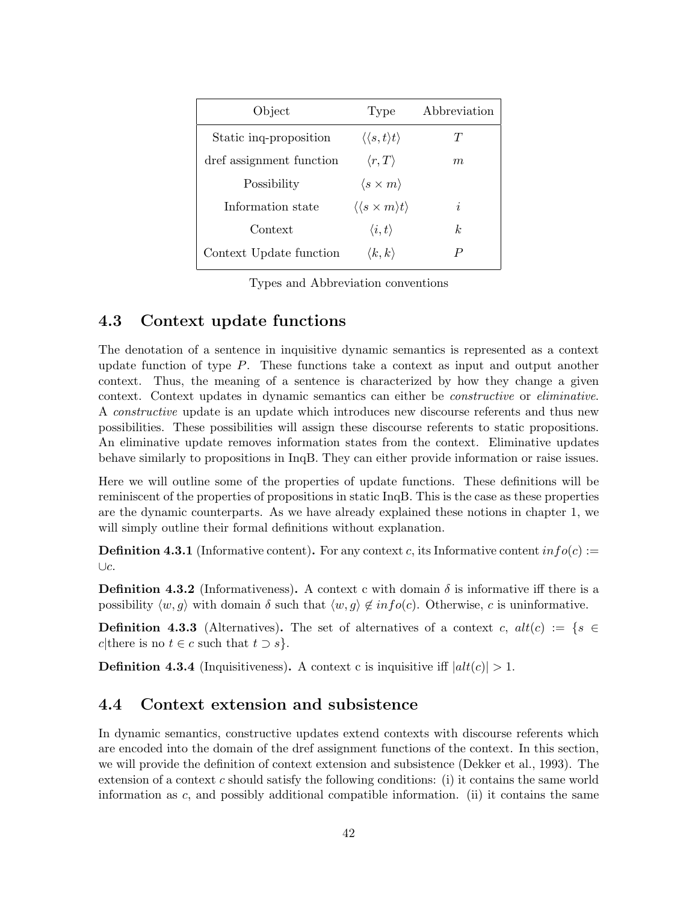| Object                   | Type                                           | Abbreviation   |
|--------------------------|------------------------------------------------|----------------|
| Static ing-proposition   | $\langle \langle s,t \rangle t \rangle$        | T              |
| dref assignment function | $\langle r, T \rangle$                         | m              |
| Possibility              | $\langle s \times m \rangle$                   |                |
| Information state        | $\langle \langle s \times m \rangle t \rangle$ | i              |
| Context                  | $\langle i,t\rangle$                           | k <sub>i</sub> |
| Context Update function  | $\langle k,k\rangle$                           | P              |

Types and Abbreviation conventions

#### 4.3 Context update functions

The denotation of a sentence in inquisitive dynamic semantics is represented as a context update function of type P. These functions take a context as input and output another context. Thus, the meaning of a sentence is characterized by how they change a given context. Context updates in dynamic semantics can either be constructive or eliminative. A constructive update is an update which introduces new discourse referents and thus new possibilities. These possibilities will assign these discourse referents to static propositions. An eliminative update removes information states from the context. Eliminative updates behave similarly to propositions in InqB. They can either provide information or raise issues.

Here we will outline some of the properties of update functions. These definitions will be reminiscent of the properties of propositions in static InqB. This is the case as these properties are the dynamic counterparts. As we have already explained these notions in chapter 1, we will simply outline their formal definitions without explanation.

**Definition 4.3.1** (Informative content). For any context c, its Informative content  $info(c) :=$ ∪c.

**Definition 4.3.2** (Informativeness). A context c with domain  $\delta$  is informative iff there is a possibility  $\langle w, g \rangle$  with domain  $\delta$  such that  $\langle w, g \rangle \notin info(c)$ . Otherwise, c is uninformative.

**Definition 4.3.3** (Alternatives). The set of alternatives of a context c,  $alt(c) := \{s \in$ c|there is no  $t \in c$  such that  $t \supset s$  }.

**Definition 4.3.4** (Inquisitiveness). A context c is inquisitive iff  $|alt(c)| > 1$ .

#### 4.4 Context extension and subsistence

In dynamic semantics, constructive updates extend contexts with discourse referents which are encoded into the domain of the dref assignment functions of the context. In this section, we will provide the definition of context extension and subsistence (Dekker et al., 1993). The extension of a context  $c$  should satisfy the following conditions: (i) it contains the same world information as  $c$ , and possibly additional compatible information. (ii) it contains the same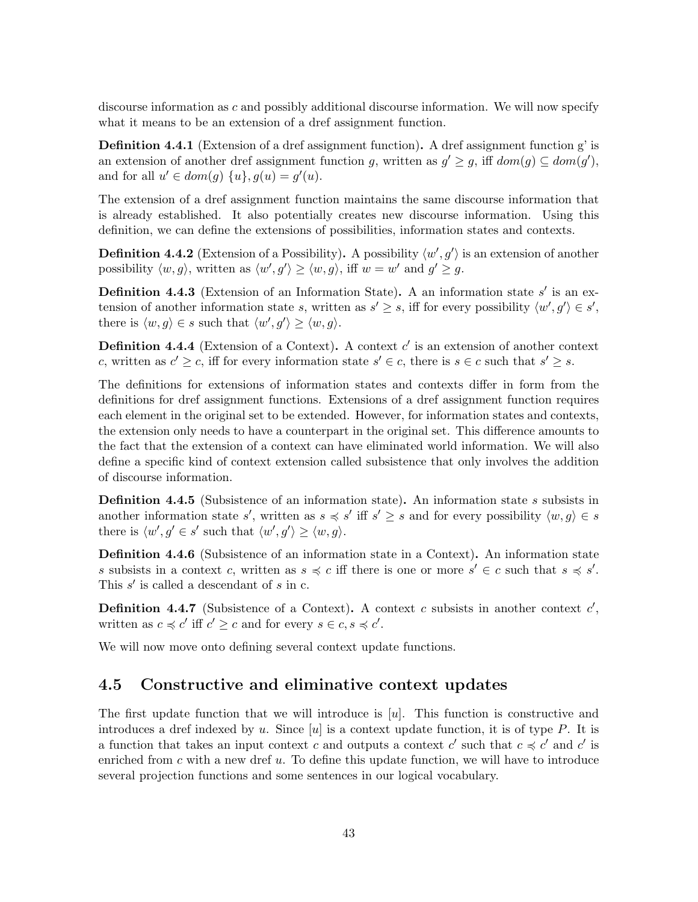discourse information as c and possibly additional discourse information. We will now specify what it means to be an extension of a dref assignment function.

Definition 4.4.1 (Extension of a dref assignment function). A dref assignment function g' is an extension of another dref assignment function g, written as  $g' \geq g$ , iff  $dom(g) \subseteq dom(g')$ , and for all  $u' \in dom(g) \{u\}$ ,  $g(u) = g'(u)$ .

The extension of a dref assignment function maintains the same discourse information that is already established. It also potentially creates new discourse information. Using this definition, we can define the extensions of possibilities, information states and contexts.

**Definition 4.4.2** (Extension of a Possibility). A possibility  $\langle w', g' \rangle$  is an extension of another possibility  $\langle w, g \rangle$ , written as  $\langle w', g' \rangle \ge \langle w, g \rangle$ , iff  $w = w'$  and  $g' \ge g$ .

**Definition 4.4.3** (Extension of an Information State). A an information state  $s'$  is an extension of another information state s, written as  $s' \geq s$ , iff for every possibility  $\langle w', g' \rangle \in s'$ , there is  $\langle w, g \rangle \in s$  such that  $\langle w', g' \rangle \geq \langle w, g \rangle$ .

**Definition 4.4.4** (Extension of a Context). A context  $c'$  is an extension of another context c, written as  $c' \geq c$ , iff for every information state  $s' \in c$ , there is  $s \in c$  such that  $s' \geq s$ .

The definitions for extensions of information states and contexts differ in form from the definitions for dref assignment functions. Extensions of a dref assignment function requires each element in the original set to be extended. However, for information states and contexts, the extension only needs to have a counterpart in the original set. This difference amounts to the fact that the extension of a context can have eliminated world information. We will also define a specific kind of context extension called subsistence that only involves the addition of discourse information.

Definition 4.4.5 (Subsistence of an information state). An information state s subsists in another information state s', written as  $s \preccurlyeq s'$  iff  $s' \geq s$  and for every possibility  $\langle w, g \rangle \in s$ there is  $\langle w', g' \in s'$  such that  $\langle w', g' \rangle \geq \langle w, g \rangle$ .

Definition 4.4.6 (Subsistence of an information state in a Context). An information state s subsists in a context c, written as  $s \preccurlyeq c$  iff there is one or more  $s' \in c$  such that  $s \preccurlyeq s'$ . This  $s'$  is called a descendant of  $s$  in  $c$ .

**Definition 4.4.7** (Subsistence of a Context). A context c subsists in another context  $c'$ , written as  $c \preccurlyeq c'$  iff  $c' \geq c$  and for every  $s \in c, s \preccurlyeq c'$ .

We will now move onto defining several context update functions.

#### 4.5 Constructive and eliminative context updates

The first update function that we will introduce is [u]. This function is constructive and introduces a dref indexed by u. Since [u] is a context update function, it is of type  $P$ . It is a function that takes an input context c and outputs a context c' such that  $c \preccurlyeq c'$  and c' is enriched from  $c$  with a new dref  $u$ . To define this update function, we will have to introduce several projection functions and some sentences in our logical vocabulary.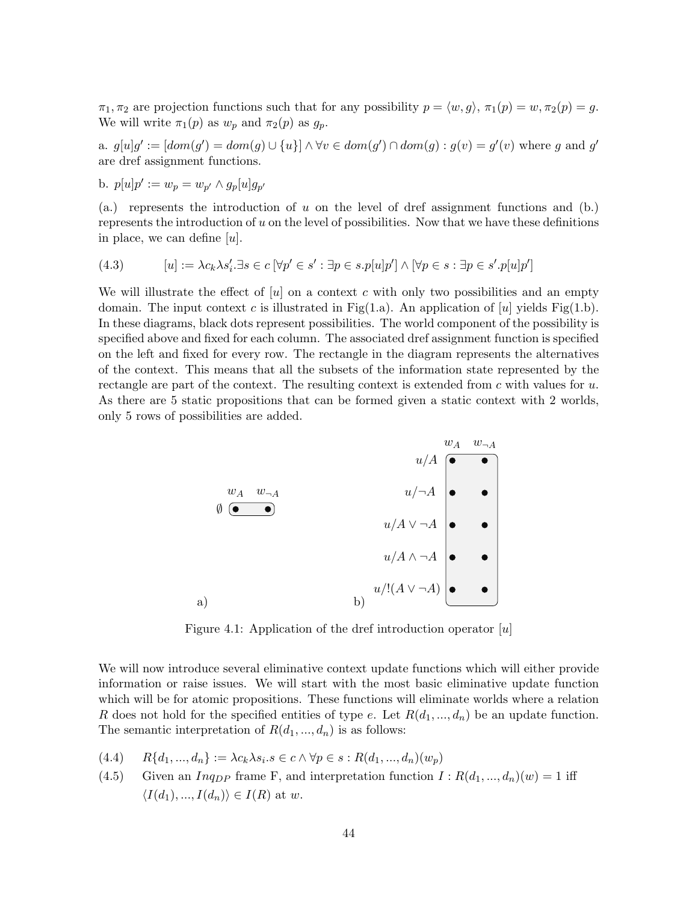$\pi_1, \pi_2$  are projection functions such that for any possibility  $p = \langle w, q \rangle, \pi_1(p) = w, \pi_2(p) = g$ . We will write  $\pi_1(p)$  as  $w_p$  and  $\pi_2(p)$  as  $g_p$ .

a.  $g[u]g' := [dom(g') = dom(g) \cup \{u\}] \wedge \forall v \in dom(g') \cap dom(g) : g(v) = g'(v)$  where g and g' are dref assignment functions.

b. 
$$
p[u]p' := w_p = w_{p'} \wedge g_p[u]g_{p'}
$$

(a.) represents the introduction of  $u$  on the level of dref assignment functions and (b.) represents the introduction of u on the level of possibilities. Now that we have these definitions in place, we can define  $[u]$ .

(4.3) 
$$
[u] := \lambda c_k \lambda s'_i \exists s \in c \ [\forall p' \in s' : \exists p \in s.p[u]p'] \land [\forall p \in s : \exists p \in s'.p[u]p']
$$

We will illustrate the effect of  $[u]$  on a context c with only two possibilities and an empty domain. The input context c is illustrated in Fig(1.a). An application of [u] yields Fig(1.b). In these diagrams, black dots represent possibilities. The world component of the possibility is specified above and fixed for each column. The associated dref assignment function is specified on the left and fixed for every row. The rectangle in the diagram represents the alternatives of the context. This means that all the subsets of the information state represented by the rectangle are part of the context. The resulting context is extended from  $c$  with values for  $u$ . As there are 5 static propositions that can be formed given a static context with 2 worlds, only 5 rows of possibilities are added.



Figure 4.1: Application of the dref introduction operator  $[u]$ 

We will now introduce several eliminative context update functions which will either provide information or raise issues. We will start with the most basic eliminative update function which will be for atomic propositions. These functions will eliminate worlds where a relation R does not hold for the specified entities of type e. Let  $R(d_1, ..., d_n)$  be an update function. The semantic interpretation of  $R(d_1, ..., d_n)$  is as follows:

$$
(4.4) \qquad R\{d_1, ..., d_n\} := \lambda c_k \lambda s_i.s \in c \land \forall p \in s : R(d_1, ..., d_n)(w_p)
$$

(4.5) Given an *Inq<sub>DP</sub>* frame F, and interpretation function  $I : R(d_1, ..., d_n)(w) = 1$  iff  $\langle I(d_1),..., I(d_n)\rangle \in I(R)$  at w.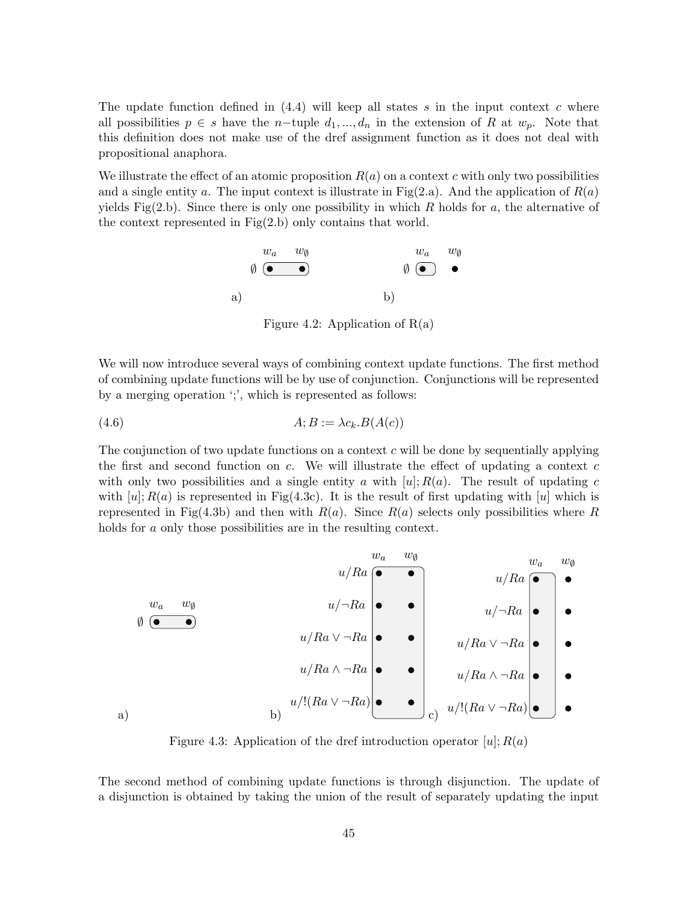The update function defined in  $(4.4)$  will keep all states s in the input context c where all possibilities  $p \in s$  have the n-tuple  $d_1, ..., d_n$  in the extension of R at  $w_p$ . Note that this definition does not make use of the dref assignment function as it does not deal with propositional anaphora.

We illustrate the effect of an atomic proposition  $R(a)$  on a context c with only two possibilities and a single entity a. The input context is illustrate in Fig(2.a). And the application of  $R(a)$ yields Fig(2.b). Since there is only one possibility in which R holds for a, the alternative of the context represented in Fig(2.b) only contains that world.



Figure 4.2: Application of  $R(a)$ 

We will now introduce several ways of combining context update functions. The first method of combining update functions will be by use of conjunction. Conjunctions will be represented by a merging operation ';', which is represented as follows:

$$
(4.6) \t\t A; B := \lambda c_k.B(A(c))
$$

The conjunction of two update functions on a context  $c$  will be done by sequentially applying the first and second function on  $c$ . We will illustrate the effect of updating a context  $c$ with only two possibilities and a single entity a with  $[u]; R(a)$ . The result of updating c with  $[u]$ ;  $R(a)$  is represented in Fig(4.3c). It is the result of first updating with [u] which is represented in Fig(4.3b) and then with  $R(a)$ . Since  $R(a)$  selects only possibilities where R holds for a only those possibilities are in the resulting context.

a) w<sup>a</sup> w<sup>∅</sup> ∅ b) w<sup>a</sup> w<sup>∅</sup> u/Ra u/¬Ra u/Ra ∨ ¬Ra u/Ra ∧ ¬Ra u/!(Ra ∨ ¬Ra) c) w<sup>a</sup> w<sup>∅</sup> u/Ra u/¬Ra u/Ra ∨ ¬Ra u/Ra ∧ ¬Ra u/!(Ra ∨ ¬Ra)

Figure 4.3: Application of the dref introduction operator  $[u]; R(a)$ 

The second method of combining update functions is through disjunction. The update of a disjunction is obtained by taking the union of the result of separately updating the input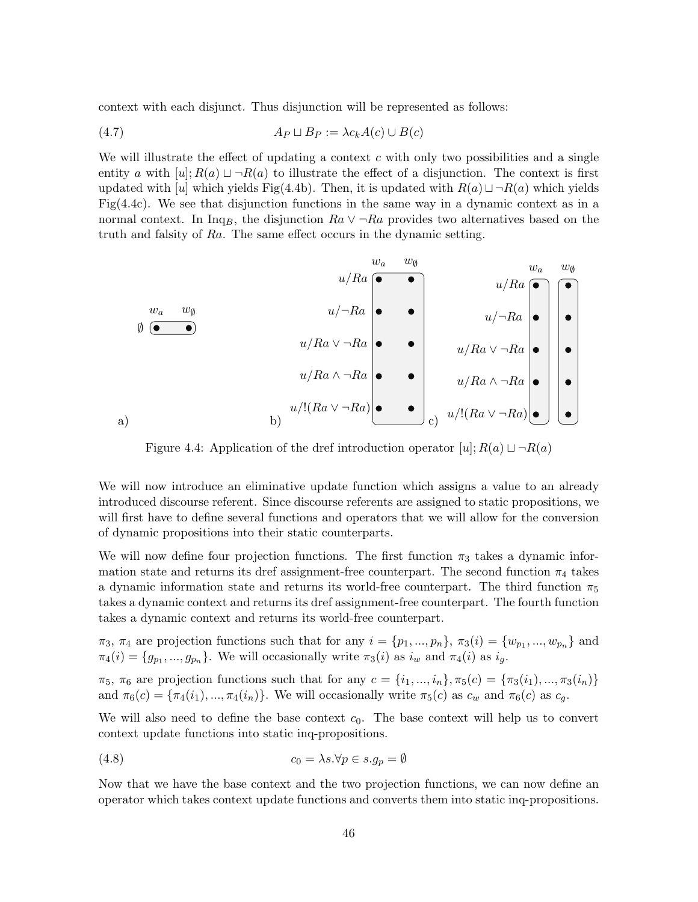context with each disjunct. Thus disjunction will be represented as follows:

$$
(4.7) \t\t\t\t\tAP \sqcup B_P := \lambda c_k A(c) \cup B(c)
$$

We will illustrate the effect of updating a context  $c$  with only two possibilities and a single entity a with  $[u]; R(a) \sqcup \neg R(a)$  to illustrate the effect of a disjunction. The context is first updated with [u] which yields Fig(4.4b). Then, it is updated with  $R(a) \sqcup \neg R(a)$  which yields Fig(4.4c). We see that disjunction functions in the same way in a dynamic context as in a normal context. In Inq<sub>B</sub>, the disjunction  $Ra \vee \neg Ra$  provides two alternatives based on the truth and falsity of Ra. The same effect occurs in the dynamic setting.

a) w<sup>a</sup> w<sup>∅</sup> ∅ b) w<sup>a</sup> w<sup>∅</sup> u/Ra u/¬Ra u/Ra ∨ ¬Ra u/Ra ∧ ¬Ra u/!(Ra ∨ ¬Ra) c) w<sup>a</sup> w<sup>∅</sup> u/Ra u/¬Ra u/Ra ∨ ¬Ra u/Ra ∧ ¬Ra u/!(Ra ∨ ¬Ra)

Figure 4.4: Application of the dref introduction operator  $[u]; R(a) \sqcup \neg R(a)$ 

We will now introduce an eliminative update function which assigns a value to an already introduced discourse referent. Since discourse referents are assigned to static propositions, we will first have to define several functions and operators that we will allow for the conversion of dynamic propositions into their static counterparts.

We will now define four projection functions. The first function  $\pi_3$  takes a dynamic information state and returns its dref assignment-free counterpart. The second function  $\pi_4$  takes a dynamic information state and returns its world-free counterpart. The third function  $\pi_5$ takes a dynamic context and returns its dref assignment-free counterpart. The fourth function takes a dynamic context and returns its world-free counterpart.

 $\pi_3$ ,  $\pi_4$  are projection functions such that for any  $i = \{p_1, ..., p_n\}$ ,  $\pi_3(i) = \{w_{p_1}, ..., w_{p_n}\}\$  and  $\pi_4(i) = \{g_{p_1}, ..., g_{p_n}\}.$  We will occasionally write  $\pi_3(i)$  as  $i_w$  and  $\pi_4(i)$  as  $i_g$ .

 $π_5, π_6$  are projection functions such that for any  $c = \{i_1, ..., i_n\}, π_5(c) = \{π_3(i_1), ..., π_3(i_n)\}$ and  $\pi_6(c) = {\pi_4(i_1), ..., \pi_4(i_n)}$ . We will occasionally write  $\pi_5(c)$  as  $c_w$  and  $\pi_6(c)$  as  $c_g$ .

We will also need to define the base context  $c_0$ . The base context will help us to convert context update functions into static inq-propositions.

(4.8) 
$$
c_0 = \lambda s. \forall p \in s. g_p = \emptyset
$$

Now that we have the base context and the two projection functions, we can now define an operator which takes context update functions and converts them into static inq-propositions.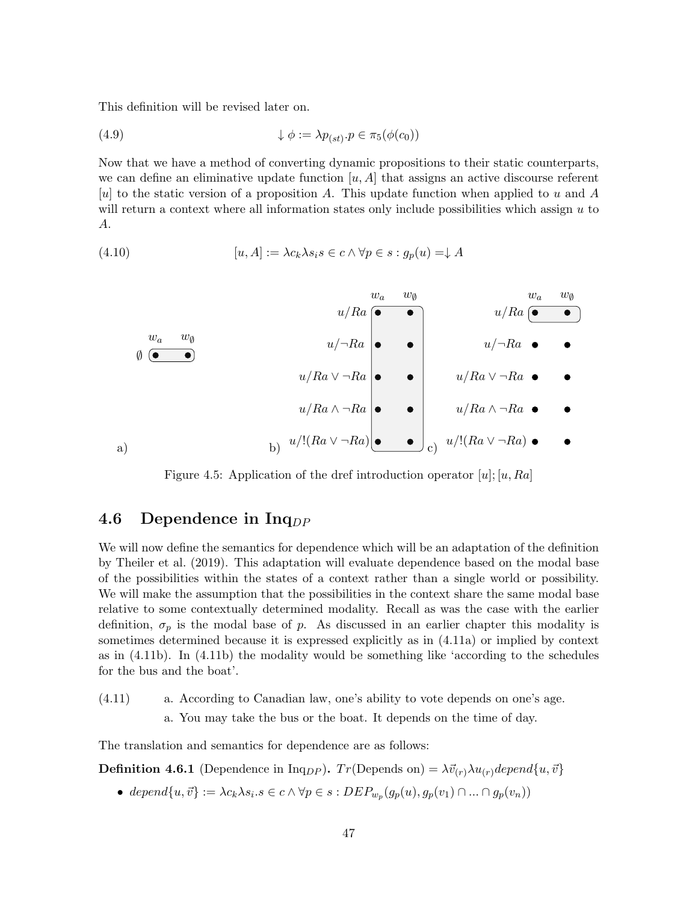This definition will be revised later on.

(4.9) 
$$
\downarrow \phi := \lambda p_{(st)} \cdot p \in \pi_5(\phi(c_0))
$$

Now that we have a method of converting dynamic propositions to their static counterparts, we can define an eliminative update function  $[u, A]$  that assigns an active discourse referent [u] to the static version of a proposition A. This update function when applied to u and A will return a context where all information states only include possibilities which assign  $u$  to A.

(4.10) 
$$
[u, A] := \lambda c_k \lambda s_i s \in c \land \forall p \in s : g_p(u) = \downarrow A
$$



Figure 4.5: Application of the dref introduction operator  $[u]; [u, Ra]$ 

#### 4.6 Dependence in  $Inq_{DP}$

We will now define the semantics for dependence which will be an adaptation of the definition by Theiler et al. (2019). This adaptation will evaluate dependence based on the modal base of the possibilities within the states of a context rather than a single world or possibility. We will make the assumption that the possibilities in the context share the same modal base relative to some contextually determined modality. Recall as was the case with the earlier definition,  $\sigma_p$  is the modal base of p. As discussed in an earlier chapter this modality is sometimes determined because it is expressed explicitly as in (4.11a) or implied by context as in (4.11b). In (4.11b) the modality would be something like 'according to the schedules for the bus and the boat'.

(4.11) a. According to Canadian law, one's ability to vote depends on one's age. a. You may take the bus or the boat. It depends on the time of day.

The translation and semantics for dependence are as follows:

**Definition 4.6.1** (Dependence in Inq<sub>DP</sub>).  $Tr(\text{Depends on}) = \lambda \vec{v}_{(r)} \lambda u_{(r)} \text{depend}\{u, \vec{v}\}\$ 

• depend $\{u, \vec{v}\} := \lambda c_k \lambda s_i . s \in c \wedge \forall p \in s : DEP_{w_p}(g_p(u), g_p(v_1) \cap ... \cap g_p(v_n))$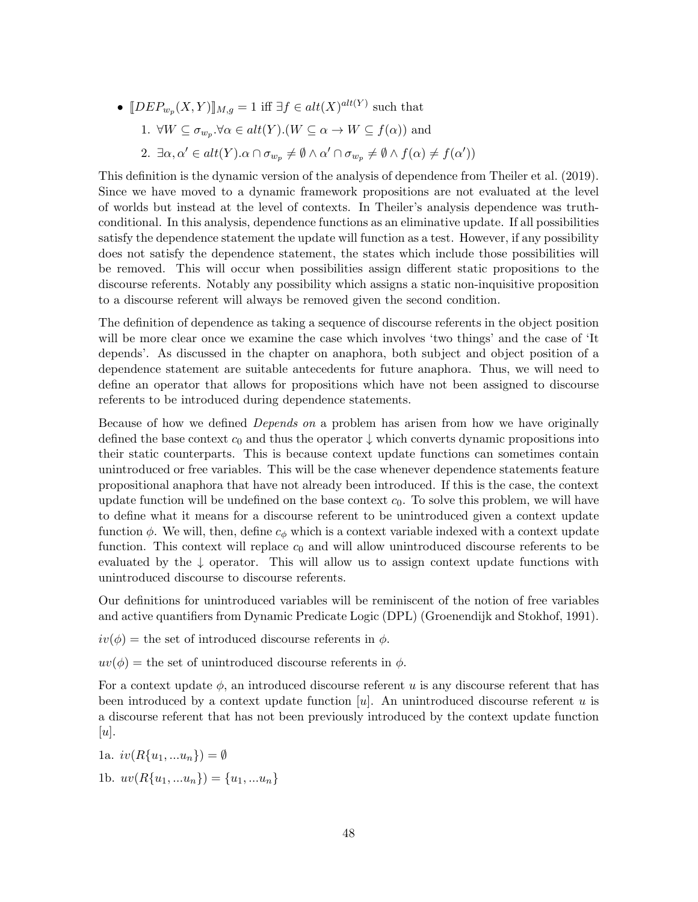•  $[DEF_{w_p}(X, Y)]_{M,g} = 1$  iff  $\exists f \in alt(X)^{alt(Y)}$  such that 1.  $\forall W \subseteq \sigma_{w_p}$ . $\forall \alpha \in alt(Y)$ .  $(W \subseteq \alpha \rightarrow W \subseteq f(\alpha))$  and 2.  $\exists \alpha, \alpha' \in alt(Y) . \alpha \cap \sigma_{w_p} \neq \emptyset \wedge \alpha' \cap \sigma_{w_p} \neq \emptyset \wedge f(\alpha) \neq f(\alpha')$ 

This definition is the dynamic version of the analysis of dependence from Theiler et al. (2019). Since we have moved to a dynamic framework propositions are not evaluated at the level of worlds but instead at the level of contexts. In Theiler's analysis dependence was truthconditional. In this analysis, dependence functions as an eliminative update. If all possibilities satisfy the dependence statement the update will function as a test. However, if any possibility does not satisfy the dependence statement, the states which include those possibilities will be removed. This will occur when possibilities assign different static propositions to the discourse referents. Notably any possibility which assigns a static non-inquisitive proposition to a discourse referent will always be removed given the second condition.

The definition of dependence as taking a sequence of discourse referents in the object position will be more clear once we examine the case which involves 'two things' and the case of 'It depends'. As discussed in the chapter on anaphora, both subject and object position of a dependence statement are suitable antecedents for future anaphora. Thus, we will need to define an operator that allows for propositions which have not been assigned to discourse referents to be introduced during dependence statements.

Because of how we defined Depends on a problem has arisen from how we have originally defined the base context  $c_0$  and thus the operator  $\downarrow$  which converts dynamic propositions into their static counterparts. This is because context update functions can sometimes contain unintroduced or free variables. This will be the case whenever dependence statements feature propositional anaphora that have not already been introduced. If this is the case, the context update function will be undefined on the base context  $c_0$ . To solve this problem, we will have to define what it means for a discourse referent to be unintroduced given a context update function  $\phi$ . We will, then, define  $c_{\phi}$  which is a context variable indexed with a context update function. This context will replace  $c_0$  and will allow unintroduced discourse referents to be evaluated by the  $\downarrow$  operator. This will allow us to assign context update functions with unintroduced discourse to discourse referents.

Our definitions for unintroduced variables will be reminiscent of the notion of free variables and active quantifiers from Dynamic Predicate Logic (DPL) (Groenendijk and Stokhof, 1991).

- $iv(\phi)$  = the set of introduced discourse referents in  $\phi$ .
- $uv(\phi)$  = the set of unintroduced discourse referents in  $\phi$ .

For a context update  $\phi$ , an introduced discourse referent u is any discourse referent that has been introduced by a context update function  $[u]$ . An unintroduced discourse referent u is a discourse referent that has not been previously introduced by the context update function  $[u]$ .

1a. 
$$
iv(R{u_1,...u_n}) = \emptyset
$$
  
1b.  $uv(R{u_1,...u_n}) = {u_1,...u_n}$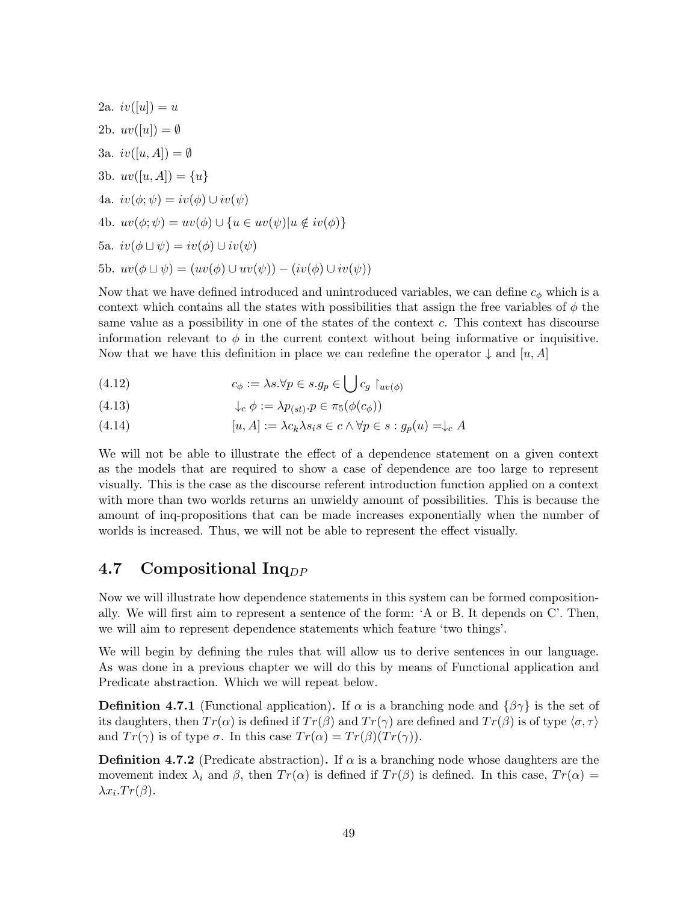2a. 
$$
iv([u]) = u
$$
  
\n2b.  $uv([u]) = \emptyset$   
\n3a.  $iv([u, A]) = \emptyset$   
\n3b.  $uv([u, A]) = \{u\}$   
\n4a.  $iv(\phi; \psi) = iv(\phi) \cup iv(\psi)$   
\n4b.  $uv(\phi; \psi) = uv(\phi) \cup \{u \in uv(\psi)|u \notin iv(\phi)\}$   
\n5a.  $iv(\phi \sqcup \psi) = iv(\phi) \cup iv(\psi)$   
\n5b.  $uv(\phi \sqcup \psi) = (uv(\phi) \cup uv(\psi)) - (iv(\phi) \cup iv(\psi))$ 

Now that we have defined introduced and unintroduced variables, we can define  $c_{\phi}$  which is a context which contains all the states with possibilities that assign the free variables of  $\phi$  the same value as a possibility in one of the states of the context  $c$ . This context has discourse information relevant to  $\phi$  in the current context without being informative or inquisitive. Now that we have this definition in place we can redefine the operator  $\downarrow$  and  $[u, A]$ 

(4.12) 
$$
c_{\phi} := \lambda s. \forall p \in s. g_p \in \bigcup c_g \upharpoonright_{uv(\phi)}
$$

(4.13) 
$$
\downarrow_c \phi := \lambda p_{(st)} \cdot p \in \pi_5(\phi(c_{\phi}))
$$

(4.14) 
$$
[u, A] := \lambda c_k \lambda s_i s \in c \land \forall p \in s : g_p(u) = \downarrow_c A
$$

We will not be able to illustrate the effect of a dependence statement on a given context as the models that are required to show a case of dependence are too large to represent visually. This is the case as the discourse referent introduction function applied on a context with more than two worlds returns an unwieldy amount of possibilities. This is because the amount of inq-propositions that can be made increases exponentially when the number of worlds is increased. Thus, we will not be able to represent the effect visually.

#### 4.7 Compositional Inq<sub>DP</sub>

Now we will illustrate how dependence statements in this system can be formed compositionally. We will first aim to represent a sentence of the form: 'A or B. It depends on C'. Then, we will aim to represent dependence statements which feature 'two things'.

We will begin by defining the rules that will allow us to derive sentences in our language. As was done in a previous chapter we will do this by means of Functional application and Predicate abstraction. Which we will repeat below.

**Definition 4.7.1** (Functional application). If  $\alpha$  is a branching node and  $\{\beta\gamma\}$  is the set of its daughters, then  $Tr(\alpha)$  is defined if  $Tr(\beta)$  and  $Tr(\gamma)$  are defined and  $Tr(\beta)$  is of type  $\langle \sigma, \tau \rangle$ and  $Tr(\gamma)$  is of type  $\sigma$ . In this case  $Tr(\alpha) = Tr(\beta)(Tr(\gamma)).$ 

**Definition 4.7.2** (Predicate abstraction). If  $\alpha$  is a branching node whose daughters are the movement index  $\lambda_i$  and  $\beta$ , then  $Tr(\alpha)$  is defined if  $Tr(\beta)$  is defined. In this case,  $Tr(\alpha)$  =  $\lambda x_i \cdot Tr(\beta)$ .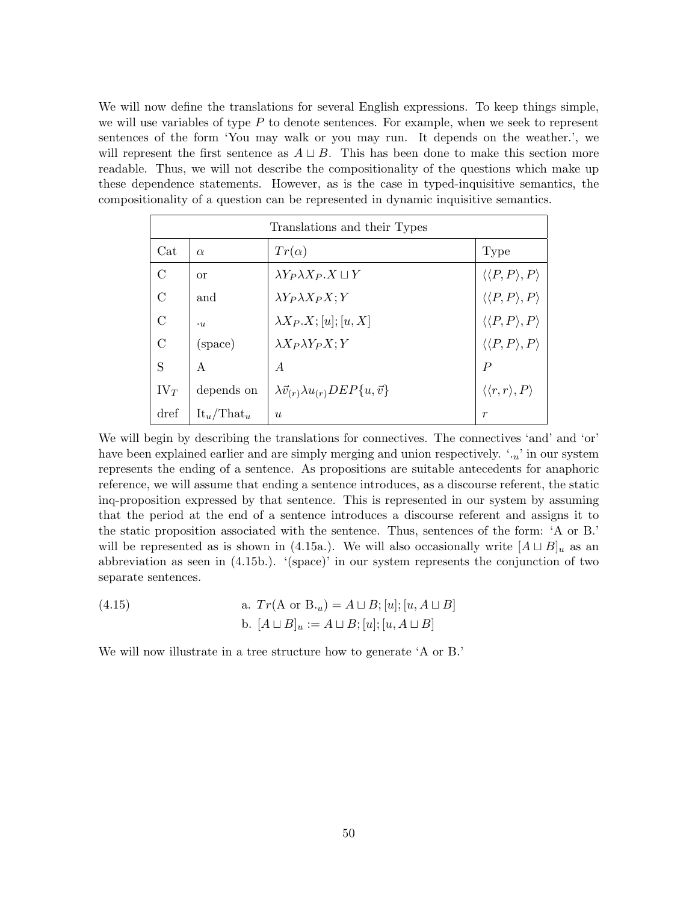We will now define the translations for several English expressions. To keep things simple, we will use variables of type  $P$  to denote sentences. For example, when we seek to represent sentences of the form 'You may walk or you may run. It depends on the weather.', we will represent the first sentence as  $A \sqcup B$ . This has been done to make this section more readable. Thus, we will not describe the compositionality of the questions which make up these dependence statements. However, as is the case in typed-inquisitive semantics, the compositionality of a question can be represented in dynamic inquisitive semantics.

| Translations and their Types |                                 |                                                            |                                           |
|------------------------------|---------------------------------|------------------------------------------------------------|-------------------------------------------|
| Cat                          | $\alpha$                        | $Tr(\alpha)$                                               | <b>Type</b>                               |
| $\rm C$                      | <b>or</b>                       | $\lambda Y_P \lambda X_P X \sqcup Y$                       | $\langle \langle P, P \rangle, P \rangle$ |
| $\rm C$                      | and                             | $\lambda Y_P \lambda X_P X; Y$                             | $\langle \langle P, P \rangle, P \rangle$ |
| $\rm C$                      | $\cdot u$                       | $\lambda X_P.X; [u]; [u, X]$                               | $\langle \langle P, P \rangle, P \rangle$ |
| $\mathcal{C}$                | (space)                         | $\lambda X_P \lambda Y_P X; Y$                             | $\langle \langle P, P \rangle, P \rangle$ |
| S                            | A                               | $\overline{A}$                                             | $\boldsymbol{P}$                          |
| $IV_T$                       | depends on                      | $\lambda \vec{v}_{(r)} \lambda u_{(r)} DEP\{u, \vec{v}\}\$ | $\langle \langle r, r \rangle, P \rangle$ |
| dref                         | $\text{It}_{u}/\text{That}_{u}$ | $\boldsymbol{u}$                                           | $\boldsymbol{r}$                          |

We will begin by describing the translations for connectives. The connectives 'and' and 'or' have been explained earlier and are simply merging and union respectively.  $\cdot u'$  in our system represents the ending of a sentence. As propositions are suitable antecedents for anaphoric reference, we will assume that ending a sentence introduces, as a discourse referent, the static inq-proposition expressed by that sentence. This is represented in our system by assuming that the period at the end of a sentence introduces a discourse referent and assigns it to the static proposition associated with the sentence. Thus, sentences of the form: 'A or B.' will be represented as is shown in (4.15a.). We will also occasionally write  $[A \sqcup B]_u$  as an abbreviation as seen in  $(4.15b)$ . '(space)' in our system represents the conjunction of two separate sentences.

(4.15)   
a. 
$$
Tr(A \text{ or } B_{\cdot u}) = A \sqcup B
$$
;  $[u]$ ;  $[u, A \sqcup B]$   
b.  $[A \sqcup B]_u := A \sqcup B$ ;  $[u]$ ;  $[u, A \sqcup B]$ 

We will now illustrate in a tree structure how to generate 'A or B.'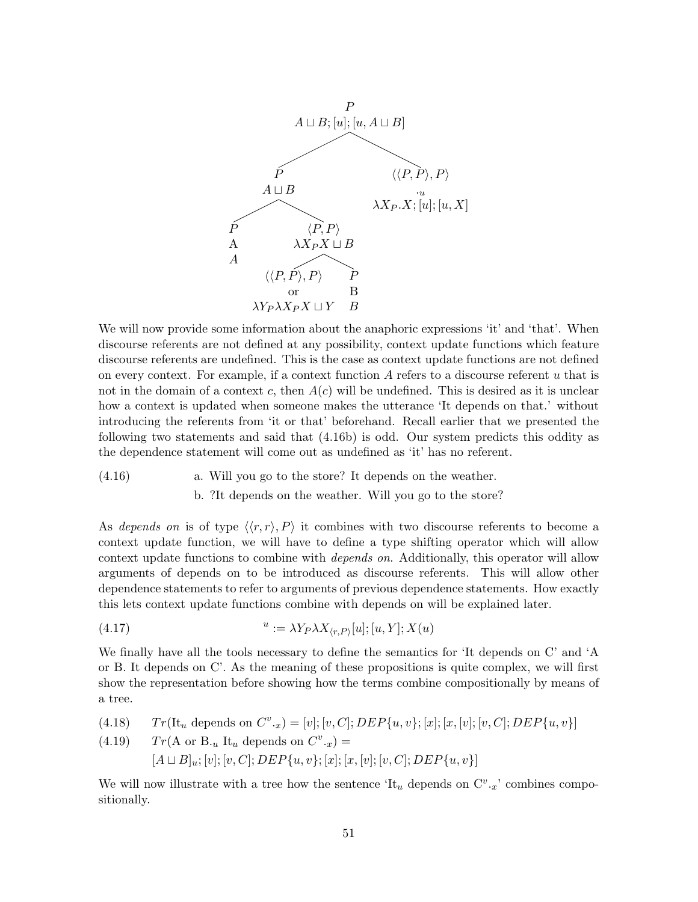

We will now provide some information about the anaphoric expressions 'it' and 'that'. When discourse referents are not defined at any possibility, context update functions which feature discourse referents are undefined. This is the case as context update functions are not defined on every context. For example, if a context function  $A$  refers to a discourse referent  $u$  that is not in the domain of a context c, then  $A(c)$  will be undefined. This is desired as it is unclear how a context is updated when someone makes the utterance 'It depends on that.' without introducing the referents from 'it or that' beforehand. Recall earlier that we presented the following two statements and said that (4.16b) is odd. Our system predicts this oddity as the dependence statement will come out as undefined as 'it' has no referent.

 $(4.16)$  a. Will you go to the store? It depends on the weather. b. ?It depends on the weather. Will you go to the store?

As depends on is of type  $\langle \langle r, r \rangle, P \rangle$  it combines with two discourse referents to become a context update function, we will have to define a type shifting operator which will allow context update functions to combine with depends on. Additionally, this operator will allow arguments of depends on to be introduced as discourse referents. This will allow other dependence statements to refer to arguments of previous dependence statements. How exactly this lets context update functions combine with depends on will be explained later.

(4.17) 
$$
^{u} := \lambda Y_{P} \lambda X_{\langle r, P \rangle}[u]; [u, Y]; X(u)
$$

We finally have all the tools necessary to define the semantics for 'It depends on C' and 'A or B. It depends on C'. As the meaning of these propositions is quite complex, we will first show the representation before showing how the terms combine compositionally by means of a tree.

(4.18) 
$$
Tr(\text{It}_{u} \text{ depends on } C^{v} \cdot x) = [v]; [v, C]; DEP\{u, v\}; [x]; [x, [v]; [v, C]; DEP\{u, v\}]
$$

(4.19) 
$$
Tr(A \text{ or } B_u \text{ It}_u \text{ depends on } C^v \cdot x) =
$$
  
\n $[A \sqcup B]_u; [v]; [v, C]; DEP\{u, v\}; [x]; [x, [v]; [v, C]; DEP\{u, v\}]$ 

We will now illustrate with a tree how the sentence 'It<sub>u</sub> depends on  $C^v.x'$  combines compositionally.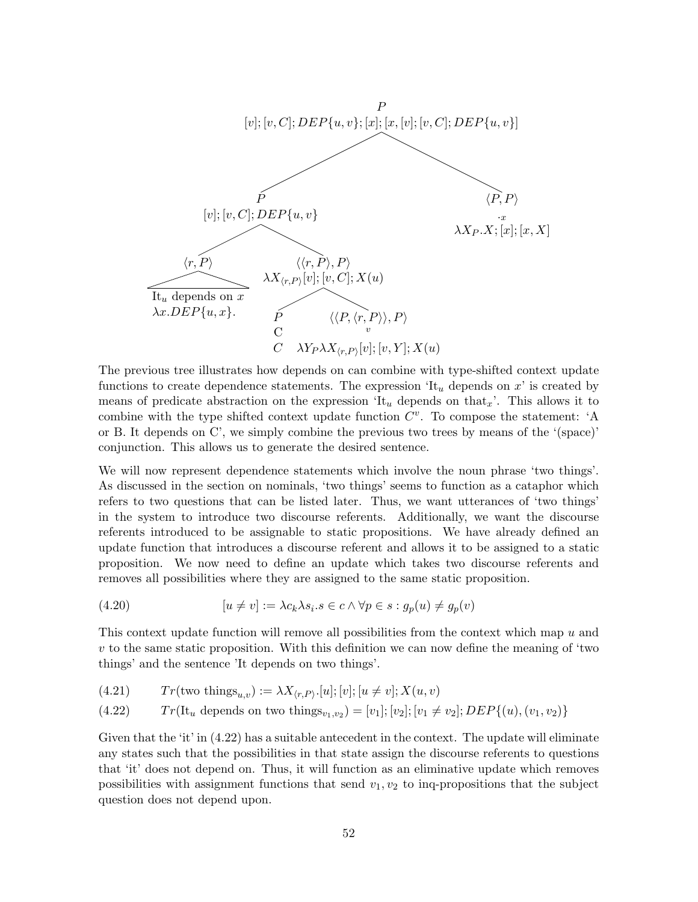

The previous tree illustrates how depends on can combine with type-shifted context update functions to create dependence statements. The expression  $\mathfrak{t}_u$  depends on x' is created by means of predicate abstraction on the expression 'It<sub>u</sub> depends on that<sub>x</sub>'. This allows it to combine with the type shifted context update function  $C^v$ . To compose the statement: 'A or B. It depends on C', we simply combine the previous two trees by means of the '(space)' conjunction. This allows us to generate the desired sentence.

We will now represent dependence statements which involve the noun phrase 'two things'. As discussed in the section on nominals, 'two things' seems to function as a cataphor which refers to two questions that can be listed later. Thus, we want utterances of 'two things' in the system to introduce two discourse referents. Additionally, we want the discourse referents introduced to be assignable to static propositions. We have already defined an update function that introduces a discourse referent and allows it to be assigned to a static proposition. We now need to define an update which takes two discourse referents and removes all possibilities where they are assigned to the same static proposition.

(4.20) 
$$
[u \neq v] := \lambda c_k \lambda s_i . s \in c \land \forall p \in s : g_p(u) \neq g_p(v)
$$

This context update function will remove all possibilities from the context which map  $u$  and  $v$  to the same static proposition. With this definition we can now define the meaning of 'two things' and the sentence 'It depends on two things'.

(4.21) 
$$
Tr(\text{two things}_{u,v}) := \lambda X_{\langle r, P \rangle}.[u]; [v]; [u \neq v]; X(u, v)
$$

(4.22) 
$$
Tr(\text{It}_{u} \text{ depends on two things}_{v_1,v_2}) = [v_1]; [v_2]; [v_1 \neq v_2]; DEP\{(u), (v_1, v_2)\}
$$

Given that the 'it' in  $(4.22)$  has a suitable antecedent in the context. The update will eliminate any states such that the possibilities in that state assign the discourse referents to questions that 'it' does not depend on. Thus, it will function as an eliminative update which removes possibilities with assignment functions that send  $v_1, v_2$  to inq-propositions that the subject question does not depend upon.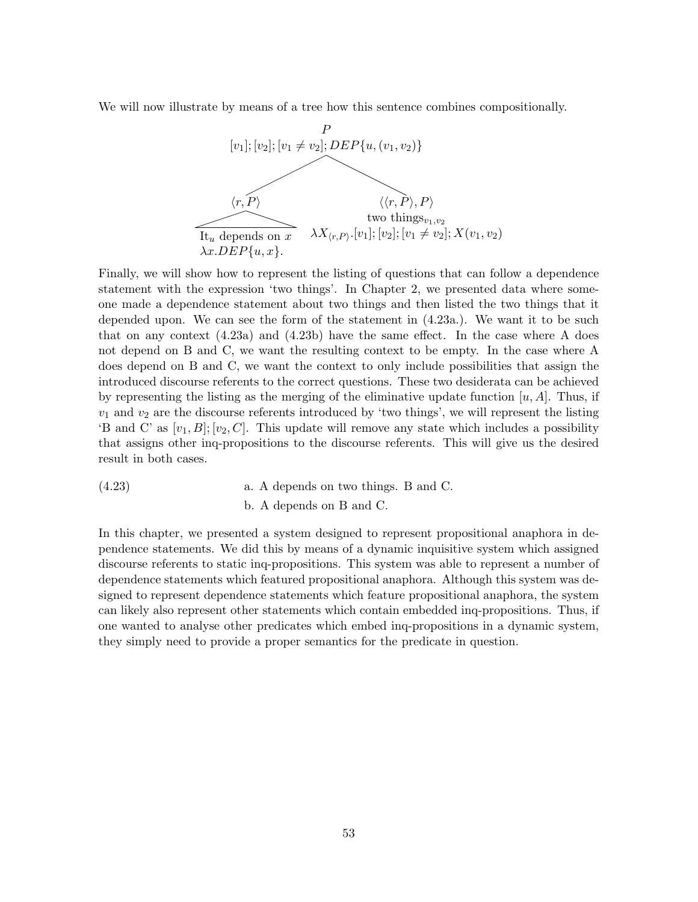We will now illustrate by means of a tree how this sentence combines compositionally.



Finally, we will show how to represent the listing of questions that can follow a dependence statement with the expression 'two things'. In Chapter 2, we presented data where someone made a dependence statement about two things and then listed the two things that it depended upon. We can see the form of the statement in (4.23a.). We want it to be such that on any context  $(4.23a)$  and  $(4.23b)$  have the same effect. In the case where A does not depend on B and C, we want the resulting context to be empty. In the case where A does depend on B and C, we want the context to only include possibilities that assign the introduced discourse referents to the correct questions. These two desiderata can be achieved by representing the listing as the merging of the eliminative update function  $[u, A]$ . Thus, if  $v_1$  and  $v_2$  are the discourse referents introduced by 'two things', we will represent the listing 'B and C' as  $[v_1, B]$ ;  $[v_2, C]$ . This update will remove any state which includes a possibility that assigns other inq-propositions to the discourse referents. This will give us the desired result in both cases.

 $(4.23)$  a. A depends on two things. B and C. b. A depends on B and C.

In this chapter, we presented a system designed to represent propositional anaphora in dependence statements. We did this by means of a dynamic inquisitive system which assigned discourse referents to static inq-propositions. This system was able to represent a number of dependence statements which featured propositional anaphora. Although this system was designed to represent dependence statements which feature propositional anaphora, the system can likely also represent other statements which contain embedded inq-propositions. Thus, if one wanted to analyse other predicates which embed inq-propositions in a dynamic system, they simply need to provide a proper semantics for the predicate in question.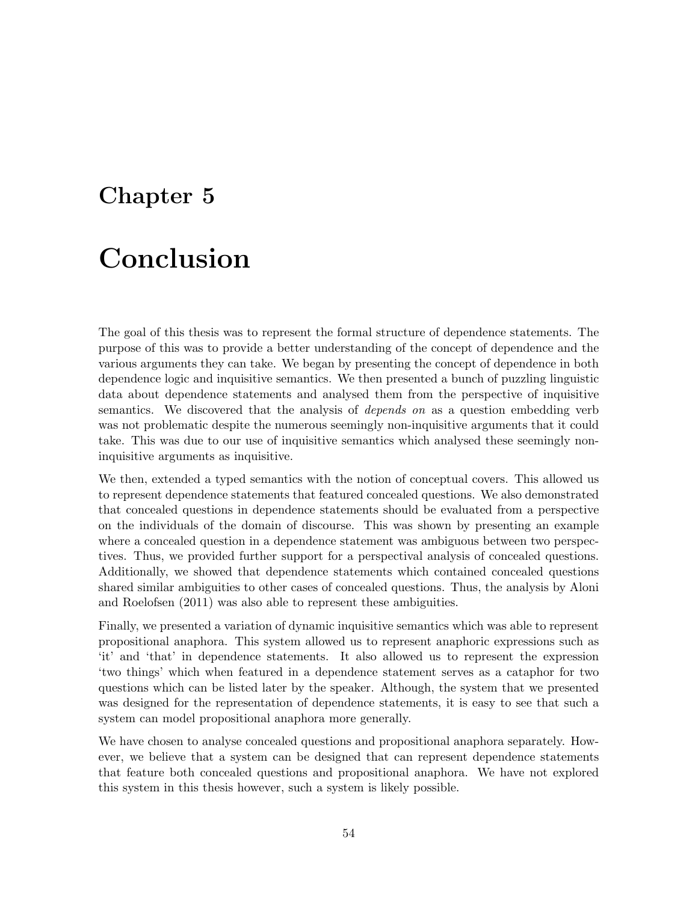### Chapter 5

### Conclusion

The goal of this thesis was to represent the formal structure of dependence statements. The purpose of this was to provide a better understanding of the concept of dependence and the various arguments they can take. We began by presenting the concept of dependence in both dependence logic and inquisitive semantics. We then presented a bunch of puzzling linguistic data about dependence statements and analysed them from the perspective of inquisitive semantics. We discovered that the analysis of depends on as a question embedding verb was not problematic despite the numerous seemingly non-inquisitive arguments that it could take. This was due to our use of inquisitive semantics which analysed these seemingly noninquisitive arguments as inquisitive.

We then, extended a typed semantics with the notion of conceptual covers. This allowed us to represent dependence statements that featured concealed questions. We also demonstrated that concealed questions in dependence statements should be evaluated from a perspective on the individuals of the domain of discourse. This was shown by presenting an example where a concealed question in a dependence statement was ambiguous between two perspectives. Thus, we provided further support for a perspectival analysis of concealed questions. Additionally, we showed that dependence statements which contained concealed questions shared similar ambiguities to other cases of concealed questions. Thus, the analysis by Aloni and Roelofsen (2011) was also able to represent these ambiguities.

Finally, we presented a variation of dynamic inquisitive semantics which was able to represent propositional anaphora. This system allowed us to represent anaphoric expressions such as 'it' and 'that' in dependence statements. It also allowed us to represent the expression 'two things' which when featured in a dependence statement serves as a cataphor for two questions which can be listed later by the speaker. Although, the system that we presented was designed for the representation of dependence statements, it is easy to see that such a system can model propositional anaphora more generally.

We have chosen to analyse concealed questions and propositional anaphora separately. However, we believe that a system can be designed that can represent dependence statements that feature both concealed questions and propositional anaphora. We have not explored this system in this thesis however, such a system is likely possible.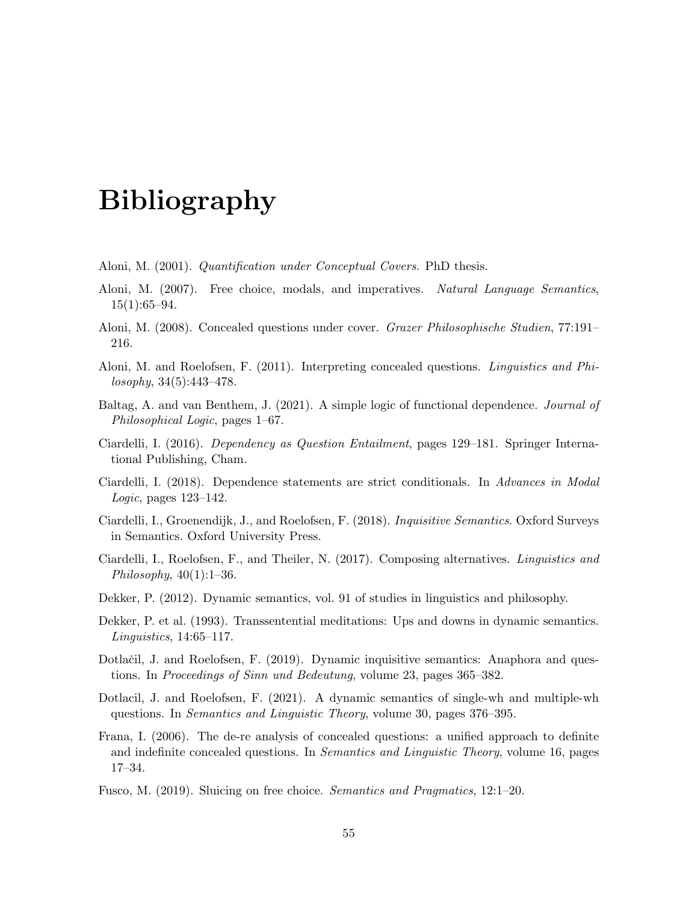### Bibliography

- Aloni, M. (2001). Quantification under Conceptual Covers. PhD thesis.
- Aloni, M. (2007). Free choice, modals, and imperatives. Natural Language Semantics,  $15(1):65-94.$
- Aloni, M. (2008). Concealed questions under cover. Grazer Philosophische Studien, 77:191– 216.
- Aloni, M. and Roelofsen, F. (2011). Interpreting concealed questions. Linguistics and Philosophy, 34(5):443–478.
- Baltag, A. and van Benthem, J. (2021). A simple logic of functional dependence. Journal of Philosophical Logic, pages 1–67.
- Ciardelli, I. (2016). Dependency as Question Entailment, pages 129–181. Springer International Publishing, Cham.
- Ciardelli, I. (2018). Dependence statements are strict conditionals. In Advances in Modal Logic, pages 123–142.
- Ciardelli, I., Groenendijk, J., and Roelofsen, F. (2018). Inquisitive Semantics. Oxford Surveys in Semantics. Oxford University Press.
- Ciardelli, I., Roelofsen, F., and Theiler, N. (2017). Composing alternatives. Linguistics and Philosophy,  $40(1):1-36$ .
- Dekker, P. (2012). Dynamic semantics, vol. 91 of studies in linguistics and philosophy.
- Dekker, P. et al. (1993). Transsentential meditations: Ups and downs in dynamic semantics. Linguistics, 14:65–117.
- Dotlačil, J. and Roelofsen, F. (2019). Dynamic inquisitive semantics: Anaphora and questions. In Proceedings of Sinn und Bedeutung, volume 23, pages 365–382.
- Dotlacil, J. and Roelofsen, F. (2021). A dynamic semantics of single-wh and multiple-wh questions. In Semantics and Linguistic Theory, volume 30, pages 376–395.
- Frana, I. (2006). The de-re analysis of concealed questions: a unified approach to definite and indefinite concealed questions. In *Semantics and Linguistic Theory*, volume 16, pages 17–34.
- Fusco, M. (2019). Sluicing on free choice. Semantics and Pragmatics, 12:1–20.